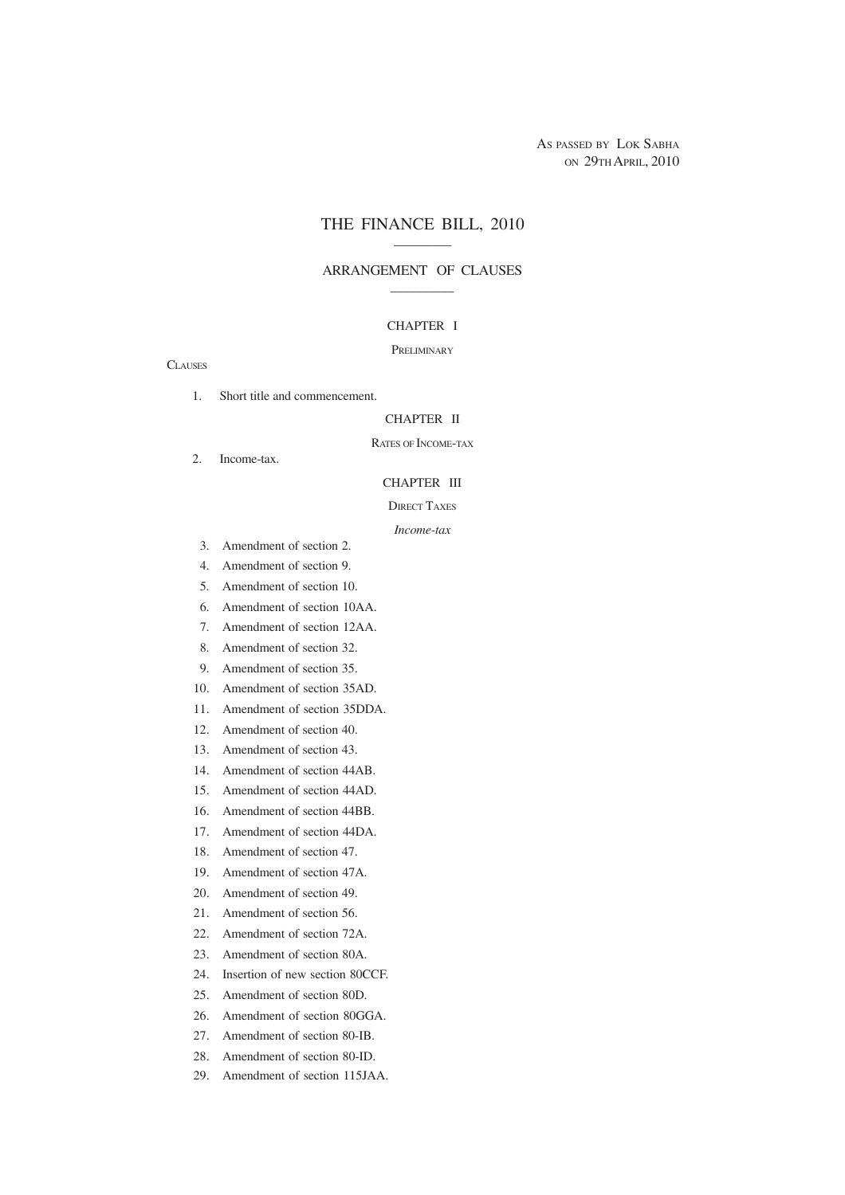AS PASSED BY LOK SABHA ON 29TH APRIL, 2010

### THE FINANCE BILL, 2010 \_\_\_\_\_\_\_\_\_

### ARRANGEMENT OF CLAUSES  $\overline{\phantom{a}}$  . The contract of  $\overline{\phantom{a}}$

### CHAPTER I

### PRELIMINARY

**CLAUSES** 

1. Short title and commencement.

#### CHAPTER II

### RATES OF INCOME-TAX

2. Income-tax.

#### CHAPTER III

#### DIRECT TAXES

#### *Income-tax*

- 3. Amendment of section 2.
- 4. Amendment of section 9.
- 5. Amendment of section 10.
- 6. Amendment of section 10AA.
- 7. Amendment of section 12AA.
- 8. Amendment of section 32.
- 9. Amendment of section 35.
- 10. Amendment of section 35AD.
- 11. Amendment of section 35DDA.
- 12. Amendment of section 40.
- 13. Amendment of section 43.
- 14. Amendment of section 44AB.
- 15. Amendment of section 44AD.
- 16. Amendment of section 44BB.
- 17. Amendment of section 44DA.
- 18. Amendment of section 47.
- 19. Amendment of section 47A.
- 20. Amendment of section 49.
- 21. Amendment of section 56.
- 22. Amendment of section 72A.
- 23. Amendment of section 80A.
- 24. Insertion of new section 80CCF.
- 25. Amendment of section 80D.
- 26. Amendment of section 80GGA.
- 27. Amendment of section 80-IB.
- 28. Amendment of section 80-ID.
- 29. Amendment of section 115JAA.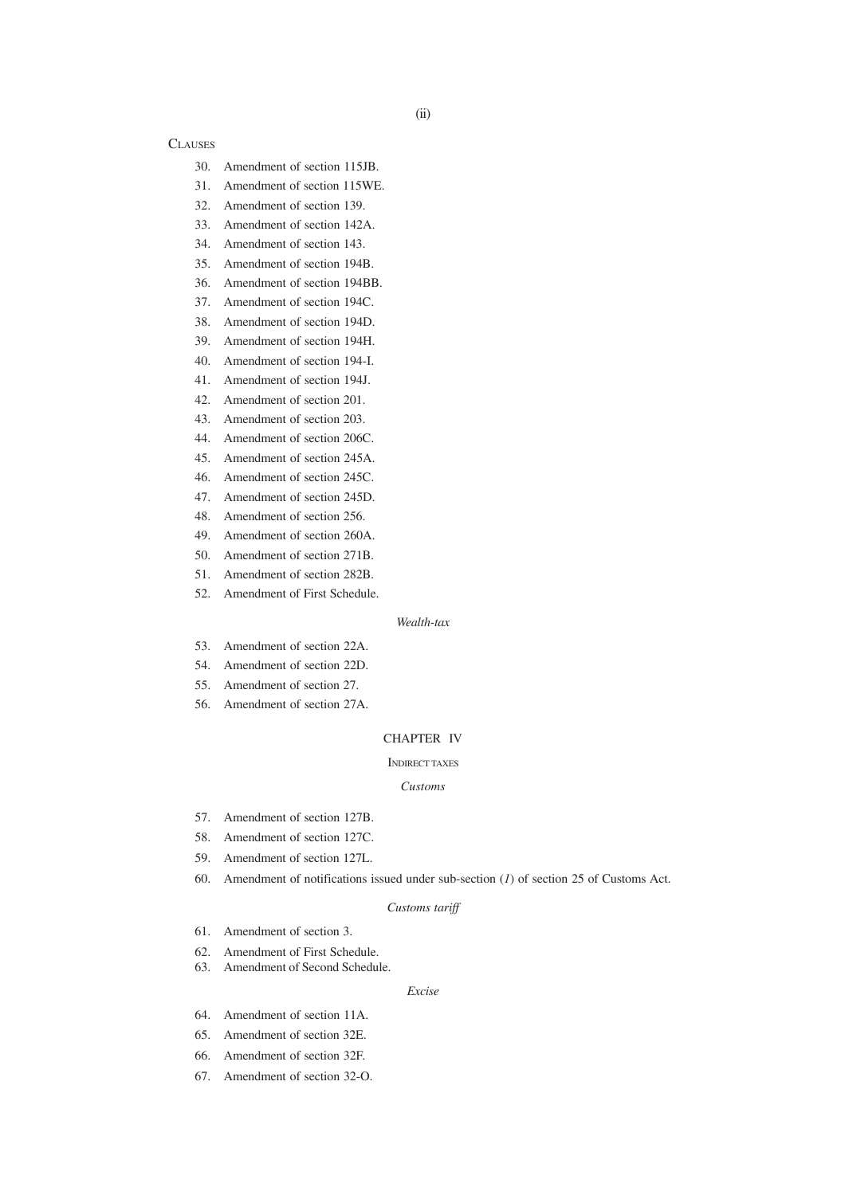### **CLAUSES**

- 30. Amendment of section 115JB.
- 31. Amendment of section 115WE.
- 32. Amendment of section 139.
- 33. Amendment of section 142A.
- 34. Amendment of section 143.
- 35. Amendment of section 194B.
- 36. Amendment of section 194BB.
- 37. Amendment of section 194C.
- 38. Amendment of section 194D.
- 39. Amendment of section 194H. 40. Amendment of section 194-I.
- 41. Amendment of section 194J.
- 42. Amendment of section 201.
- 43. Amendment of section 203.
- 44. Amendment of section 206C.
- 45. Amendment of section 245A.
- 46. Amendment of section 245C.
- 47. Amendment of section 245D.
- 48. Amendment of section 256.
- 49. Amendment of section 260A.
- 50. Amendment of section 271B.
- 51. Amendment of section 282B.
- 52. Amendment of First Schedule.

### *Wealth-tax*

- 53. Amendment of section 22A.
- 54. Amendment of section 22D.
- 55. Amendment of section 27.
- 56. Amendment of section 27A.

### CHAPTER IV

#### INDIRECT TAXES

#### *Customs*

- 57. Amendment of section 127B.
- 58. Amendment of section 127C.
- 59. Amendment of section 127L.
- 60. Amendment of notifications issued under sub-section (*1*) of section 25 of Customs Act.

#### *Customs tariff*

- 61. Amendment of section 3.
- 62. Amendment of First Schedule.
- 63. Amendment of Second Schedule.

#### *Excise*

- 64. Amendment of section 11A.
- 65. Amendment of section 32E.
- 66. Amendment of section 32F.
- 67. Amendment of section 32-O.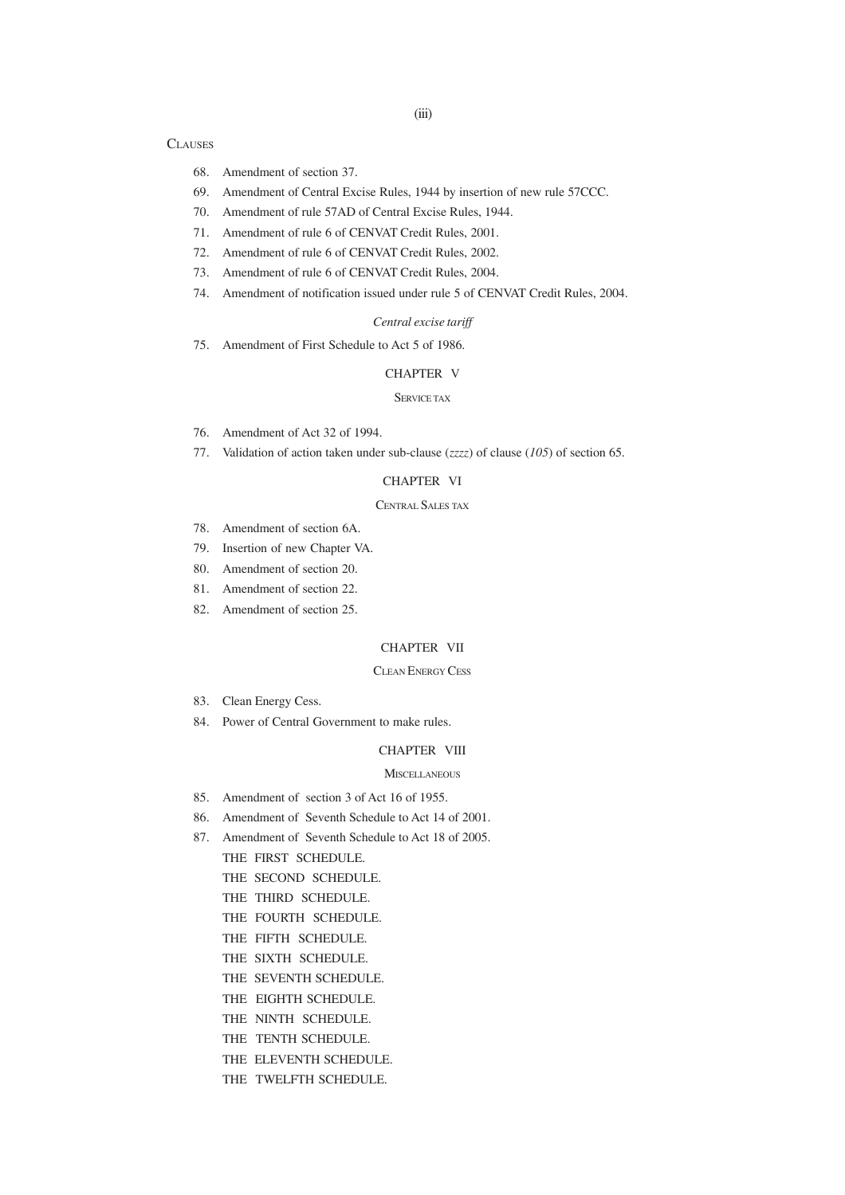#### **CLAUSES**

- 68. Amendment of section 37.
- 69. Amendment of Central Excise Rules, 1944 by insertion of new rule 57CCC.
- 70. Amendment of rule 57AD of Central Excise Rules, 1944.
- 71. Amendment of rule 6 of CENVAT Credit Rules, 2001.
- 72. Amendment of rule 6 of CENVAT Credit Rules, 2002.
- 73. Amendment of rule 6 of CENVAT Credit Rules, 2004.
- 74. Amendment of notification issued under rule 5 of CENVAT Credit Rules, 2004.

### *Central excise tariff*

75. Amendment of First Schedule to Act 5 of 1986.

### CHAPTER V

#### SERVICE TAX

- 76. Amendment of Act 32 of 1994.
- 77. Validation of action taken under sub-clause (*zzzz*) of clause (*105*) of section 65.

### CHAPTER VI

### CENTRAL SALES TAX

- 78. Amendment of section 6A.
- 79. Insertion of new Chapter VA.
- 80. Amendment of section 20.
- 81. Amendment of section 22.
- 82. Amendment of section 25.

### CHAPTER VII

#### CLEAN ENERGY CESS

- 83. Clean Energy Cess.
- 84. Power of Central Government to make rules.

#### CHAPTER VIII

#### **MISCELLANEOUS**

- 85. Amendment of section 3 of Act 16 of 1955.
- 86. Amendment of Seventh Schedule to Act 14 of 2001.
- 87. Amendment of Seventh Schedule to Act 18 of 2005.
	- THE FIRST SCHEDULE.
	- THE SECOND SCHEDULE.
	- THE THIRD SCHEDULE.
	- THE FOURTH SCHEDULE.
	- THE FIFTH SCHEDULE.
	- THE SIXTH SCHEDULE.
	- THE SEVENTH SCHEDULE.
	- THE EIGHTH SCHEDULE.
	- THE NINTH SCHEDULE.
	- THE TENTH SCHEDULE.
	- THE ELEVENTH SCHEDULE.
	- THE TWELFTH SCHEDULE.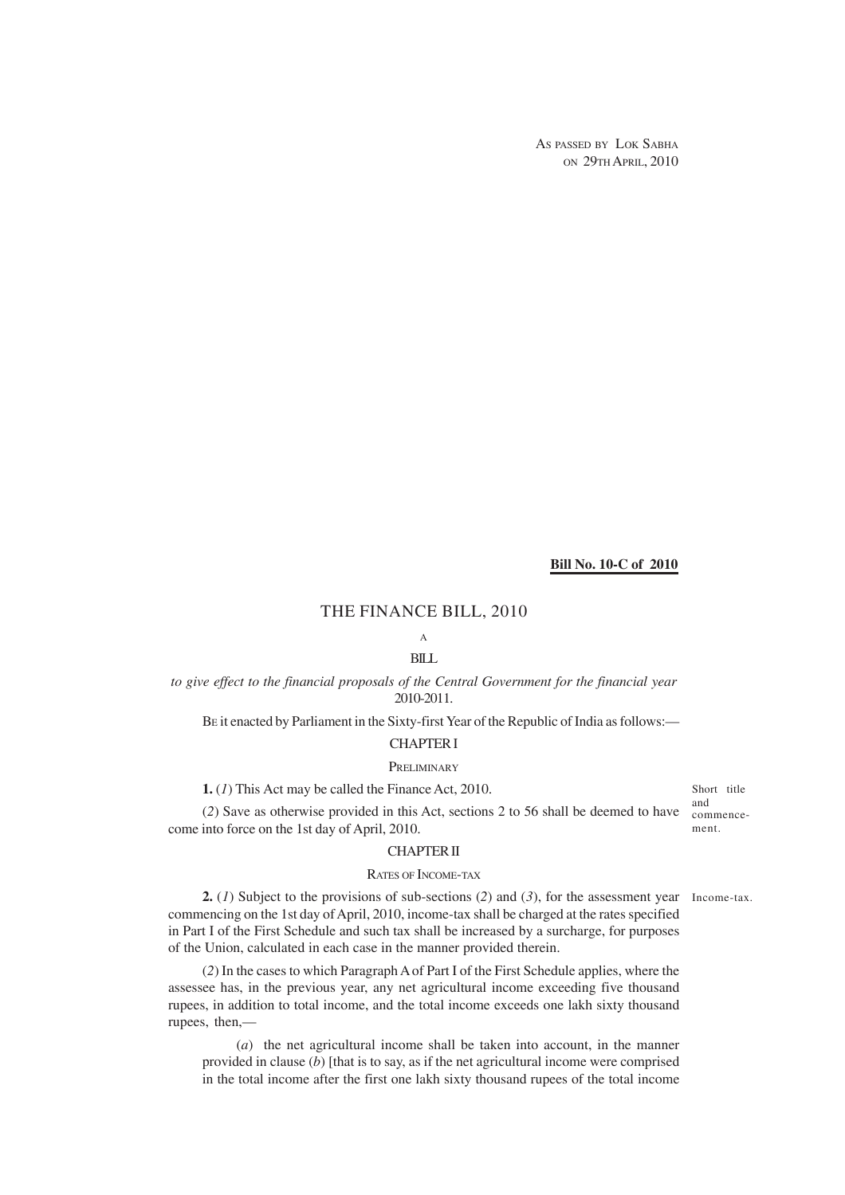AS PASSED BY LOK SABHA ON 29TH APRIL, 2010

#### **Bill No. 10-C of 2010**

### THE FINANCE BILL, 2010

# A

## BILL

## *to give effect to the financial proposals of the Central Government for the financial year* 2010-2011.

BE it enacted by Parliament in the Sixty-first Year of the Republic of India as follows:—

# CHAPTER I

# **PRELIMINARY**

**1.** (*1*) This Act may be called the Finance Act, 2010.

(*2*) Save as otherwise provided in this Act, sections 2 to 56 shall be deemed to have come into force on the 1st day of April, 2010.

### CHAPTER II

### RATES OF INCOME-TAX

**2.** (*I*) Subject to the provisions of sub-sections (2) and (3), for the assessment year Income-tax. commencing on the 1st day of April, 2010, income-tax shall be charged at the rates specified in Part I of the First Schedule and such tax shall be increased by a surcharge, for purposes of the Union, calculated in each case in the manner provided therein.

(*2*) In the cases to which Paragraph A of Part I of the First Schedule applies, where the assessee has, in the previous year, any net agricultural income exceeding five thousand rupees, in addition to total income, and the total income exceeds one lakh sixty thousand rupees, then,—

(*a*) the net agricultural income shall be taken into account, in the manner provided in clause (*b*) [that is to say, as if the net agricultural income were comprised in the total income after the first one lakh sixty thousand rupees of the total income

Short title and commencement.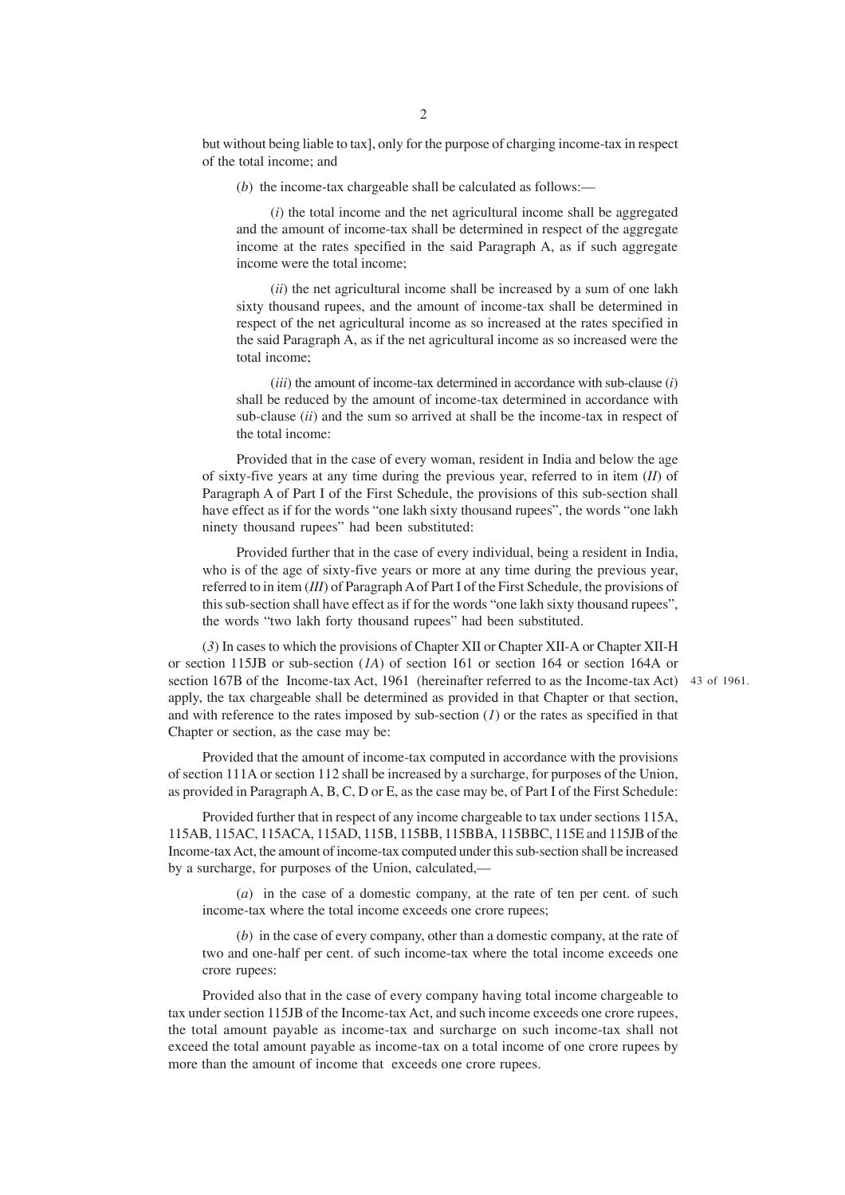but without being liable to tax], only for the purpose of charging income-tax in respect of the total income; and

(*b*) the income-tax chargeable shall be calculated as follows:—

(*i*) the total income and the net agricultural income shall be aggregated and the amount of income-tax shall be determined in respect of the aggregate income at the rates specified in the said Paragraph A, as if such aggregate income were the total income;

(*ii*) the net agricultural income shall be increased by a sum of one lakh sixty thousand rupees, and the amount of income-tax shall be determined in respect of the net agricultural income as so increased at the rates specified in the said Paragraph A, as if the net agricultural income as so increased were the total income;

(*iii*) the amount of income-tax determined in accordance with sub-clause (*i*) shall be reduced by the amount of income-tax determined in accordance with sub-clause (*ii*) and the sum so arrived at shall be the income-tax in respect of the total income:

Provided that in the case of every woman, resident in India and below the age of sixty-five years at any time during the previous year, referred to in item (*II*) of Paragraph A of Part I of the First Schedule, the provisions of this sub-section shall have effect as if for the words "one lakh sixty thousand rupees", the words "one lakh ninety thousand rupees" had been substituted:

Provided further that in the case of every individual, being a resident in India, who is of the age of sixty-five years or more at any time during the previous year, referred to in item (*III*) of Paragraph A of Part I of the First Schedule, the provisions of this sub-section shall have effect as if for the words "one lakh sixty thousand rupees", the words "two lakh forty thousand rupees" had been substituted.

(*3*) In cases to which the provisions of Chapter XII or Chapter XII-A or Chapter XII-H or section 115JB or sub-section (*1A*) of section 161 or section 164 or section 164A or section 167B of the Income-tax Act, 1961 (hereinafter referred to as the Income-tax Act) 43 of 1961.apply, the tax chargeable shall be determined as provided in that Chapter or that section, and with reference to the rates imposed by sub-section  $(I)$  or the rates as specified in that Chapter or section, as the case may be:

Provided that the amount of income-tax computed in accordance with the provisions of section 111A or section 112 shall be increased by a surcharge, for purposes of the Union, as provided in Paragraph A, B, C, D or E, as the case may be, of Part I of the First Schedule:

Provided further that in respect of any income chargeable to tax under sections 115A, 115AB, 115AC, 115ACA, 115AD, 115B, 115BB, 115BBA, 115BBC, 115E and 115JB of the Income-tax Act, the amount of income-tax computed under this sub-section shall be increased by a surcharge, for purposes of the Union, calculated,—

(*a*) in the case of a domestic company, at the rate of ten per cent. of such income-tax where the total income exceeds one crore rupees;

(*b*) in the case of every company, other than a domestic company, at the rate of two and one-half per cent. of such income-tax where the total income exceeds one crore rupees:

Provided also that in the case of every company having total income chargeable to tax under section 115JB of the Income-tax Act, and such income exceeds one crore rupees, the total amount payable as income-tax and surcharge on such income-tax shall not exceed the total amount payable as income-tax on a total income of one crore rupees by more than the amount of income that exceeds one crore rupees.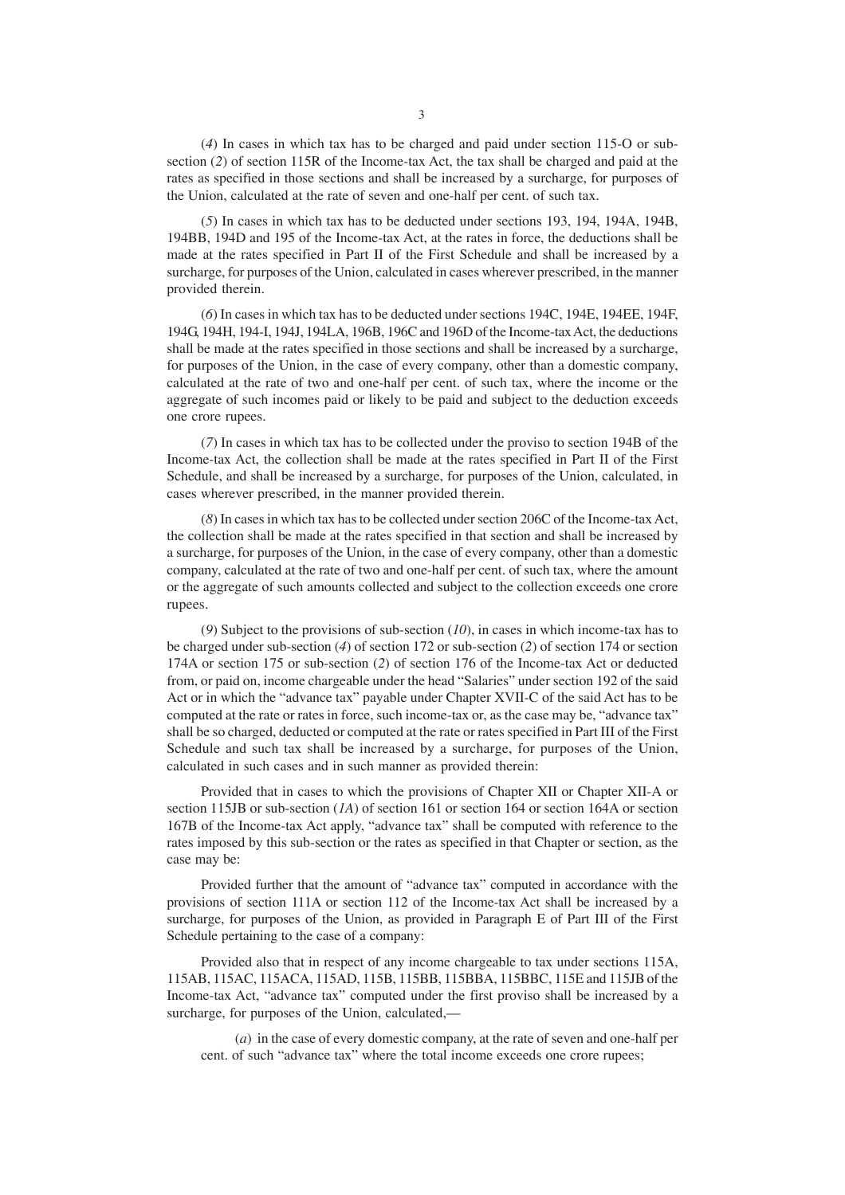(*4*) In cases in which tax has to be charged and paid under section 115-O or subsection (*2*) of section 115R of the Income-tax Act, the tax shall be charged and paid at the rates as specified in those sections and shall be increased by a surcharge, for purposes of the Union, calculated at the rate of seven and one-half per cent. of such tax.

(*5*) In cases in which tax has to be deducted under sections 193, 194, 194A, 194B, 194BB, 194D and 195 of the Income-tax Act, at the rates in force, the deductions shall be made at the rates specified in Part II of the First Schedule and shall be increased by a surcharge, for purposes of the Union, calculated in cases wherever prescribed, in the manner provided therein.

(*6*) In cases in which tax has to be deducted under sections 194C, 194E, 194EE, 194F, 194G, 194H, 194-I, 194J, 194LA, 196B, 196C and 196D of the Income-tax Act, the deductions shall be made at the rates specified in those sections and shall be increased by a surcharge, for purposes of the Union, in the case of every company, other than a domestic company, calculated at the rate of two and one-half per cent. of such tax, where the income or the aggregate of such incomes paid or likely to be paid and subject to the deduction exceeds one crore rupees.

(*7*) In cases in which tax has to be collected under the proviso to section 194B of the Income-tax Act, the collection shall be made at the rates specified in Part II of the First Schedule, and shall be increased by a surcharge, for purposes of the Union, calculated, in cases wherever prescribed, in the manner provided therein.

(*8*) In cases in which tax has to be collected under section 206C of the Income-tax Act, the collection shall be made at the rates specified in that section and shall be increased by a surcharge, for purposes of the Union, in the case of every company, other than a domestic company, calculated at the rate of two and one-half per cent. of such tax, where the amount or the aggregate of such amounts collected and subject to the collection exceeds one crore rupees.

(*9*) Subject to the provisions of sub-section (*10*), in cases in which income-tax has to be charged under sub-section (*4*) of section 172 or sub-section (*2*) of section 174 or section 174A or section 175 or sub-section (*2*) of section 176 of the Income-tax Act or deducted from, or paid on, income chargeable under the head "Salaries" under section 192 of the said Act or in which the "advance tax" payable under Chapter XVII-C of the said Act has to be computed at the rate or rates in force, such income-tax or, as the case may be, "advance tax" shall be so charged, deducted or computed at the rate or rates specified in Part III of the First Schedule and such tax shall be increased by a surcharge, for purposes of the Union, calculated in such cases and in such manner as provided therein:

Provided that in cases to which the provisions of Chapter XII or Chapter XII-A or section 115JB or sub-section (*1A*) of section 161 or section 164 or section 164A or section 167B of the Income-tax Act apply, "advance tax" shall be computed with reference to the rates imposed by this sub-section or the rates as specified in that Chapter or section, as the case may be:

Provided further that the amount of "advance tax" computed in accordance with the provisions of section 111A or section 112 of the Income-tax Act shall be increased by a surcharge, for purposes of the Union, as provided in Paragraph E of Part III of the First Schedule pertaining to the case of a company:

Provided also that in respect of any income chargeable to tax under sections 115A, 115AB, 115AC, 115ACA, 115AD, 115B, 115BB, 115BBA, 115BBC, 115E and 115JB of the Income-tax Act, "advance tax" computed under the first proviso shall be increased by a surcharge, for purposes of the Union, calculated,—

(*a*) in the case of every domestic company, at the rate of seven and one-half per cent. of such "advance tax" where the total income exceeds one crore rupees;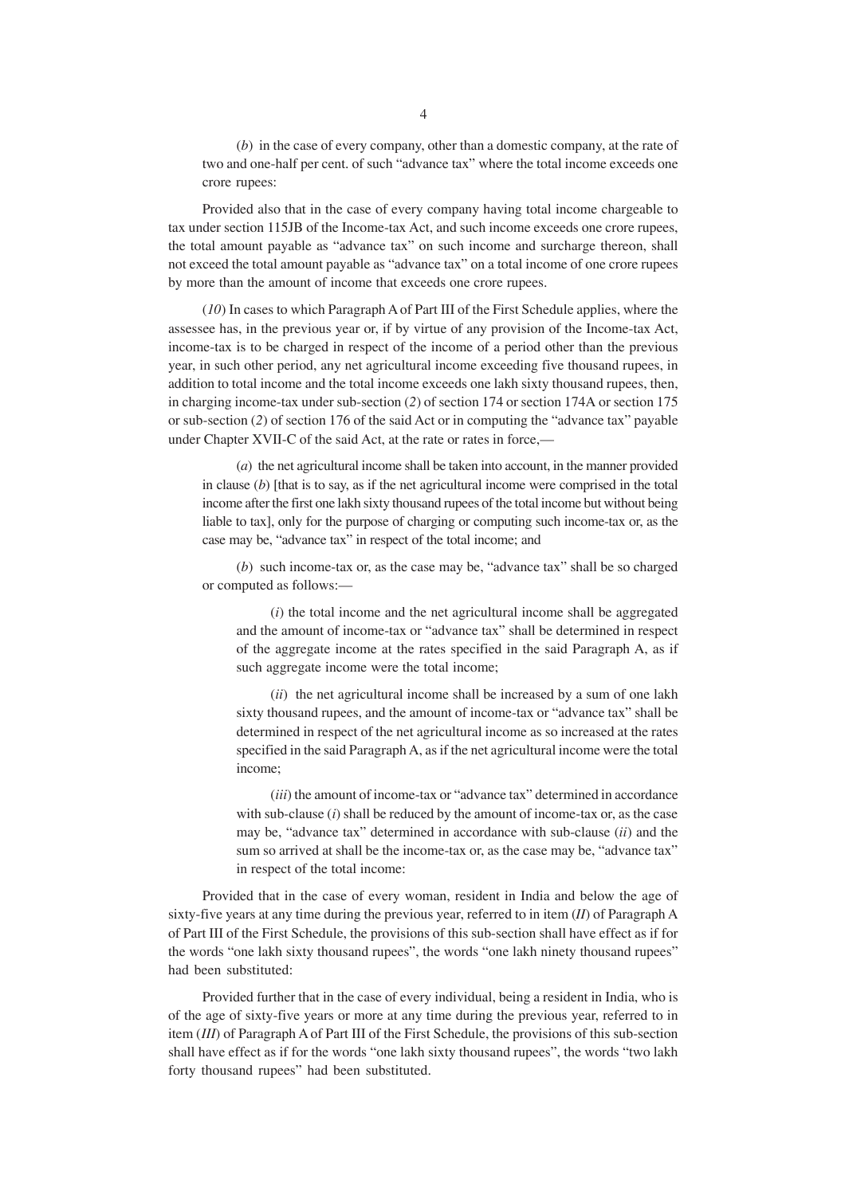(*b*) in the case of every company, other than a domestic company, at the rate of two and one-half per cent. of such "advance tax" where the total income exceeds one crore rupees:

Provided also that in the case of every company having total income chargeable to tax under section 115JB of the Income-tax Act, and such income exceeds one crore rupees, the total amount payable as "advance tax" on such income and surcharge thereon, shall not exceed the total amount payable as "advance tax" on a total income of one crore rupees by more than the amount of income that exceeds one crore rupees.

(*10*) In cases to which Paragraph A of Part III of the First Schedule applies, where the assessee has, in the previous year or, if by virtue of any provision of the Income-tax Act, income-tax is to be charged in respect of the income of a period other than the previous year, in such other period, any net agricultural income exceeding five thousand rupees, in addition to total income and the total income exceeds one lakh sixty thousand rupees, then, in charging income-tax under sub-section (2) of section 174 or section 174A or section 175 or sub-section (*2*) of section 176 of the said Act or in computing the "advance tax" payable under Chapter XVII-C of the said Act, at the rate or rates in force,—

(*a*) the net agricultural income shall be taken into account, in the manner provided in clause  $(b)$  [that is to say, as if the net agricultural income were comprised in the total income after the first one lakh sixty thousand rupees of the total income but without being liable to tax], only for the purpose of charging or computing such income-tax or, as the case may be, "advance tax" in respect of the total income; and

(*b*) such income-tax or, as the case may be, "advance tax" shall be so charged or computed as follows:—

(*i*) the total income and the net agricultural income shall be aggregated and the amount of income-tax or "advance tax" shall be determined in respect of the aggregate income at the rates specified in the said Paragraph A, as if such aggregate income were the total income;

(*ii*) the net agricultural income shall be increased by a sum of one lakh sixty thousand rupees, and the amount of income-tax or "advance tax" shall be determined in respect of the net agricultural income as so increased at the rates specified in the said Paragraph A, as if the net agricultural income were the total income;

(*iii*) the amount of income-tax or "advance tax" determined in accordance with sub-clause (*i*) shall be reduced by the amount of income-tax or, as the case may be, "advance tax" determined in accordance with sub-clause (*ii*) and the sum so arrived at shall be the income-tax or, as the case may be, "advance tax" in respect of the total income:

Provided that in the case of every woman, resident in India and below the age of sixty-five years at any time during the previous year, referred to in item (*II*) of Paragraph A of Part III of the First Schedule, the provisions of this sub-section shall have effect as if for the words "one lakh sixty thousand rupees", the words "one lakh ninety thousand rupees" had been substituted:

Provided further that in the case of every individual, being a resident in India, who is of the age of sixty-five years or more at any time during the previous year, referred to in item (*III*) of Paragraph A of Part III of the First Schedule, the provisions of this sub-section shall have effect as if for the words "one lakh sixty thousand rupees", the words "two lakh forty thousand rupees" had been substituted.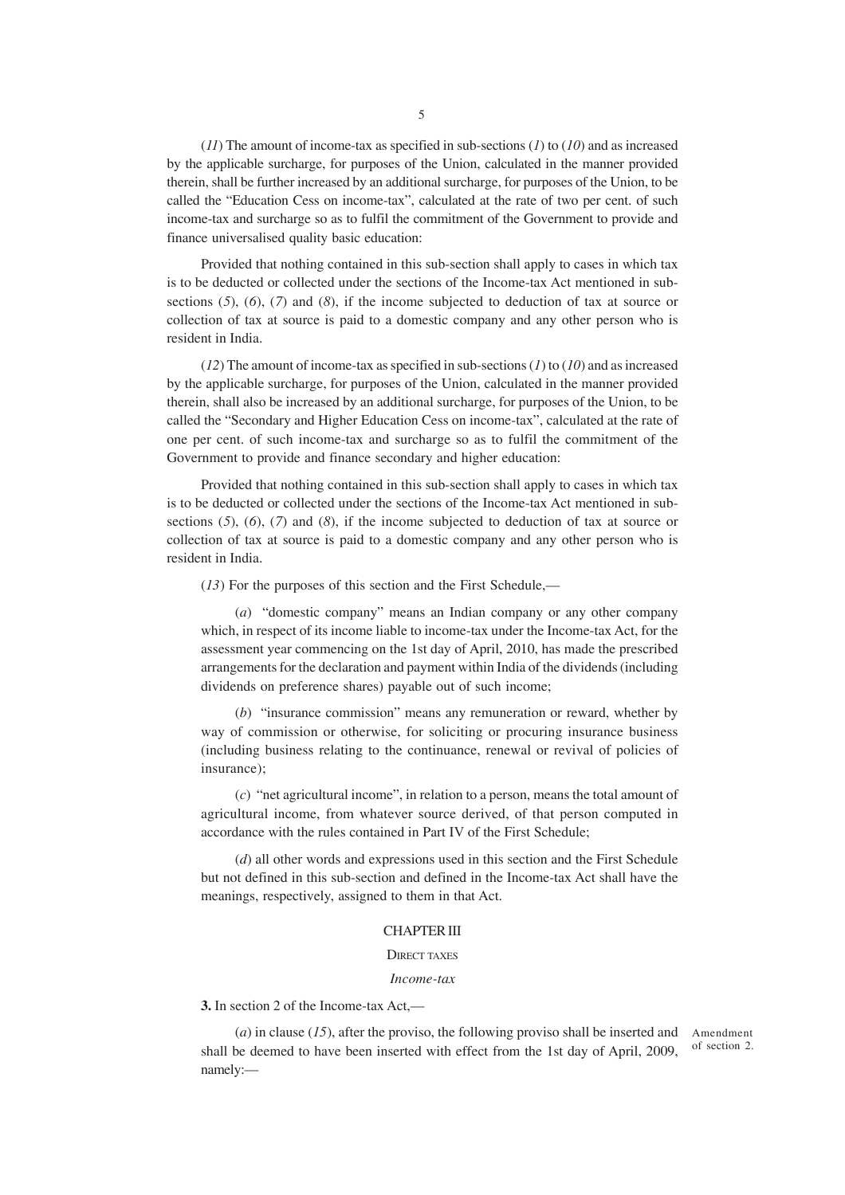(*11*) The amount of income-tax as specified in sub-sections (*1*) to (*10*) and as increased by the applicable surcharge, for purposes of the Union, calculated in the manner provided therein, shall be further increased by an additional surcharge, for purposes of the Union, to be called the "Education Cess on income-tax", calculated at the rate of two per cent. of such income-tax and surcharge so as to fulfil the commitment of the Government to provide and finance universalised quality basic education:

Provided that nothing contained in this sub-section shall apply to cases in which tax is to be deducted or collected under the sections of the Income-tax Act mentioned in subsections (*5*), (*6*), (*7*) and (*8*), if the income subjected to deduction of tax at source or collection of tax at source is paid to a domestic company and any other person who is resident in India.

(*12*) The amount of income-tax as specified in sub-sections (*1*) to (*10*) and as increased by the applicable surcharge, for purposes of the Union, calculated in the manner provided therein, shall also be increased by an additional surcharge, for purposes of the Union, to be called the "Secondary and Higher Education Cess on income-tax", calculated at the rate of one per cent. of such income-tax and surcharge so as to fulfil the commitment of the Government to provide and finance secondary and higher education:

Provided that nothing contained in this sub-section shall apply to cases in which tax is to be deducted or collected under the sections of the Income-tax Act mentioned in subsections (*5*), (*6*), (*7*) and (*8*), if the income subjected to deduction of tax at source or collection of tax at source is paid to a domestic company and any other person who is resident in India.

(*13*) For the purposes of this section and the First Schedule,—

(*a*) "domestic company" means an Indian company or any other company which, in respect of its income liable to income-tax under the Income-tax Act, for the assessment year commencing on the 1st day of April, 2010, has made the prescribed arrangements for the declaration and payment within India of the dividends (including dividends on preference shares) payable out of such income;

(*b*) "insurance commission" means any remuneration or reward, whether by way of commission or otherwise, for soliciting or procuring insurance business (including business relating to the continuance, renewal or revival of policies of insurance);

(*c*) "net agricultural income", in relation to a person, means the total amount of agricultural income, from whatever source derived, of that person computed in accordance with the rules contained in Part IV of the First Schedule;

(*d*) all other words and expressions used in this section and the First Schedule but not defined in this sub-section and defined in the Income-tax Act shall have the meanings, respectively, assigned to them in that Act.

### CHAPTER III

### DIRECT TAXES

### *Income-tax*

**3.** In section 2 of the Income-tax Act,—

(*a*) in clause (*15*), after the proviso, the following proviso shall be inserted and Amendment shall be deemed to have been inserted with effect from the 1st day of April, 2009, namely: of section 2.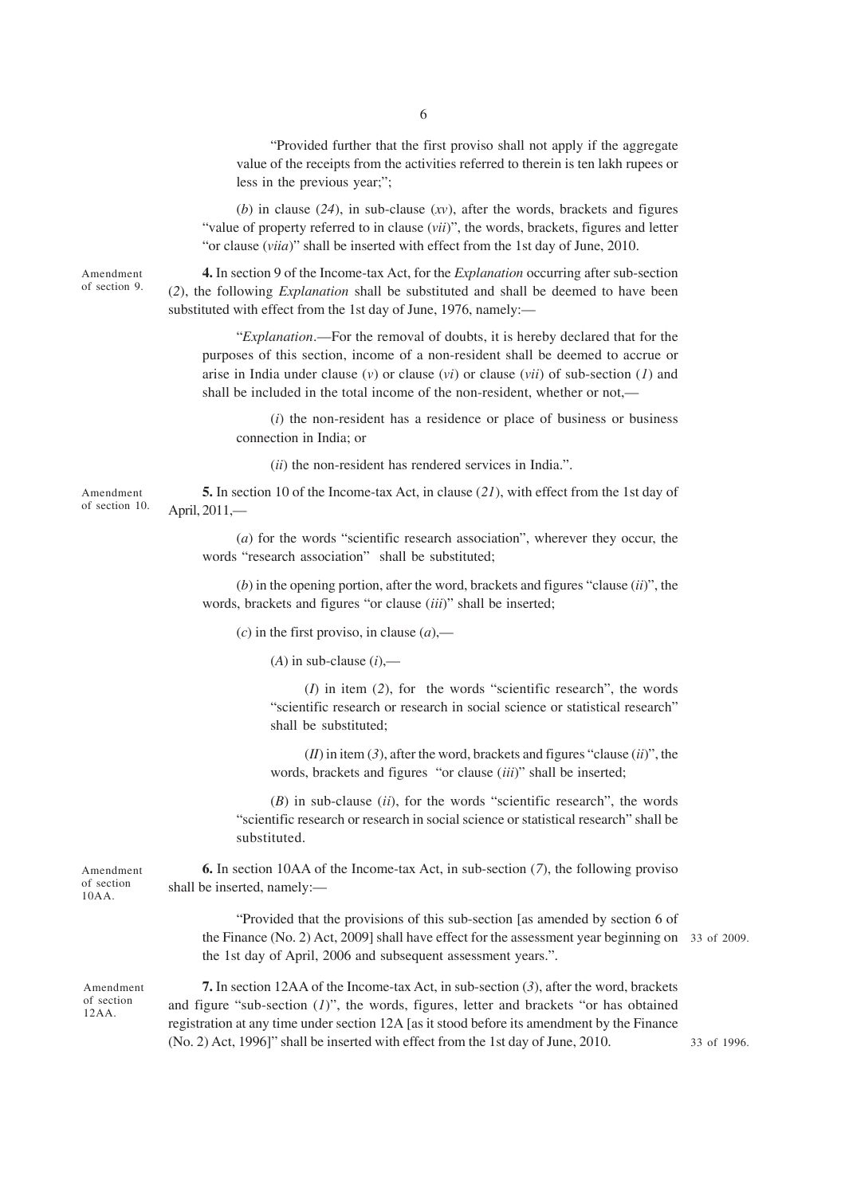"Provided further that the first proviso shall not apply if the aggregate value of the receipts from the activities referred to therein is ten lakh rupees or less in the previous year;";

(*b*) in clause (*24*), in sub-clause (*xv*), after the words, brackets and figures "value of property referred to in clause (*vii*)", the words, brackets, figures and letter "or clause (*viia*)" shall be inserted with effect from the 1st day of June, 2010.

Amendment of section 9.

**4.** In section 9 of the Income-tax Act, for the *Explanation* occurring after sub-section (*2*), the following *Explanation* shall be substituted and shall be deemed to have been substituted with effect from the 1st day of June, 1976, namely:—

"*Explanation*.—For the removal of doubts, it is hereby declared that for the purposes of this section, income of a non-resident shall be deemed to accrue or arise in India under clause (*v*) or clause (*vi*) or clause (*vii*) of sub-section (*1*) and shall be included in the total income of the non-resident, whether or not,—

(*i*) the non-resident has a residence or place of business or business connection in India; or

(*ii*) the non-resident has rendered services in India.".

Amendment of section 10.

Amendment of section 10AA.

Amendment of section 12AA.

**5.** In section 10 of the Income-tax Act, in clause (*21*), with effect from the 1st day of April, 2011,—

(*a*) for the words "scientific research association", wherever they occur, the words "research association" shall be substituted;

(*b*) in the opening portion, after the word, brackets and figures "clause (*ii*)", the words, brackets and figures "or clause (*iii*)" shall be inserted;

 $(c)$  in the first proviso, in clause  $(a)$ ,—

 $(A)$  in sub-clause  $(i)$ ,—

(*I*) in item (*2*), for the words "scientific research", the words "scientific research or research in social science or statistical research" shall be substituted;

(*II*) in item (*3*), after the word, brackets and figures "clause (*ii*)", the words, brackets and figures "or clause (*iii*)" shall be inserted;

(*B*) in sub-clause (*ii*), for the words "scientific research", the words "scientific research or research in social science or statistical research" shall be substituted.

**6.** In section 10AA of the Income-tax Act, in sub-section (*7*), the following proviso shall be inserted, namely:—

> "Provided that the provisions of this sub-section [as amended by section 6 of the Finance (No. 2) Act, 2009] shall have effect for the assessment year beginning on 33 of 2009. the 1st day of April, 2006 and subsequent assessment years.".

**7.** In section 12AA of the Income-tax Act, in sub-section (*3*), after the word, brackets and figure "sub-section (*1*)", the words, figures, letter and brackets "or has obtained registration at any time under section 12A [as it stood before its amendment by the Finance (No. 2) Act, 1996]" shall be inserted with effect from the 1st day of June, 2010.

33 of 1996.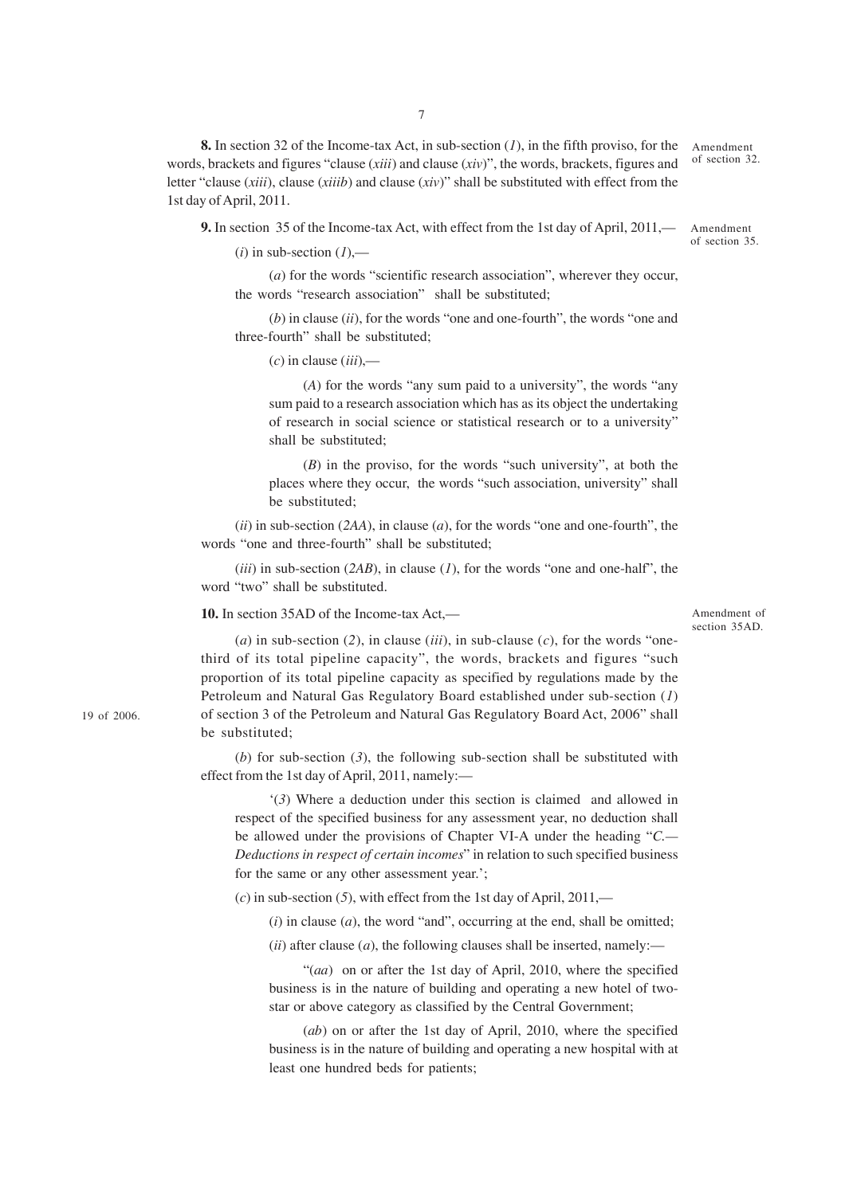**8.** In section 32 of the Income-tax Act, in sub-section (*1*), in the fifth proviso, for the words, brackets and figures "clause (*xiii*) and clause (*xiv*)", the words, brackets, figures and letter "clause (*xiii*), clause (*xiiib*) and clause (*xiv*)" shall be substituted with effect from the 1st day of April, 2011.

**9.** In section 35 of the Income-tax Act, with effect from the 1st day of April, 2011,— Amendment

 $(i)$  in sub-section  $(I)$ ,—

(*a*) for the words "scientific research association", wherever they occur, the words "research association" shall be substituted;

(*b*) in clause (*ii*), for the words "one and one-fourth", the words "one and three-fourth" shall be substituted;

(*c*) in clause (*iii*),—

(*A*) for the words "any sum paid to a university", the words "any sum paid to a research association which has as its object the undertaking of research in social science or statistical research or to a university" shall be substituted;

(*B*) in the proviso, for the words "such university", at both the places where they occur, the words "such association, university" shall be substituted;

(*ii*) in sub-section (*2AA*), in clause (*a*), for the words "one and one-fourth", the words "one and three-fourth" shall be substituted;

(*iii*) in sub-section (*2AB*), in clause (*1*), for the words "one and one-half", the word "two" shall be substituted.

**10.** In section 35AD of the Income-tax Act,—

Amendment of section 35AD.

(*a*) in sub-section (2), in clause (*iii*), in sub-clause (*c*), for the words "onethird of its total pipeline capacity", the words, brackets and figures "such proportion of its total pipeline capacity as specified by regulations made by the Petroleum and Natural Gas Regulatory Board established under sub-section (*1*) of section 3 of the Petroleum and Natural Gas Regulatory Board Act, 2006" shall be substituted;

(*b*) for sub-section (*3*), the following sub-section shall be substituted with effect from the 1st day of April, 2011, namely:—

'(*3*) Where a deduction under this section is claimed and allowed in respect of the specified business for any assessment year, no deduction shall be allowed under the provisions of Chapter VI-A under the heading "*C.— Deductions in respect of certain incomes*" in relation to such specified business for the same or any other assessment year.';

(*c*) in sub-section (*5*), with effect from the 1st day of April, 2011,—

 $(i)$  in clause  $(a)$ , the word "and", occurring at the end, shall be omitted;

 $(iii)$  after clause  $(a)$ , the following clauses shall be inserted, namely:—

"(*aa*) on or after the 1st day of April, 2010, where the specified business is in the nature of building and operating a new hotel of twostar or above category as classified by the Central Government;

(*ab*) on or after the 1st day of April, 2010, where the specified business is in the nature of building and operating a new hospital with at least one hundred beds for patients;

19 of 2006.

Amendment of section 32.

of section 35.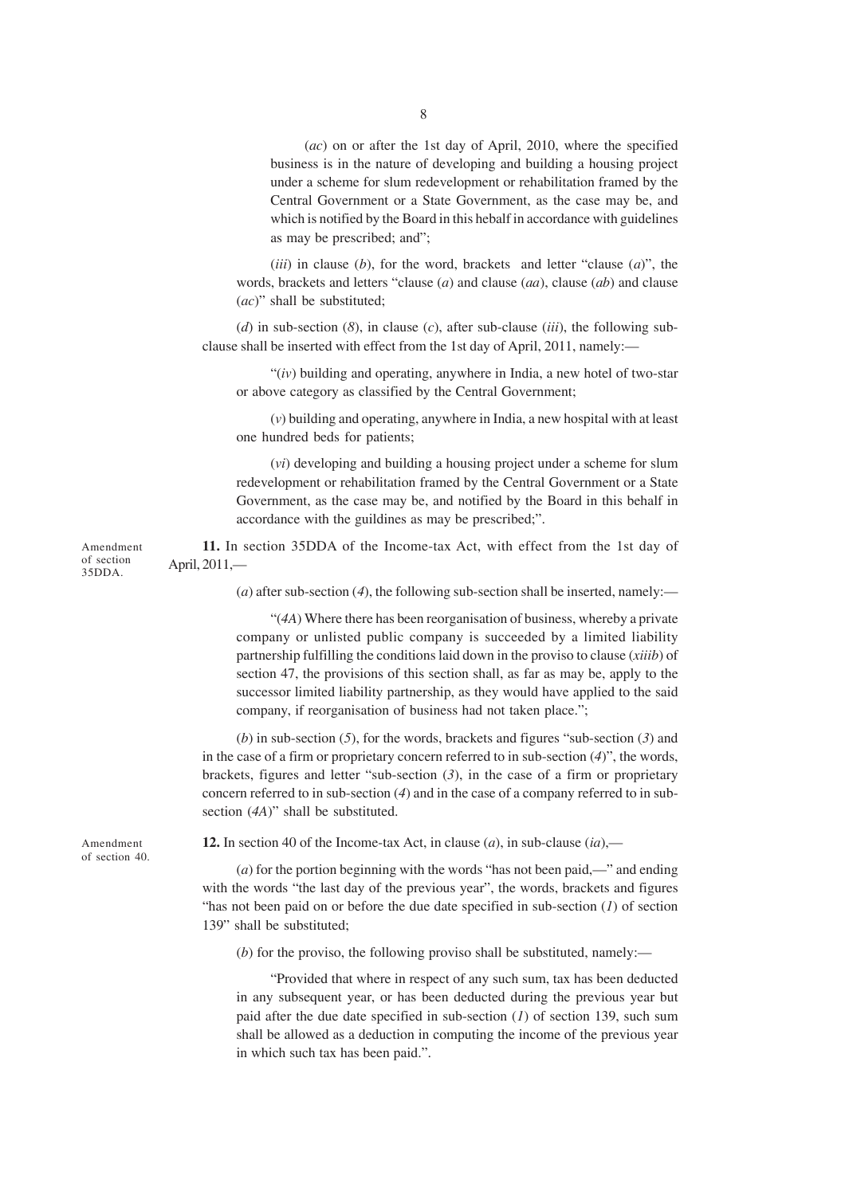(*ac*) on or after the 1st day of April, 2010, where the specified business is in the nature of developing and building a housing project under a scheme for slum redevelopment or rehabilitation framed by the Central Government or a State Government, as the case may be, and which is notified by the Board in this hebalf in accordance with guidelines as may be prescribed; and";

(*iii*) in clause (*b*), for the word, brackets and letter "clause (*a*)", the words, brackets and letters "clause (*a*) and clause (*aa*), clause (*ab*) and clause (*ac*)" shall be substituted;

(*d*) in sub-section (*8*), in clause (*c*), after sub-clause (*iii*), the following subclause shall be inserted with effect from the 1st day of April, 2011, namely:—

"(*iv*) building and operating, anywhere in India, a new hotel of two-star or above category as classified by the Central Government;

(*v*) building and operating, anywhere in India, a new hospital with at least one hundred beds for patients;

(*vi*) developing and building a housing project under a scheme for slum redevelopment or rehabilitation framed by the Central Government or a State Government, as the case may be, and notified by the Board in this behalf in accordance with the guildines as may be prescribed;".

**11.** In section 35DDA of the Income-tax Act, with effect from the 1st day of April, 2011,—

(*a*) after sub-section (*4*), the following sub-section shall be inserted, namely:—

"(*4A*) Where there has been reorganisation of business, whereby a private company or unlisted public company is succeeded by a limited liability partnership fulfilling the conditions laid down in the proviso to clause (*xiiib*) of section 47, the provisions of this section shall, as far as may be, apply to the successor limited liability partnership, as they would have applied to the said company, if reorganisation of business had not taken place.";

(*b*) in sub-section (*5*), for the words, brackets and figures "sub-section (*3*) and in the case of a firm or proprietary concern referred to in sub-section (*4*)", the words, brackets, figures and letter "sub-section (*3*), in the case of a firm or proprietary concern referred to in sub-section (*4*) and in the case of a company referred to in subsection (*4A*)" shall be substituted.

Amendment of section 40.

Amendment of section 35DDA.

**12.** In section 40 of the Income-tax Act, in clause (*a*), in sub-clause (*ia*),—

(*a*) for the portion beginning with the words "has not been paid,—" and ending with the words "the last day of the previous year", the words, brackets and figures "has not been paid on or before the due date specified in sub-section  $(I)$  of section 139" shall be substituted;

(*b*) for the proviso, the following proviso shall be substituted, namely:—

"Provided that where in respect of any such sum, tax has been deducted in any subsequent year, or has been deducted during the previous year but paid after the due date specified in sub-section (*1*) of section 139, such sum shall be allowed as a deduction in computing the income of the previous year in which such tax has been paid.".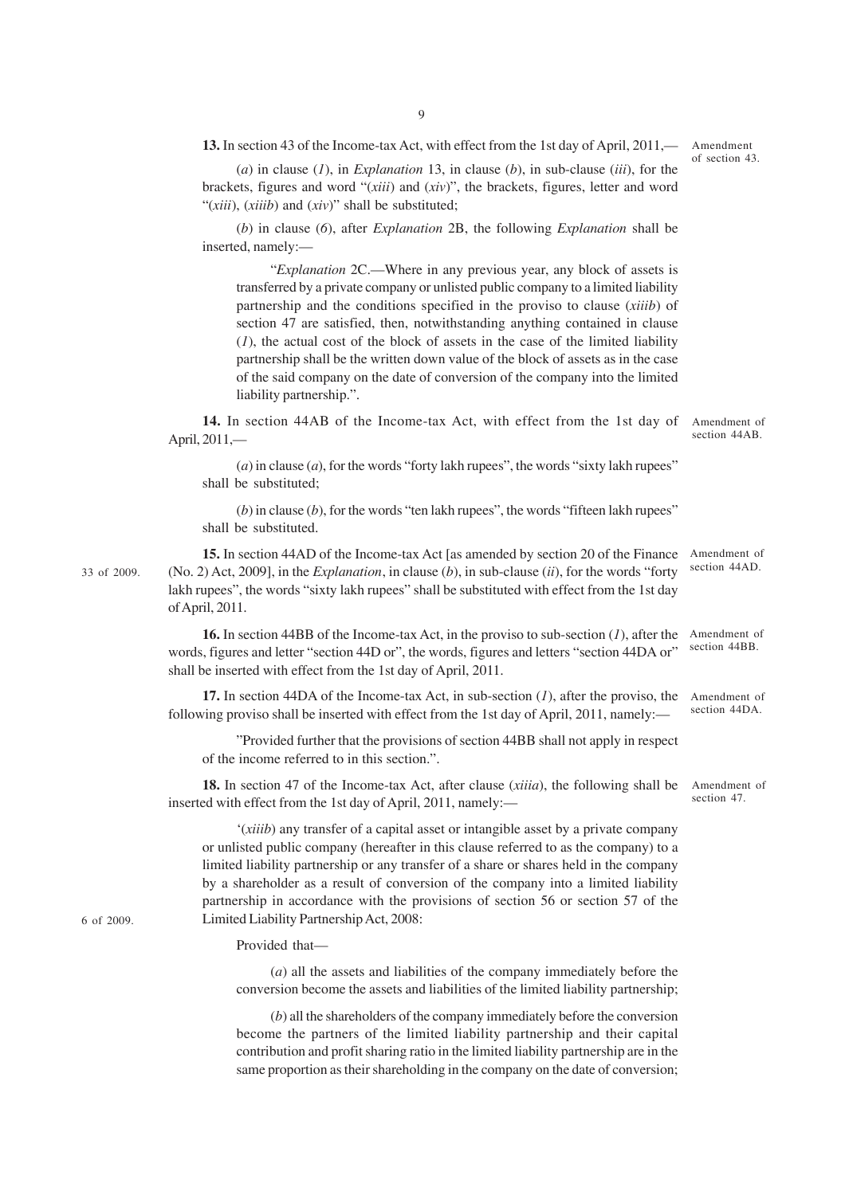**13.** In section 43 of the Income-tax Act, with effect from the 1st day of April, 2011,—

(*a*) in clause (*1*), in *Explanation* 13, in clause (*b*), in sub-clause (*iii*), for the brackets, figures and word "(*xiii*) and (*xiv*)", the brackets, figures, letter and word "(*xiii*), (*xiiib*) and (*xiv*)" shall be substituted;

(*b*) in clause (*6*), after *Explanation* 2B, the following *Explanation* shall be inserted, namely:—

"*Explanation* 2C.—Where in any previous year, any block of assets is transferred by a private company or unlisted public company to a limited liability partnership and the conditions specified in the proviso to clause (*xiiib*) of section 47 are satisfied, then, notwithstanding anything contained in clause (*1*), the actual cost of the block of assets in the case of the limited liability partnership shall be the written down value of the block of assets as in the case of the said company on the date of conversion of the company into the limited liability partnership.".

**14.** In section 44AB of the Income-tax Act, with effect from the 1st day of April, 2011,— Amendment of section 44AB.

 $(a)$  in clause  $(a)$ , for the words "forty lakh rupees", the words "sixty lakh rupees" shall be substituted;

 $(b)$  in clause  $(b)$ , for the words "ten lakh rupees", the words "fifteen lakh rupees" shall be substituted.

**15.** In section 44AD of the Income-tax Act [as amended by section 20 of the Finance Amendment of section 44AD. (No. 2) Act, 2009], in the *Explanation*, in clause (*b*), in sub-clause (*ii*), for the words "forty lakh rupees", the words "sixty lakh rupees" shall be substituted with effect from the 1st day of April, 2011.

**16.** In section 44BB of the Income-tax Act, in the proviso to sub-section (*1*), after the words, figures and letter "section 44D or", the words, figures and letters "section 44DA or" shall be inserted with effect from the 1st day of April, 2011. Amendment of section  $44$ <sub>BB</sub>.

**17.** In section 44DA of the Income-tax Act, in sub-section (*1*), after the proviso, the following proviso shall be inserted with effect from the 1st day of April, 2011, namely:-Amendment of section 44DA.

"Provided further that the provisions of section 44BB shall not apply in respect of the income referred to in this section.".

**18.** In section 47 of the Income-tax Act, after clause (*xiiia*), the following shall be inserted with effect from the 1st day of April, 2011, namely:— Amendment of section 47.

'(*xiiib*) any transfer of a capital asset or intangible asset by a private company or unlisted public company (hereafter in this clause referred to as the company) to a limited liability partnership or any transfer of a share or shares held in the company by a shareholder as a result of conversion of the company into a limited liability partnership in accordance with the provisions of section 56 or section 57 of the Limited Liability Partnership Act, 2008:

Provided that—

(*a*) all the assets and liabilities of the company immediately before the conversion become the assets and liabilities of the limited liability partnership;

(*b*) all the shareholders of the company immediately before the conversion become the partners of the limited liability partnership and their capital contribution and profit sharing ratio in the limited liability partnership are in the same proportion as their shareholding in the company on the date of conversion;

6 of 2009.

33 of 2009.

Amendment of section 43.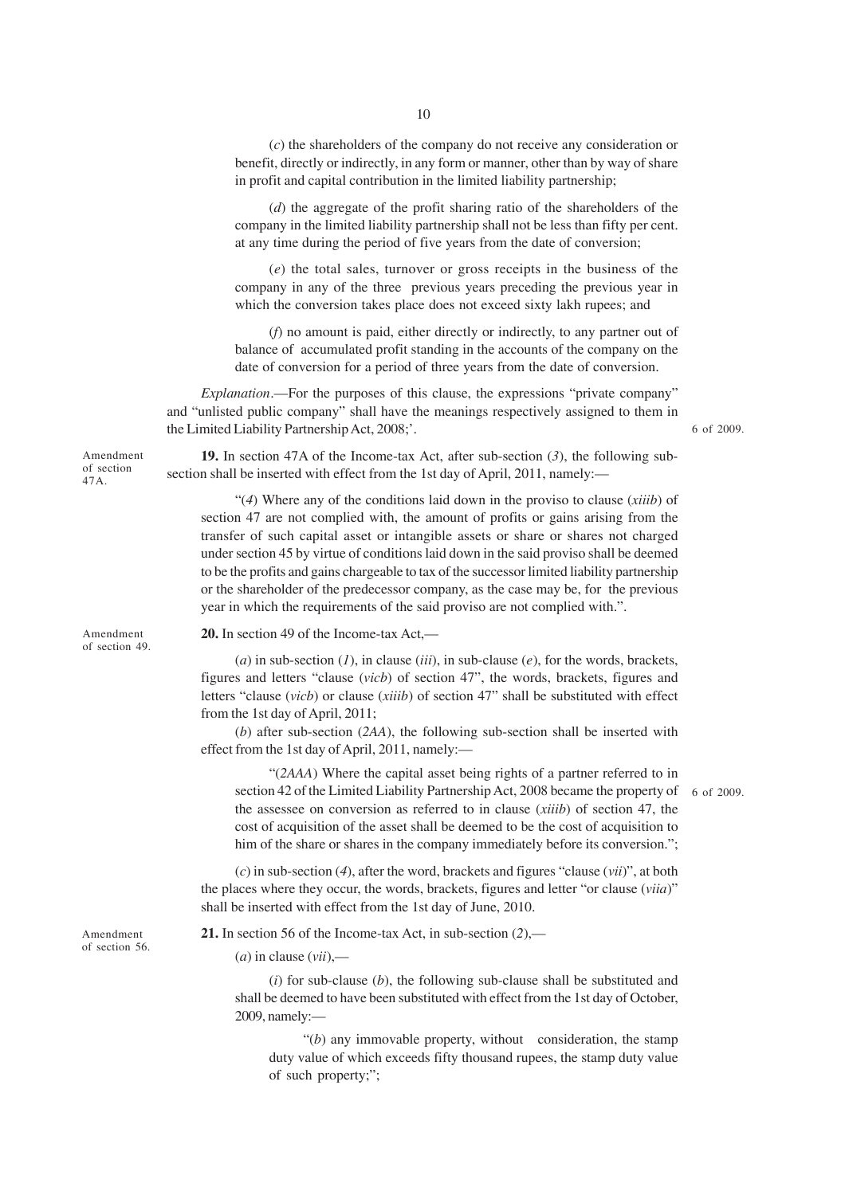(*c*) the shareholders of the company do not receive any consideration or benefit, directly or indirectly, in any form or manner, other than by way of share in profit and capital contribution in the limited liability partnership;

(*d*) the aggregate of the profit sharing ratio of the shareholders of the company in the limited liability partnership shall not be less than fifty per cent. at any time during the period of five years from the date of conversion;

(*e*) the total sales, turnover or gross receipts in the business of the company in any of the three previous years preceding the previous year in which the conversion takes place does not exceed sixty lakh rupees; and

(*f*) no amount is paid, either directly or indirectly, to any partner out of balance of accumulated profit standing in the accounts of the company on the date of conversion for a period of three years from the date of conversion.

*Explanation*.—For the purposes of this clause, the expressions "private company" and "unlisted public company" shall have the meanings respectively assigned to them in the Limited Liability Partnership Act, 2008;'.

6 of 2009.

**19.** In section 47A of the Income-tax Act, after sub-section (*3*), the following subsection shall be inserted with effect from the 1st day of April, 2011, namely:—

"(*4*) Where any of the conditions laid down in the proviso to clause (*xiiib*) of section 47 are not complied with, the amount of profits or gains arising from the transfer of such capital asset or intangible assets or share or shares not charged under section 45 by virtue of conditions laid down in the said proviso shall be deemed to be the profits and gains chargeable to tax of the successor limited liability partnership or the shareholder of the predecessor company, as the case may be, for the previous year in which the requirements of the said proviso are not complied with.".

Amendment of section 49.

Amendment of section 47A.

**20.** In section 49 of the Income-tax Act,—

(*a*) in sub-section (*1*), in clause (*iii*), in sub-clause (*e*), for the words, brackets, figures and letters "clause (*vicb*) of section 47", the words, brackets, figures and letters "clause (*vicb*) or clause (*xiiib*) of section 47" shall be substituted with effect from the 1st day of April, 2011;

(*b*) after sub-section (*2AA*), the following sub-section shall be inserted with effect from the 1st day of April, 2011, namely:—

"(*2AAA*) Where the capital asset being rights of a partner referred to in section 42 of the Limited Liability Partnership Act, 2008 became the property of 6 of 2009.the assessee on conversion as referred to in clause (*xiiib*) of section 47, the cost of acquisition of the asset shall be deemed to be the cost of acquisition to him of the share or shares in the company immediately before its conversion.";

(*c*) in sub-section (*4*), after the word, brackets and figures "clause (*vii*)", at both the places where they occur, the words, brackets, figures and letter "or clause (*viia*)" shall be inserted with effect from the 1st day of June, 2010.

**21.** In section 56 of the Income-tax Act, in sub-section (*2*),—

(*a*) in clause (*vii*),—

(*i*) for sub-clause (*b*), the following sub-clause shall be substituted and shall be deemed to have been substituted with effect from the 1st day of October, 2009, namely:—

" $(b)$  any immovable property, without consideration, the stamp duty value of which exceeds fifty thousand rupees, the stamp duty value of such property;";

Amendment of section 56.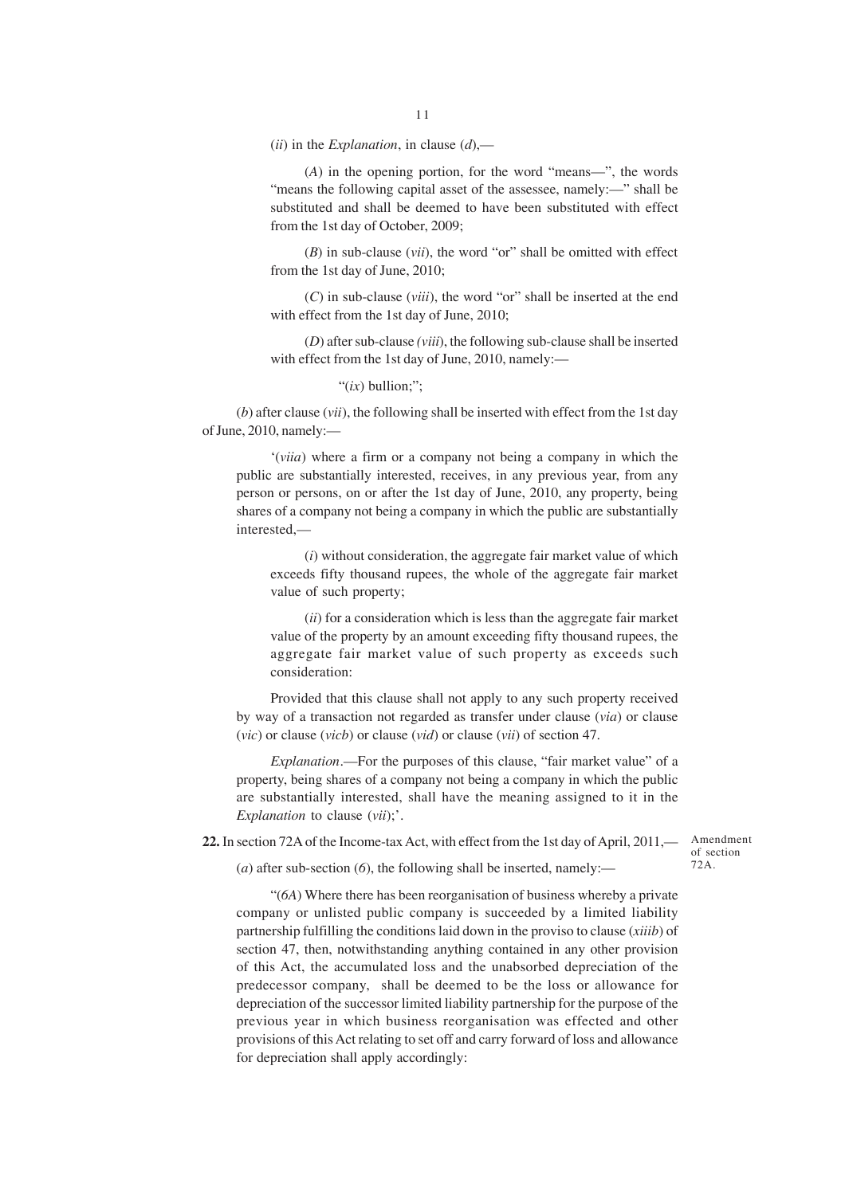(*ii*) in the *Explanation*, in clause (*d*),—

(*A*) in the opening portion, for the word "means—", the words "means the following capital asset of the assessee, namely:—" shall be substituted and shall be deemed to have been substituted with effect from the 1st day of October, 2009;

(*B*) in sub-clause (*vii*), the word "or" shall be omitted with effect from the 1st day of June, 2010;

(*C*) in sub-clause (*viii*), the word "or" shall be inserted at the end with effect from the 1st day of June, 2010;

(*D*) after sub-clause *(viii*), the following sub-clause shall be inserted with effect from the 1st day of June, 2010, namely:—

"(*ix*) bullion;";

(*b*) after clause (*vii*), the following shall be inserted with effect from the 1st day of June, 2010, namely:—

'(*viia*) where a firm or a company not being a company in which the public are substantially interested, receives, in any previous year, from any person or persons, on or after the 1st day of June, 2010, any property, being shares of a company not being a company in which the public are substantially interested,—

(*i*) without consideration, the aggregate fair market value of which exceeds fifty thousand rupees, the whole of the aggregate fair market value of such property;

(*ii*) for a consideration which is less than the aggregate fair market value of the property by an amount exceeding fifty thousand rupees, the aggregate fair market value of such property as exceeds such consideration:

Provided that this clause shall not apply to any such property received by way of a transaction not regarded as transfer under clause (*via*) or clause (*vic*) or clause (*vicb*) or clause (*vid*) or clause (*vii*) of section 47.

*Explanation*.—For the purposes of this clause, "fair market value" of a property, being shares of a company not being a company in which the public are substantially interested, shall have the meaning assigned to it in the *Explanation* to clause (*vii*);'.

**22.** In section 72A of the Income-tax Act, with effect from the 1st day of April, 2011,— Amendment

(*a*) after sub-section (*6*), the following shall be inserted, namely:—

"(*6A*) Where there has been reorganisation of business whereby a private company or unlisted public company is succeeded by a limited liability partnership fulfilling the conditions laid down in the proviso to clause (*xiiib*) of section 47, then, notwithstanding anything contained in any other provision of this Act, the accumulated loss and the unabsorbed depreciation of the predecessor company, shall be deemed to be the loss or allowance for depreciation of the successor limited liability partnership for the purpose of the previous year in which business reorganisation was effected and other provisions of this Act relating to set off and carry forward of loss and allowance for depreciation shall apply accordingly:

of section 72A.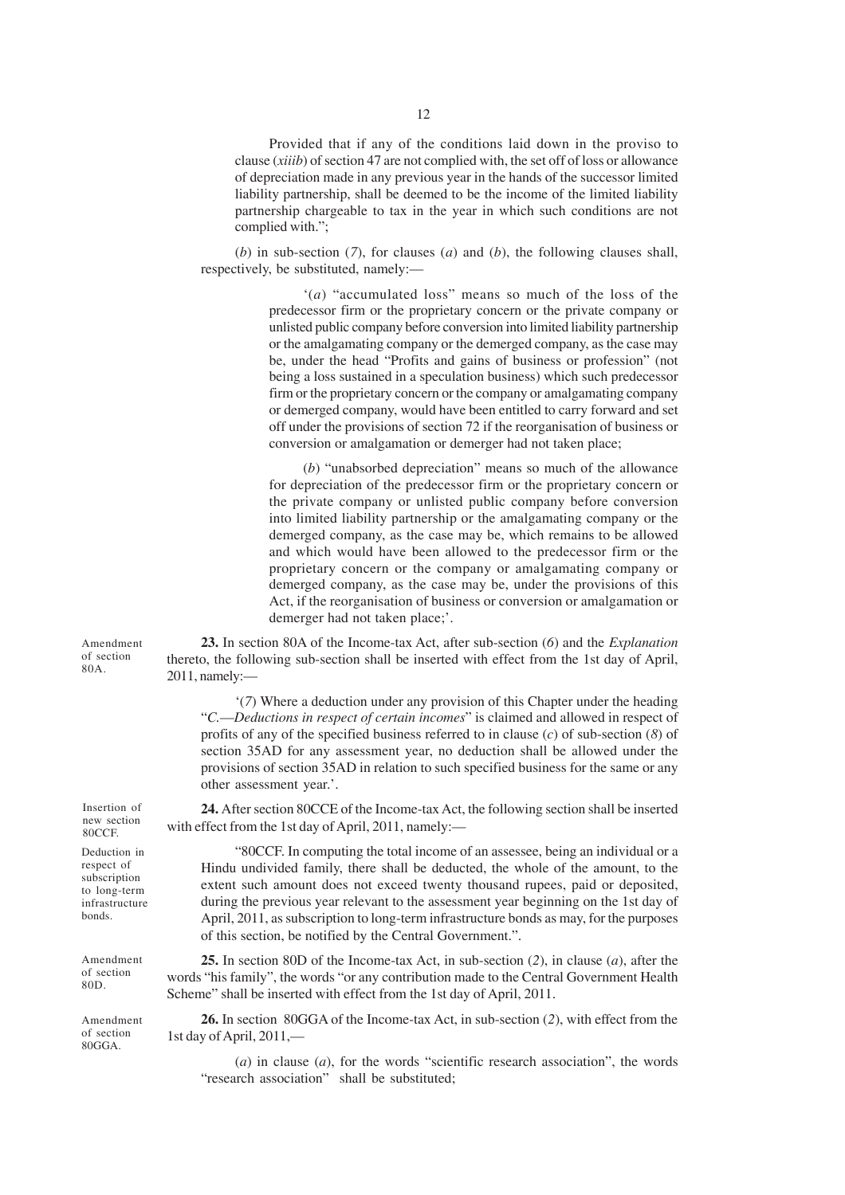Provided that if any of the conditions laid down in the proviso to clause (*xiiib*) of section 47 are not complied with, the set off of loss or allowance of depreciation made in any previous year in the hands of the successor limited liability partnership, shall be deemed to be the income of the limited liability partnership chargeable to tax in the year in which such conditions are not complied with.";

(*b*) in sub-section (*7*), for clauses (*a*) and (*b*), the following clauses shall, respectively, be substituted, namely:—

> '(*a*) "accumulated loss" means so much of the loss of the predecessor firm or the proprietary concern or the private company or unlisted public company before conversion into limited liability partnership or the amalgamating company or the demerged company, as the case may be, under the head "Profits and gains of business or profession" (not being a loss sustained in a speculation business) which such predecessor firm or the proprietary concern or the company or amalgamating company or demerged company, would have been entitled to carry forward and set off under the provisions of section 72 if the reorganisation of business or conversion or amalgamation or demerger had not taken place;

> (*b*) "unabsorbed depreciation" means so much of the allowance for depreciation of the predecessor firm or the proprietary concern or the private company or unlisted public company before conversion into limited liability partnership or the amalgamating company or the demerged company, as the case may be, which remains to be allowed and which would have been allowed to the predecessor firm or the proprietary concern or the company or amalgamating company or demerged company, as the case may be, under the provisions of this Act, if the reorganisation of business or conversion or amalgamation or demerger had not taken place;'.

**23.** In section 80A of the Income-tax Act, after sub-section (*6*) and the *Explanation* thereto, the following sub-section shall be inserted with effect from the 1st day of April, 2011, namely:—

'(*7*) Where a deduction under any provision of this Chapter under the heading "*C.*—*Deductions in respect of certain incomes*" is claimed and allowed in respect of profits of any of the specified business referred to in clause (*c*) of sub-section (*8*) of section 35AD for any assessment year, no deduction shall be allowed under the provisions of section 35AD in relation to such specified business for the same or any other assessment year.'.

**24.** After section 80CCE of the Income-tax Act, the following section shall be inserted with effect from the 1st day of April, 2011, namely:—

"80CCF. In computing the total income of an assessee, being an individual or a Hindu undivided family, there shall be deducted, the whole of the amount, to the extent such amount does not exceed twenty thousand rupees, paid or deposited, during the previous year relevant to the assessment year beginning on the 1st day of April, 2011, as subscription to long-term infrastructure bonds as may, for the purposes of this section, be notified by the Central Government.".

**25.** In section 80D of the Income-tax Act, in sub-section (*2*), in clause (*a*), after the words "his family", the words "or any contribution made to the Central Government Health Scheme" shall be inserted with effect from the 1st day of April, 2011.

**26.** In section 80GGA of the Income-tax Act, in sub-section (*2*), with effect from the 1st day of April, 2011,—

(*a*) in clause (*a*), for the words "scientific research association", the words "research association" shall be substituted;

Amendment of section 80A.

Insertion of new section 80CCF.

Deduction in respect of subscription to long-term infrastructure bonds.

Amendment of section 80D.

Amendment of section 80GGA.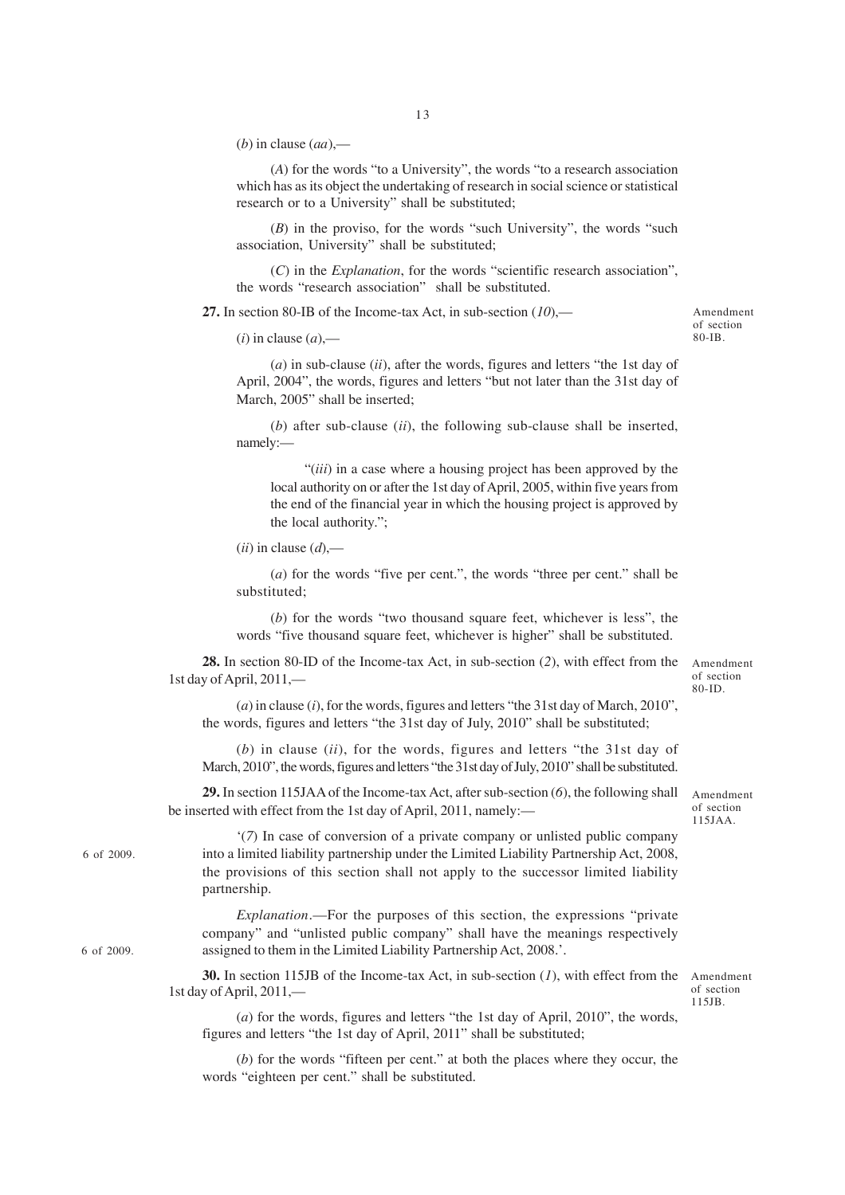(*b*) in clause (*aa*),—

(*A*) for the words "to a University", the words "to a research association which has as its object the undertaking of research in social science or statistical research or to a University" shall be substituted;

(*B*) in the proviso, for the words "such University", the words "such association, University" shall be substituted;

(*C*) in the *Explanation*, for the words "scientific research association", the words "research association" shall be substituted.

**27.** In section 80-IB of the Income-tax Act, in sub-section (*10*),—

 $(i)$  in clause  $(a)$ ,—

(*a*) in sub-clause (*ii*), after the words, figures and letters "the 1st day of April, 2004", the words, figures and letters "but not later than the 31st day of March, 2005" shall be inserted:

(*b*) after sub-clause (*ii*), the following sub-clause shall be inserted, namely:—

"(*iii*) in a case where a housing project has been approved by the local authority on or after the 1st day of April, 2005, within five years from the end of the financial year in which the housing project is approved by the local authority.";

(*ii*) in clause (*d*),—

6 of 2009.

6 of 2009.

(*a*) for the words "five per cent.", the words "three per cent." shall be substituted;

(*b*) for the words "two thousand square feet, whichever is less", the words "five thousand square feet, whichever is higher" shall be substituted.

**28.** In section 80-ID of the Income-tax Act, in sub-section (*2*), with effect from the 1st day of April, 2011,—

(*a*) in clause (*i*), for the words, figures and letters "the 31st day of March, 2010", the words, figures and letters "the 31st day of July, 2010" shall be substituted;

(*b*) in clause (*ii*), for the words, figures and letters "the 31st day of March, 2010", the words, figures and letters "the 31st day of July, 2010" shall be substituted.

**29.** In section 115JAA of the Income-tax Act, after sub-section (*6*), the following shall be inserted with effect from the 1st day of April, 2011, namely:—

'(*7*) In case of conversion of a private company or unlisted public company into a limited liability partnership under the Limited Liability Partnership Act, 2008, the provisions of this section shall not apply to the successor limited liability partnership.

*Explanation*.—For the purposes of this section, the expressions "private company" and "unlisted public company" shall have the meanings respectively assigned to them in the Limited Liability Partnership Act, 2008.'.

**30.** In section 115JB of the Income-tax Act, in sub-section (*1*), with effect from the 1st day of April, 2011,—

Amendment of section 115JB.

(*a*) for the words, figures and letters "the 1st day of April, 2010", the words, figures and letters "the 1st day of April, 2011" shall be substituted;

(*b*) for the words "fifteen per cent." at both the places where they occur, the words "eighteen per cent." shall be substituted.

of section 80-IB.

Amendment of section 80-ID.

Amendment of section 115JAA.

Amendment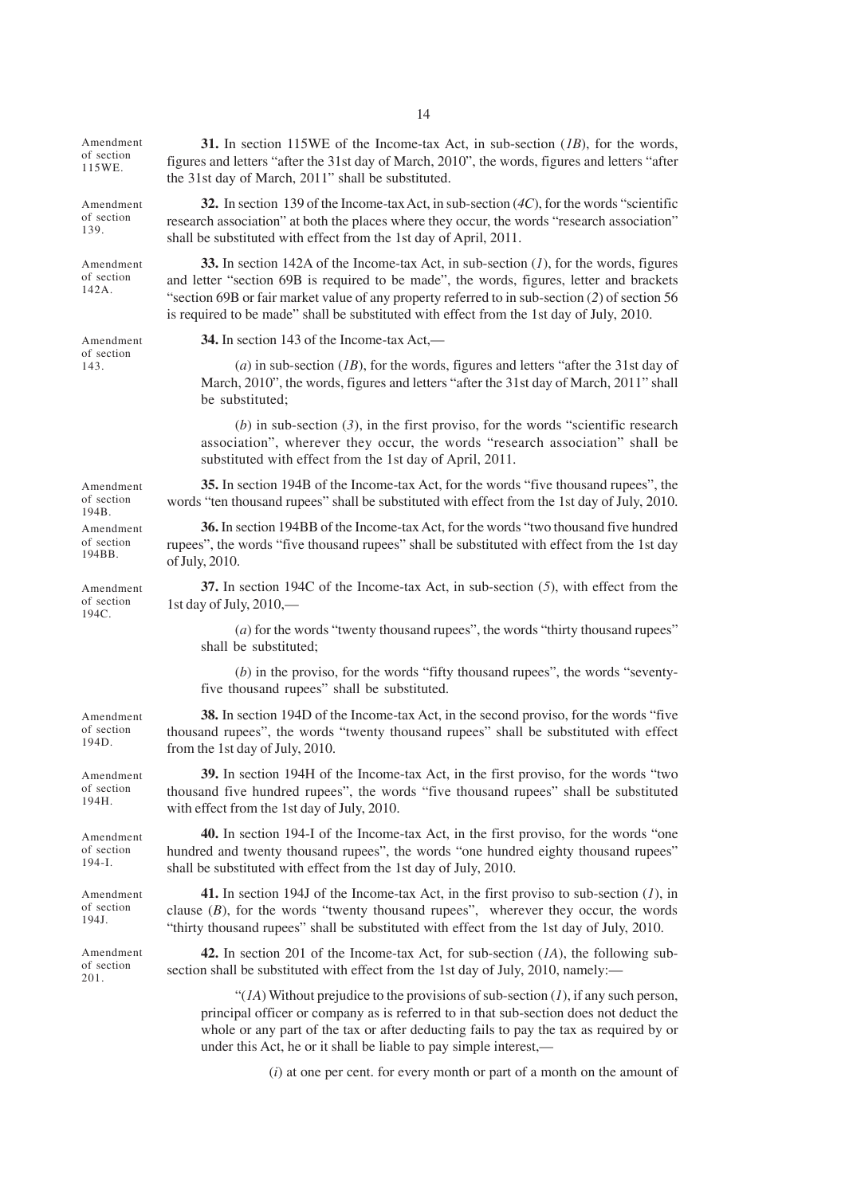Amendment of section 115WE.

Amendment of section 139.

Amendment of section 142A.

Amendment of section 143.

Amendment of section 194B. Amendment of section 194BB.

Amendment of section 194C.

Amendment of section 194D.

Amendment of section 194H.

Amendment of section 194-I.

Amendment of section 194J.

Amendment of section 201.

**31.** In section 115WE of the Income-tax Act, in sub-section (*1B*), for the words, figures and letters "after the 31st day of March, 2010", the words, figures and letters "after the 31st day of March, 2011" shall be substituted.

**32.** In section 139 of the Income-tax Act, in sub-section (*4C*), for the words "scientific research association" at both the places where they occur, the words "research association" shall be substituted with effect from the 1st day of April, 2011.

**33.** In section 142A of the Income-tax Act, in sub-section (*1*), for the words, figures and letter "section 69B is required to be made", the words, figures, letter and brackets "section 69B or fair market value of any property referred to in sub-section (*2*) of section 56 is required to be made" shall be substituted with effect from the 1st day of July, 2010.

**34.** In section 143 of the Income-tax Act,—

(*a*) in sub-section (*1B*), for the words, figures and letters "after the 31st day of March, 2010", the words, figures and letters "after the 31st day of March, 2011" shall be substituted;

(*b*) in sub-section (*3*), in the first proviso, for the words "scientific research association", wherever they occur, the words "research association" shall be substituted with effect from the 1st day of April, 2011.

**35.** In section 194B of the Income-tax Act, for the words "five thousand rupees", the words "ten thousand rupees" shall be substituted with effect from the 1st day of July, 2010.

**36.** In section 194BB of the Income-tax Act, for the words "two thousand five hundred rupees", the words "five thousand rupees" shall be substituted with effect from the 1st day of July, 2010.

**37.** In section 194C of the Income-tax Act, in sub-section (*5*), with effect from the 1st day of July, 2010,—

(*a*) for the words "twenty thousand rupees", the words "thirty thousand rupees" shall be substituted;

(*b*) in the proviso, for the words "fifty thousand rupees", the words "seventyfive thousand rupees" shall be substituted.

**38.** In section 194D of the Income-tax Act, in the second proviso, for the words "five thousand rupees", the words "twenty thousand rupees" shall be substituted with effect from the 1st day of July, 2010.

**39.** In section 194H of the Income-tax Act, in the first proviso, for the words "two thousand five hundred rupees", the words "five thousand rupees" shall be substituted with effect from the 1st day of July, 2010.

**40.** In section 194-I of the Income-tax Act, in the first proviso, for the words "one hundred and twenty thousand rupees", the words "one hundred eighty thousand rupees" shall be substituted with effect from the 1st day of July, 2010.

**41.** In section 194J of the Income-tax Act, in the first proviso to sub-section (*1*), in clause  $(B)$ , for the words "twenty thousand rupees", wherever they occur, the words "thirty thousand rupees" shall be substituted with effect from the 1st day of July, 2010.

**42.** In section 201 of the Income-tax Act, for sub-section (*1A*), the following subsection shall be substituted with effect from the 1st day of July, 2010, namely:-

" $(1)$ <sup>"</sup> Without prejudice to the provisions of sub-section  $(1)$ , if any such person," principal officer or company as is referred to in that sub-section does not deduct the whole or any part of the tax or after deducting fails to pay the tax as required by or under this Act, he or it shall be liable to pay simple interest,—

(*i*) at one per cent. for every month or part of a month on the amount of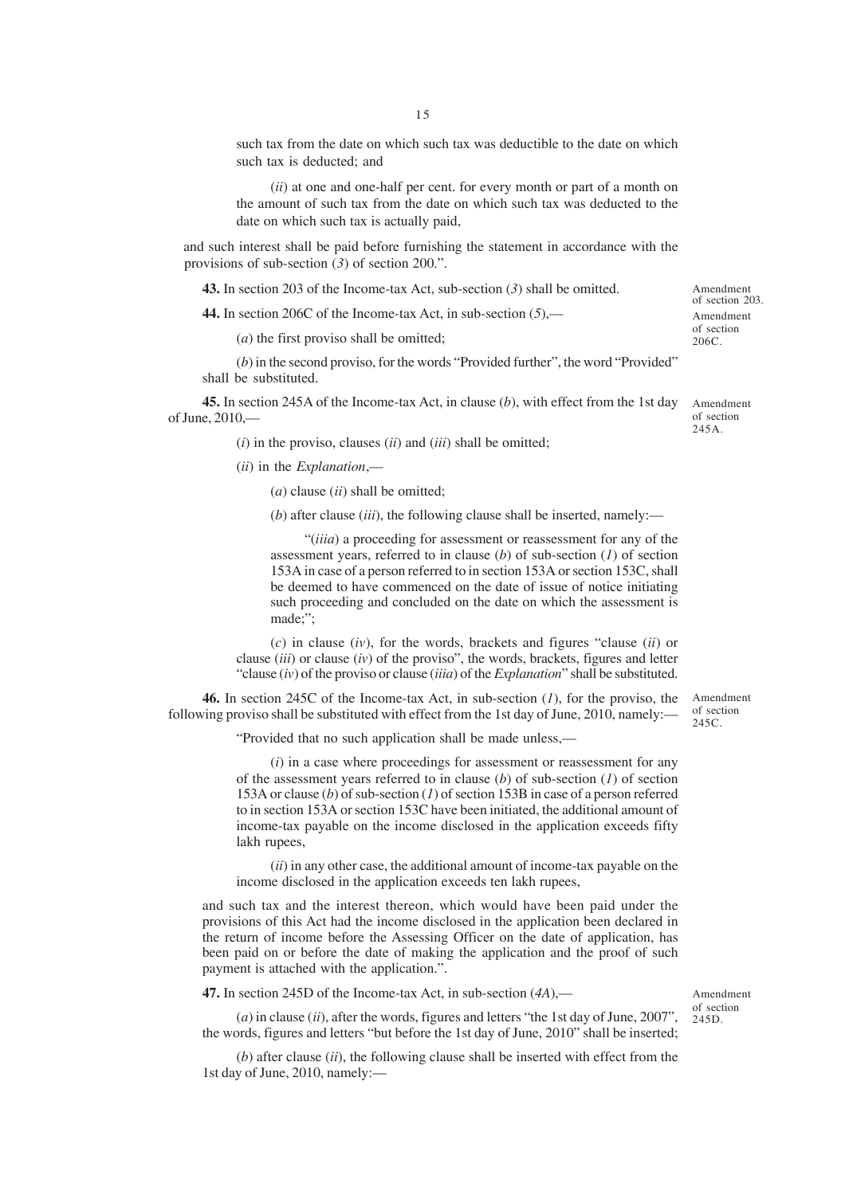such tax from the date on which such tax was deductible to the date on which such tax is deducted; and

(*ii*) at one and one-half per cent. for every month or part of a month on the amount of such tax from the date on which such tax was deducted to the date on which such tax is actually paid,

and such interest shall be paid before furnishing the statement in accordance with the provisions of sub-section (*3*) of section 200.".

**43.** In section 203 of the Income-tax Act, sub-section (*3*) shall be omitted.

**44.** In section 206C of the Income-tax Act, in sub-section (*5*),—

(*a*) the first proviso shall be omitted;

(*b*) in the second proviso, for the words "Provided further", the word "Provided" shall be substituted.

**45.** In section 245A of the Income-tax Act, in clause (*b*), with effect from the 1st day of June, 2010,—

Amendment of section 245A.

Amendment of section 203. Amendment of section 206C.

(*i*) in the proviso, clauses (*ii*) and (*iii*) shall be omitted;

(*ii*) in the *Explanation*,—

(*a*) clause (*ii*) shall be omitted;

(*b*) after clause (*iii*), the following clause shall be inserted, namely:—

"(*iiia*) a proceeding for assessment or reassessment for any of the assessment years, referred to in clause (*b*) of sub-section (*1*) of section 153A in case of a person referred to in section 153A or section 153C, shall be deemed to have commenced on the date of issue of notice initiating such proceeding and concluded on the date on which the assessment is made;";

(*c*) in clause (*iv*), for the words, brackets and figures "clause (*ii*) or clause (*iii*) or clause (*iv*) of the proviso", the words, brackets, figures and letter "clause (*iv*) of the proviso or clause (*iiia*) of the *Explanation*" shall be substituted.

**46.** In section 245C of the Income-tax Act, in sub-section (*1*), for the proviso, the following proviso shall be substituted with effect from the 1st day of June, 2010, namely:—

"Provided that no such application shall be made unless,—

(*i*) in a case where proceedings for assessment or reassessment for any of the assessment years referred to in clause (*b*) of sub-section (*1*) of section 153A or clause (*b*) of sub-section (*1*) of section 153B in case of a person referred to in section 153A or section 153C have been initiated, the additional amount of income-tax payable on the income disclosed in the application exceeds fifty lakh rupees,

(*ii*) in any other case, the additional amount of income-tax payable on the income disclosed in the application exceeds ten lakh rupees,

and such tax and the interest thereon, which would have been paid under the provisions of this Act had the income disclosed in the application been declared in the return of income before the Assessing Officer on the date of application, has been paid on or before the date of making the application and the proof of such payment is attached with the application.".

**47.** In section 245D of the Income-tax Act, in sub-section (*4A*),—

(*a*) in clause (*ii*), after the words, figures and letters "the 1st day of June, 2007", the words, figures and letters "but before the 1st day of June, 2010" shall be inserted;

(*b*) after clause (*ii*), the following clause shall be inserted with effect from the 1st day of June, 2010, namely:—

Amendment of section  $245C$ 

Amendment of section 245D.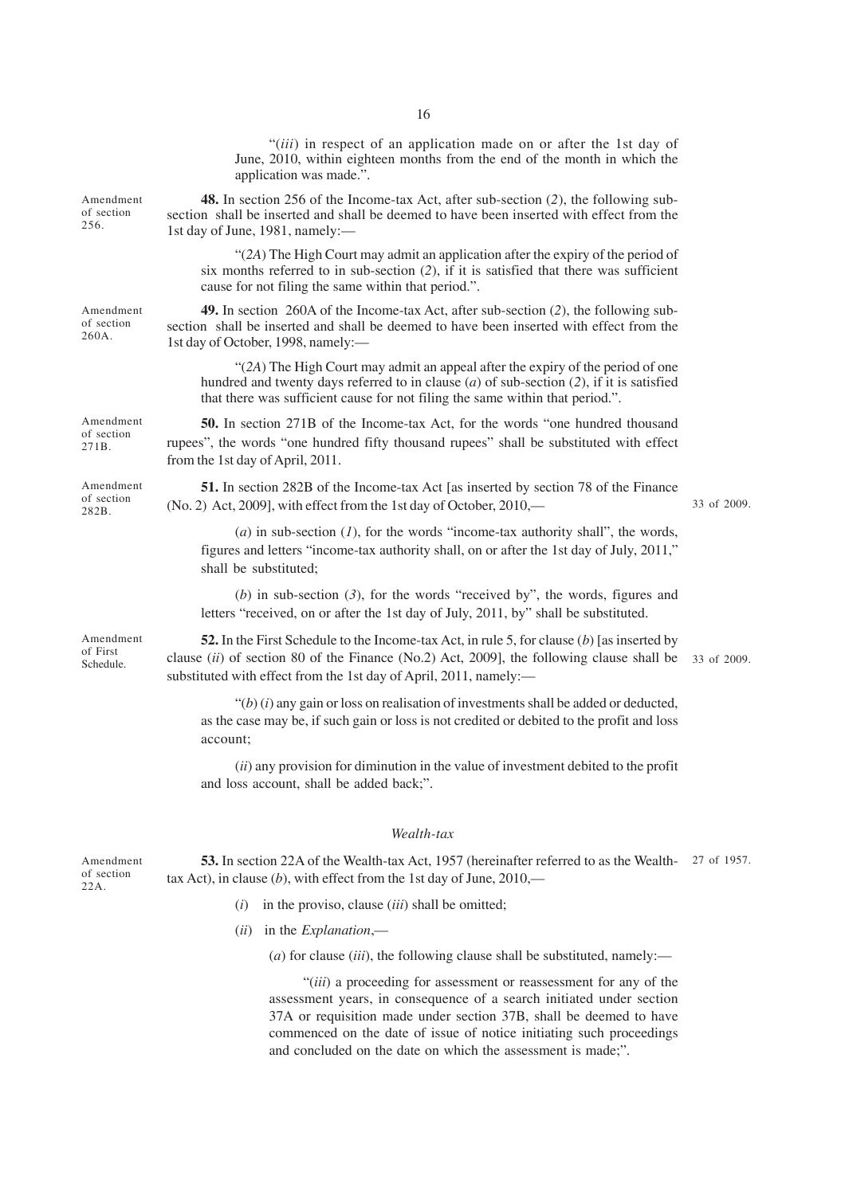|                                    | "( <i>iii</i> ) in respect of an application made on or after the 1st day of<br>June, 2010, within eighteen months from the end of the month in which the<br>application was made.".                                                                             |             |
|------------------------------------|------------------------------------------------------------------------------------------------------------------------------------------------------------------------------------------------------------------------------------------------------------------|-------------|
| Amendment<br>of section<br>256.    | 48. In section 256 of the Income-tax Act, after sub-section (2), the following sub-<br>section shall be inserted and shall be deemed to have been inserted with effect from the<br>1st day of June, 1981, namely:-                                               |             |
|                                    | "(2A) The High Court may admit an application after the expiry of the period of<br>six months referred to in sub-section $(2)$ , if it is satisfied that there was sufficient<br>cause for not filing the same within that period.".                             |             |
| Amendment<br>of section<br>260A.   | 49. In section 260A of the Income-tax Act, after sub-section (2), the following sub-<br>section shall be inserted and shall be deemed to have been inserted with effect from the<br>1st day of October, 1998, namely:-                                           |             |
|                                    | "(2A) The High Court may admit an appeal after the expiry of the period of one<br>hundred and twenty days referred to in clause $(a)$ of sub-section $(2)$ , if it is satisfied<br>that there was sufficient cause for not filing the same within that period.". |             |
| Amendment<br>of section<br>271B.   | <b>50.</b> In section 271B of the Income-tax Act, for the words "one hundred thousand"<br>rupees", the words "one hundred fifty thousand rupees" shall be substituted with effect<br>from the 1st day of April, 2011.                                            |             |
| Amendment<br>of section<br>282B.   | <b>51.</b> In section 282B of the Income-tax Act [as inserted by section 78 of the Finance<br>(No. 2) Act, 2009], with effect from the 1st day of October, 2010,—                                                                                                | 33 of 2009. |
|                                    | (a) in sub-section $(1)$ , for the words "income-tax authority shall", the words,<br>figures and letters "income-tax authority shall, on or after the 1st day of July, 2011,"<br>shall be substituted;                                                           |             |
|                                    | (b) in sub-section $(3)$ , for the words "received by", the words, figures and<br>letters "received, on or after the 1st day of July, 2011, by" shall be substituted.                                                                                            |             |
| Amendment<br>of First<br>Schedule. | 52. In the First Schedule to the Income-tax Act, in rule 5, for clause (b) [as inserted by<br>clause (ii) of section 80 of the Finance (No.2) Act, 2009], the following clause shall be<br>substituted with effect from the 1st day of April, 2011, namely:-     | 33 of 2009. |
|                                    | " $(b)$ (i) any gain or loss on realisation of investments shall be added or deducted,<br>as the case may be, if such gain or loss is not credited or debited to the profit and loss<br>account;                                                                 |             |
|                                    | $(ii)$ any provision for diminution in the value of investment debited to the profit<br>and loss account, shall be added back;".                                                                                                                                 |             |
|                                    | Wealth-tax                                                                                                                                                                                                                                                       |             |
| Amendment<br>of section            | 53. In section 22A of the Wealth-tax Act, 1957 (hereinafter referred to as the Wealth-<br>tax Act), in clause (b), with effect from the 1st day of June, $2010$ ,—                                                                                               | 27 of 1957. |

of section 22A.

- (*i*) in the proviso, clause (*iii*) shall be omitted;
- (*ii*) in the *Explanation*,—
	- (*a*) for clause (*iii*), the following clause shall be substituted, namely:—

"(*iii*) a proceeding for assessment or reassessment for any of the assessment years, in consequence of a search initiated under section 37A or requisition made under section 37B, shall be deemed to have commenced on the date of issue of notice initiating such proceedings and concluded on the date on which the assessment is made;".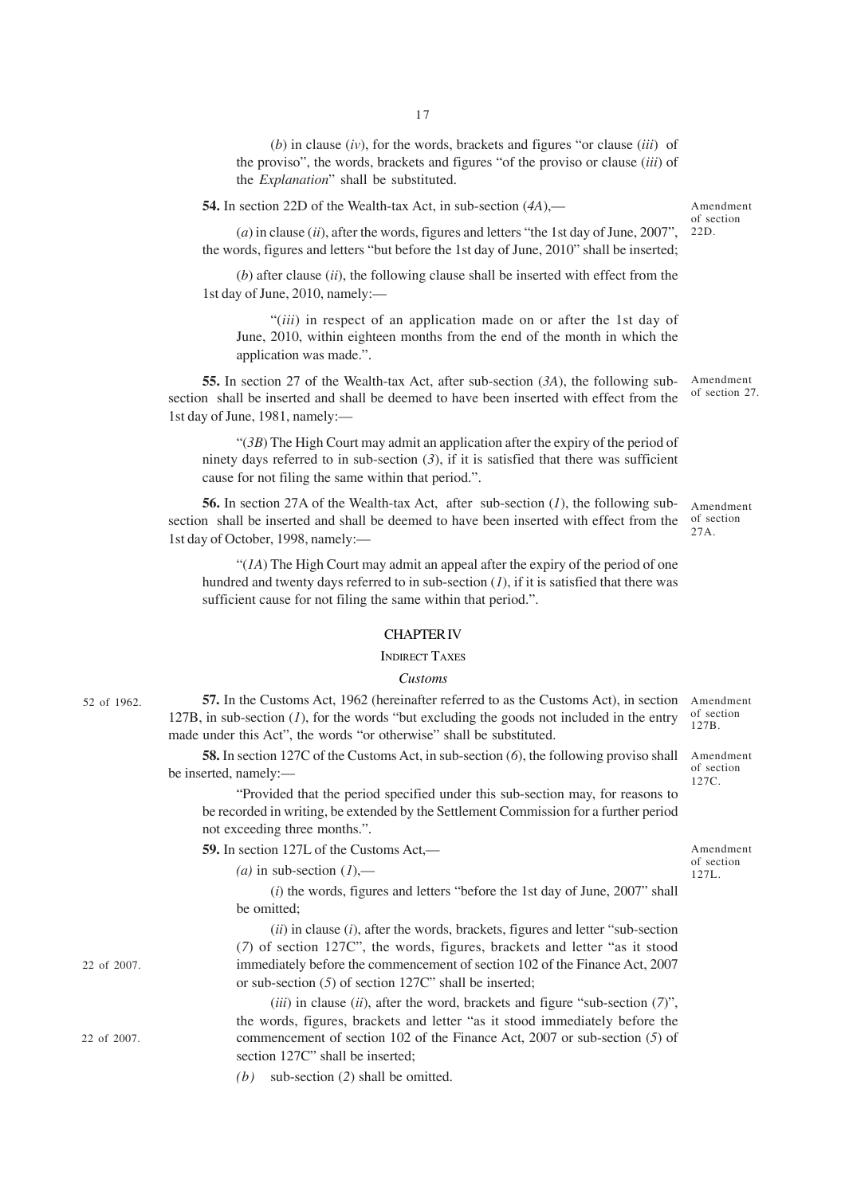(*b*) in clause (*iv*), for the words, brackets and figures "or clause (*iii*) of the proviso", the words, brackets and figures "of the proviso or clause (*iii*) of

**54.** In section 22D of the Wealth-tax Act, in sub-section (*4A*),—

the *Explanation*" shall be substituted.

(*a*) in clause (*ii*), after the words, figures and letters "the 1st day of June, 2007", the words, figures and letters "but before the 1st day of June, 2010" shall be inserted;

(*b*) after clause (*ii*), the following clause shall be inserted with effect from the 1st day of June, 2010, namely:—

"(*iii*) in respect of an application made on or after the 1st day of June, 2010, within eighteen months from the end of the month in which the application was made.".

**55.** In section 27 of the Wealth-tax Act, after sub-section (*3A*), the following subsection shall be inserted and shall be deemed to have been inserted with effect from the 1st day of June, 1981, namely:—

"(*3B*) The High Court may admit an application after the expiry of the period of ninety days referred to in sub-section (*3*), if it is satisfied that there was sufficient cause for not filing the same within that period.".

**56.** In section 27A of the Wealth-tax Act, after sub-section (*1*), the following subsection shall be inserted and shall be deemed to have been inserted with effect from the 1st day of October, 1998, namely:— Amendment of section  $27A$ 

"(*1A*) The High Court may admit an appeal after the expiry of the period of one hundred and twenty days referred to in sub-section (*1*), if it is satisfied that there was sufficient cause for not filing the same within that period.".

### CHAPTER IV

#### INDIRECT TAXES

### *Customs*

**57.** In the Customs Act, 1962 (hereinafter referred to as the Customs Act), in section 127B, in sub-section (*1*), for the words "but excluding the goods not included in the entry made under this Act", the words "or otherwise" shall be substituted. Amendment of section

**58.** In section 127C of the Customs Act, in sub-section (6), the following proviso shall Amendment be inserted, namely:—

"Provided that the period specified under this sub-section may, for reasons to be recorded in writing, be extended by the Settlement Commission for a further period not exceeding three months.".

**59.** In section 127L of the Customs Act,—

 $(a)$  in sub-section  $(1)$ ,—

(*i*) the words, figures and letters "before the 1st day of June, 2007" shall be omitted;

(*ii*) in clause (*i*), after the words, brackets, figures and letter "sub-section (*7*) of section 127C", the words, figures, brackets and letter "as it stood immediately before the commencement of section 102 of the Finance Act, 2007 or sub-section (*5*) of section 127C" shall be inserted;

(*iii*) in clause (*ii*), after the word, brackets and figure "sub-section (*7*)", the words, figures, brackets and letter "as it stood immediately before the commencement of section 102 of the Finance Act, 2007 or sub-section (*5*) of section 127C" shall be inserted;

*(b)* sub-section (*2*) shall be omitted.

52 of 1962.

22 of 2007.

22 of 2007.

127B.

of section 127C.

Amendment of section 127L.

Amendment of section 22D.

of section 27.

Amendment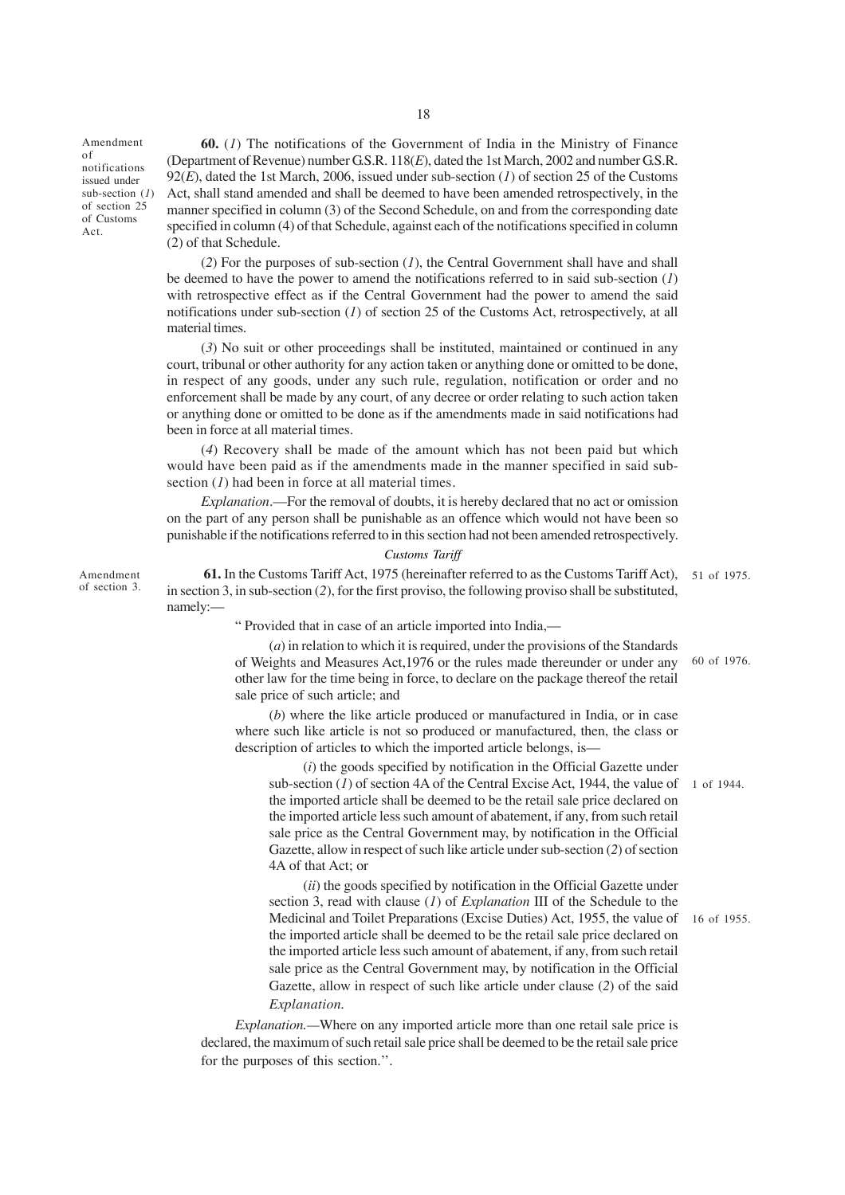Amendment of notifications issued under sub-section (*1*) of section 25 of Customs Act.

**60.** (*1*) The notifications of the Government of India in the Ministry of Finance (Department of Revenue) number G.S.R. 118(*E*), dated the 1st March, 2002 and number G.S.R. 92(*E*), dated the 1st March, 2006, issued under sub-section (*1*) of section 25 of the Customs Act, shall stand amended and shall be deemed to have been amended retrospectively, in the manner specified in column (3) of the Second Schedule, on and from the corresponding date specified in column (4) of that Schedule, against each of the notifications specified in column (2) of that Schedule.

(*2*) For the purposes of sub-section (*1*), the Central Government shall have and shall be deemed to have the power to amend the notifications referred to in said sub-section (*1*) with retrospective effect as if the Central Government had the power to amend the said notifications under sub-section (*1*) of section 25 of the Customs Act, retrospectively, at all material times.

(*3*) No suit or other proceedings shall be instituted, maintained or continued in any court, tribunal or other authority for any action taken or anything done or omitted to be done, in respect of any goods, under any such rule, regulation, notification or order and no enforcement shall be made by any court, of any decree or order relating to such action taken or anything done or omitted to be done as if the amendments made in said notifications had been in force at all material times.

(*4*) Recovery shall be made of the amount which has not been paid but which would have been paid as if the amendments made in the manner specified in said subsection (*l*) had been in force at all material times.

*Explanation*.—For the removal of doubts, it is hereby declared that no act or omission on the part of any person shall be punishable as an offence which would not have been so punishable if the notifications referred to in this section had not been amended retrospectively.

### *Customs Tariff*

 **61.** In the Customs Tariff Act, 1975 (hereinafter referred to as the Customs Tariff Act), 51 of 1975. in section 3, in sub-section (*2*), for the first proviso, the following proviso shall be substituted, namely:—

" Provided that in case of an article imported into India,—

(*a*) in relation to which it is required, under the provisions of the Standards of Weights and Measures Act,1976 or the rules made thereunder or under any other law for the time being in force, to declare on the package thereof the retail sale price of such article; and 60 of 1976.

(*b*) where the like article produced or manufactured in India, or in case where such like article is not so produced or manufactured, then, the class or description of articles to which the imported article belongs, is—

(*i*) the goods specified by notification in the Official Gazette under sub-section  $(I)$  of section 4A of the Central Excise Act, 1944, the value of  $1$  of 1944. the imported article shall be deemed to be the retail sale price declared on the imported article less such amount of abatement, if any, from such retail sale price as the Central Government may, by notification in the Official Gazette, allow in respect of such like article under sub-section (*2*) of section 4A of that Act; or

(*ii*) the goods specified by notification in the Official Gazette under section 3, read with clause (*1*) of *Explanation* III of the Schedule to the Medicinal and Toilet Preparations (Excise Duties) Act, 1955, the value of 16 of 1955. the imported article shall be deemed to be the retail sale price declared on the imported article less such amount of abatement, if any, from such retail sale price as the Central Government may, by notification in the Official Gazette, allow in respect of such like article under clause (*2*) of the said *Explanation.*

*Explanation.—*Where on any imported article more than one retail sale price is declared, the maximum of such retail sale price shall be deemed to be the retail sale price for the purposes of this section.''.

Amendment of section 3.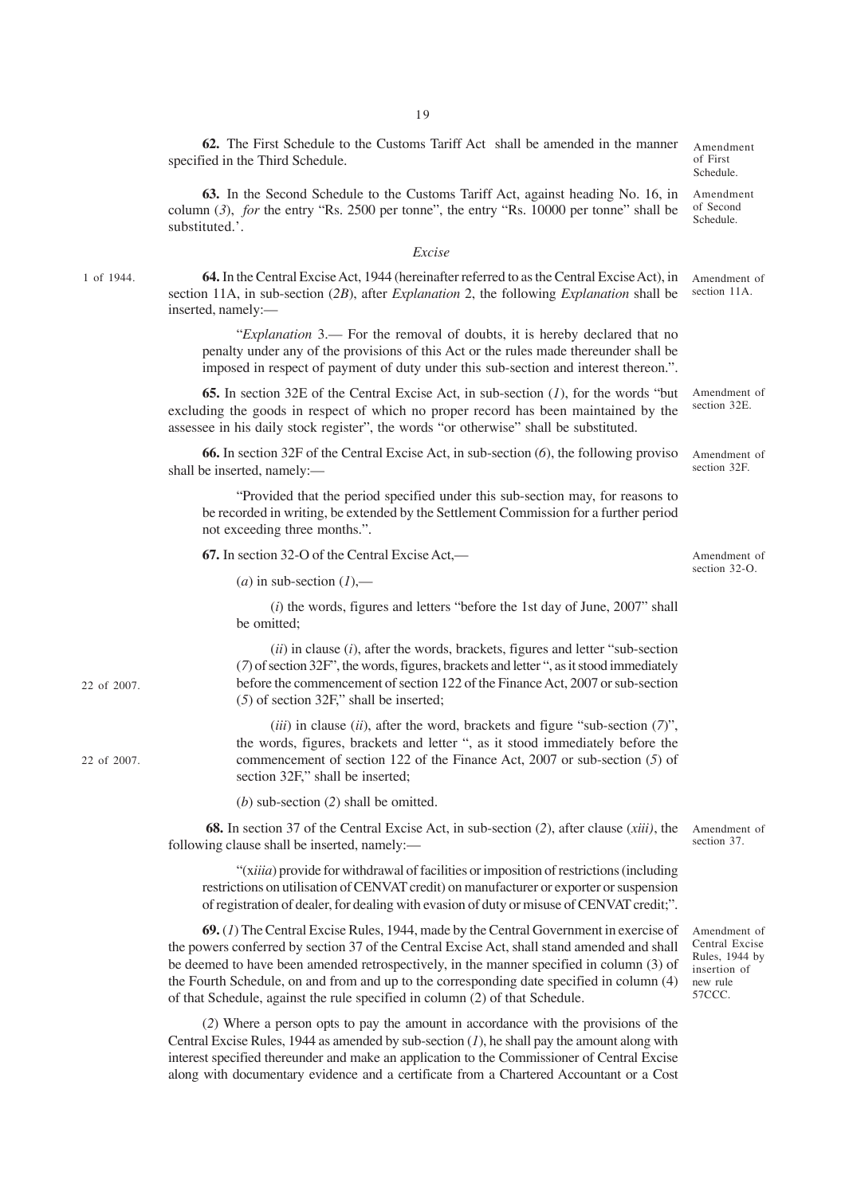**62.** The First Schedule to the Customs Tariff Act shall be amended in the manner specified in the Third Schedule. Amendment of First Schedule.

**63.** In the Second Schedule to the Customs Tariff Act, against heading No. 16, in column (*3*), *for* the entry "Rs. 2500 per tonne", the entry "Rs. 10000 per tonne" shall be substituted.'.

#### *Excise*

1 of 1944.

**64.** In the Central Excise Act, 1944 (hereinafter referred to as the Central Excise Act), in section 11A, in sub-section (*2B*), after *Explanation* 2, the following *Explanation* shall be inserted, namely:— Amendment of section 11A.

"*Explanation* 3.— For the removal of doubts, it is hereby declared that no penalty under any of the provisions of this Act or the rules made thereunder shall be imposed in respect of payment of duty under this sub-section and interest thereon.".

**65.** In section 32E of the Central Excise Act, in sub-section (*1*), for the words "but excluding the goods in respect of which no proper record has been maintained by the assessee in his daily stock register", the words "or otherwise" shall be substituted. Amendment of section 32E.

**66.** In section 32F of the Central Excise Act, in sub-section (*6*), the following proviso shall be inserted, namely:—

"Provided that the period specified under this sub-section may, for reasons to be recorded in writing, be extended by the Settlement Commission for a further period not exceeding three months.".

**67.** In section 32-O of the Central Excise Act,—

 $(a)$  in sub-section  $(I)$ ,—

(*i*) the words, figures and letters "before the 1st day of June, 2007" shall be omitted;

(*ii*) in clause (*i*), after the words, brackets, figures and letter "sub-section (*7*) of section 32F", the words, figures, brackets and letter ", as it stood immediately before the commencement of section 122 of the Finance Act, 2007 or sub-section (*5*) of section 32F," shall be inserted;

(*iii*) in clause (*ii*), after the word, brackets and figure "sub-section (*7*)", the words, figures, brackets and letter ", as it stood immediately before the commencement of section 122 of the Finance Act, 2007 or sub-section (*5*) of section 32F," shall be inserted:

(*b*) sub-section (*2*) shall be omitted.

**68.** In section 37 of the Central Excise Act, in sub-section (*2*), after clause (*xiii)*, the following clause shall be inserted, namely:—

"(x*iiia*) provide for withdrawal of facilities or imposition of restrictions (including restrictions on utilisation of CENVAT credit) on manufacturer or exporter or suspension of registration of dealer, for dealing with evasion of duty or misuse of CENVAT credit;".

**69.** (*1*) The Central Excise Rules, 1944, made by the Central Government in exercise of the powers conferred by section 37 of the Central Excise Act, shall stand amended and shall be deemed to have been amended retrospectively, in the manner specified in column (3) of the Fourth Schedule, on and from and up to the corresponding date specified in column (4) of that Schedule, against the rule specified in column (2) of that Schedule.

(*2*) Where a person opts to pay the amount in accordance with the provisions of the Central Excise Rules, 1944 as amended by sub-section (*1*), he shall pay the amount along with interest specified thereunder and make an application to the Commissioner of Central Excise along with documentary evidence and a certificate from a Chartered Accountant or a Cost

Amendment of

section 37.

Amendment of Central Excise Rules, 1944 by insertion of new rule 57CCC.

Amendment of section 32F.

Amendment of section 32-O.

Amendment of Second Schedule.

22 of 2007.

22 of 2007.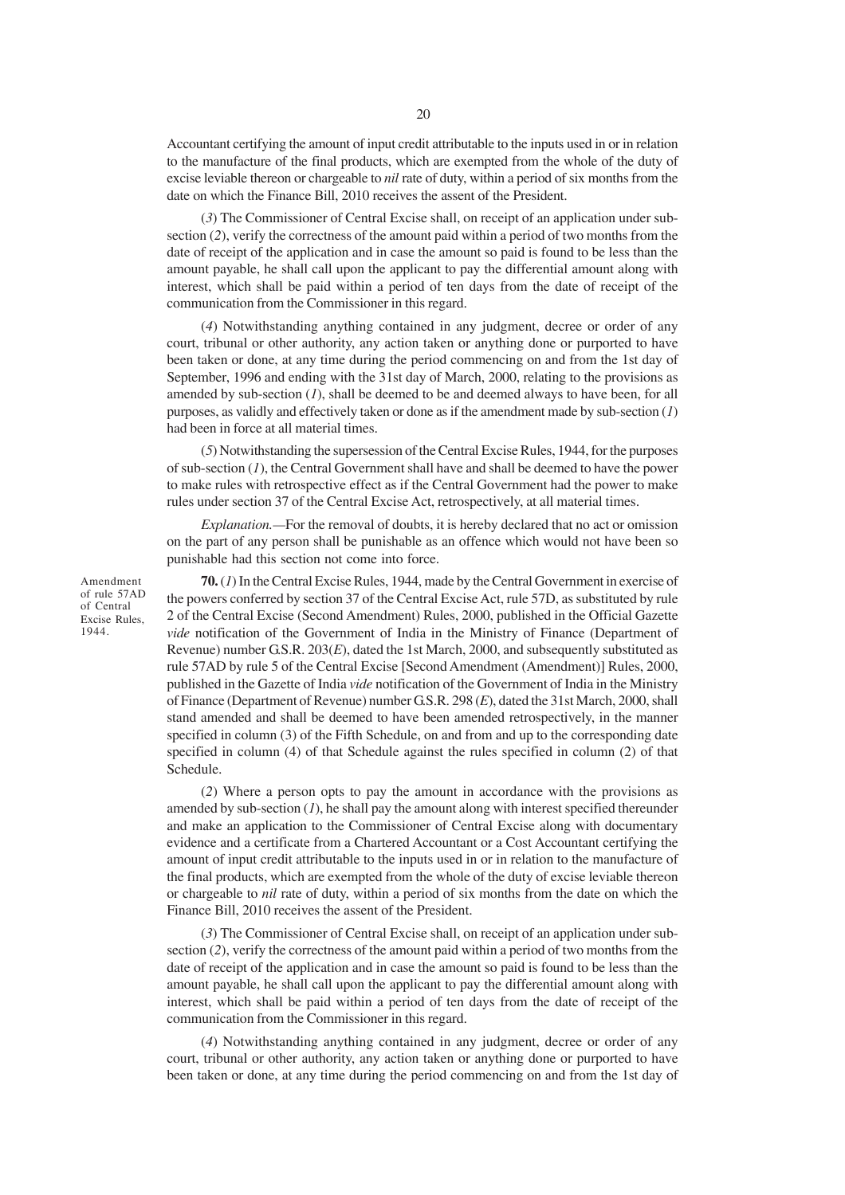Accountant certifying the amount of input credit attributable to the inputs used in or in relation to the manufacture of the final products, which are exempted from the whole of the duty of excise leviable thereon or chargeable to *nil* rate of duty, within a period of six months from the date on which the Finance Bill, 2010 receives the assent of the President.

(*3*) The Commissioner of Central Excise shall, on receipt of an application under subsection (*2*), verify the correctness of the amount paid within a period of two months from the date of receipt of the application and in case the amount so paid is found to be less than the amount payable, he shall call upon the applicant to pay the differential amount along with interest, which shall be paid within a period of ten days from the date of receipt of the communication from the Commissioner in this regard.

(*4*) Notwithstanding anything contained in any judgment, decree or order of any court, tribunal or other authority, any action taken or anything done or purported to have been taken or done, at any time during the period commencing on and from the 1st day of September, 1996 and ending with the 31st day of March, 2000, relating to the provisions as amended by sub-section (*1*), shall be deemed to be and deemed always to have been, for all purposes, as validly and effectively taken or done as if the amendment made by sub-section (*1*) had been in force at all material times.

(*5*) Notwithstanding the supersession of the Central Excise Rules, 1944, for the purposes of sub-section (*1*), the Central Government shall have and shall be deemed to have the power to make rules with retrospective effect as if the Central Government had the power to make rules under section 37 of the Central Excise Act, retrospectively, at all material times.

*Explanation.—*For the removal of doubts, it is hereby declared that no act or omission on the part of any person shall be punishable as an offence which would not have been so punishable had this section not come into force.

**70.** (*1*) In the Central Excise Rules, 1944, made by the Central Government in exercise of the powers conferred by section 37 of the Central Excise Act, rule 57D, as substituted by rule 2 of the Central Excise (Second Amendment) Rules, 2000, published in the Official Gazette *vide* notification of the Government of India in the Ministry of Finance (Department of Revenue) number G.S.R. 203(*E*), dated the 1st March, 2000, and subsequently substituted as rule 57AD by rule 5 of the Central Excise [Second Amendment (Amendment)] Rules, 2000, published in the Gazette of India *vide* notification of the Government of India in the Ministry of Finance (Department of Revenue) number G.S.R. 298 (*E*), dated the 31st March, 2000, shall stand amended and shall be deemed to have been amended retrospectively, in the manner specified in column (3) of the Fifth Schedule, on and from and up to the corresponding date specified in column (4) of that Schedule against the rules specified in column (2) of that Schedule.

(*2*) Where a person opts to pay the amount in accordance with the provisions as amended by sub-section (*1*), he shall pay the amount along with interest specified thereunder and make an application to the Commissioner of Central Excise along with documentary evidence and a certificate from a Chartered Accountant or a Cost Accountant certifying the amount of input credit attributable to the inputs used in or in relation to the manufacture of the final products, which are exempted from the whole of the duty of excise leviable thereon or chargeable to *nil* rate of duty, within a period of six months from the date on which the Finance Bill, 2010 receives the assent of the President.

(*3*) The Commissioner of Central Excise shall, on receipt of an application under subsection (*2*), verify the correctness of the amount paid within a period of two months from the date of receipt of the application and in case the amount so paid is found to be less than the amount payable, he shall call upon the applicant to pay the differential amount along with interest, which shall be paid within a period of ten days from the date of receipt of the communication from the Commissioner in this regard.

(*4*) Notwithstanding anything contained in any judgment, decree or order of any court, tribunal or other authority, any action taken or anything done or purported to have been taken or done, at any time during the period commencing on and from the 1st day of

Amendment of rule 57AD of Central Excise Rules, 1944.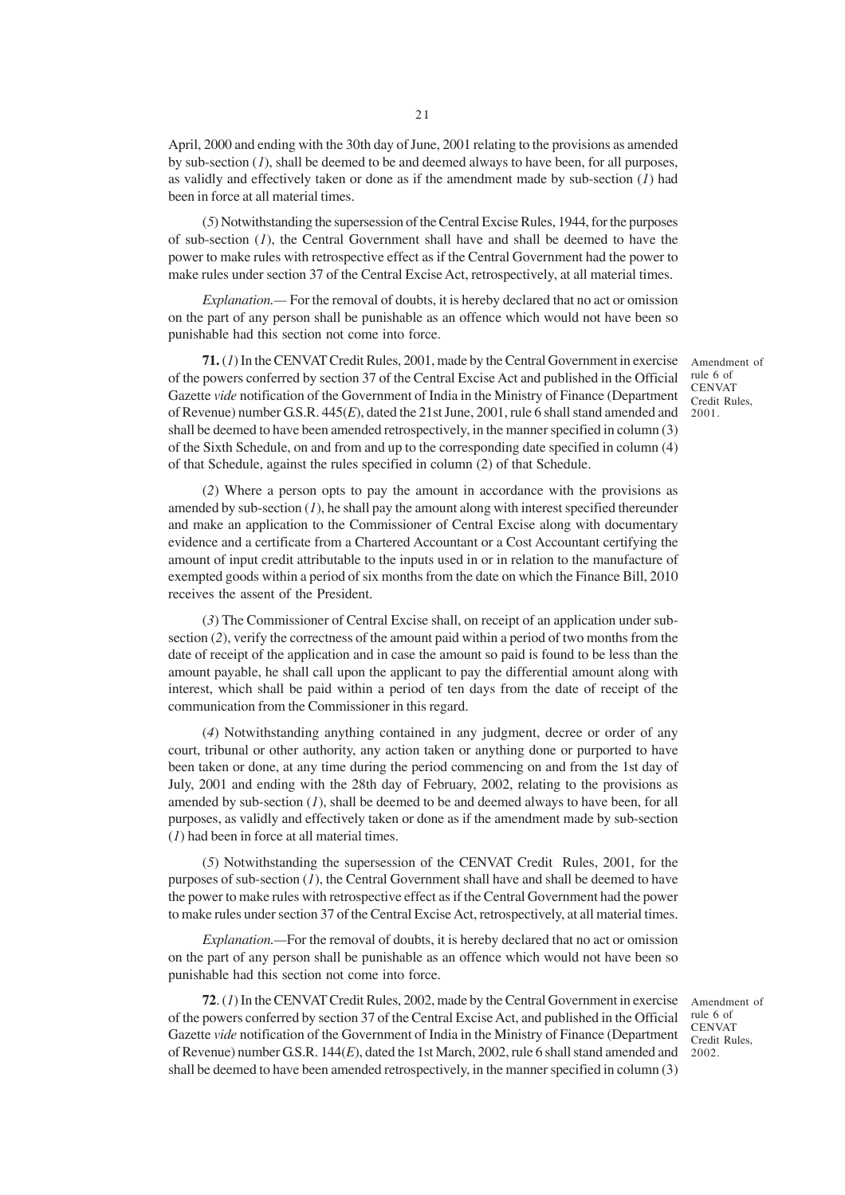April, 2000 and ending with the 30th day of June, 2001 relating to the provisions as amended by sub-section (*1*), shall be deemed to be and deemed always to have been, for all purposes, as validly and effectively taken or done as if the amendment made by sub-section (*1*) had been in force at all material times.

(*5*) Notwithstanding the supersession of the Central Excise Rules, 1944, for the purposes of sub-section (*1*), the Central Government shall have and shall be deemed to have the power to make rules with retrospective effect as if the Central Government had the power to make rules under section 37 of the Central Excise Act, retrospectively, at all material times.

*Explanation.—* For the removal of doubts, it is hereby declared that no act or omission on the part of any person shall be punishable as an offence which would not have been so punishable had this section not come into force.

**71.** (*1*) In the CENVAT Credit Rules, 2001, made by the Central Government in exercise of the powers conferred by section 37 of the Central Excise Act and published in the Official Gazette *vide* notification of the Government of India in the Ministry of Finance (Department of Revenue) number G.S.R. 445(*E*), dated the 21st June, 2001, rule 6 shall stand amended and shall be deemed to have been amended retrospectively, in the manner specified in column (3) of the Sixth Schedule, on and from and up to the corresponding date specified in column (4) of that Schedule, against the rules specified in column (2) of that Schedule.

(*2*) Where a person opts to pay the amount in accordance with the provisions as amended by sub-section  $(1)$ , he shall pay the amount along with interest specified thereunder and make an application to the Commissioner of Central Excise along with documentary evidence and a certificate from a Chartered Accountant or a Cost Accountant certifying the amount of input credit attributable to the inputs used in or in relation to the manufacture of exempted goods within a period of six months from the date on which the Finance Bill, 2010 receives the assent of the President.

(*3*) The Commissioner of Central Excise shall, on receipt of an application under subsection (*2*), verify the correctness of the amount paid within a period of two months from the date of receipt of the application and in case the amount so paid is found to be less than the amount payable, he shall call upon the applicant to pay the differential amount along with interest, which shall be paid within a period of ten days from the date of receipt of the communication from the Commissioner in this regard.

(*4*) Notwithstanding anything contained in any judgment, decree or order of any court, tribunal or other authority, any action taken or anything done or purported to have been taken or done, at any time during the period commencing on and from the 1st day of July, 2001 and ending with the 28th day of February, 2002, relating to the provisions as amended by sub-section  $(I)$ , shall be deemed to be and deemed always to have been, for all purposes, as validly and effectively taken or done as if the amendment made by sub-section (*1*) had been in force at all material times.

(*5*) Notwithstanding the supersession of the CENVAT Credit Rules, 2001, for the purposes of sub-section (*1*), the Central Government shall have and shall be deemed to have the power to make rules with retrospective effect as if the Central Government had the power to make rules under section 37 of the Central Excise Act, retrospectively, at all material times.

*Explanation.—*For the removal of doubts, it is hereby declared that no act or omission on the part of any person shall be punishable as an offence which would not have been so punishable had this section not come into force.

**72**. (*1*) In the CENVAT Credit Rules, 2002, made by the Central Government in exercise of the powers conferred by section 37 of the Central Excise Act, and published in the Official Gazette *vide* notification of the Government of India in the Ministry of Finance (Department of Revenue) number G.S.R. 144(*E*), dated the 1st March, 2002, rule 6 shall stand amended and shall be deemed to have been amended retrospectively, in the manner specified in column (3)

Amendment of rule 6 of CENVAT Credit Rules, 2002.

Amendment of rule 6 of CENVAT Credit Rules, 2001.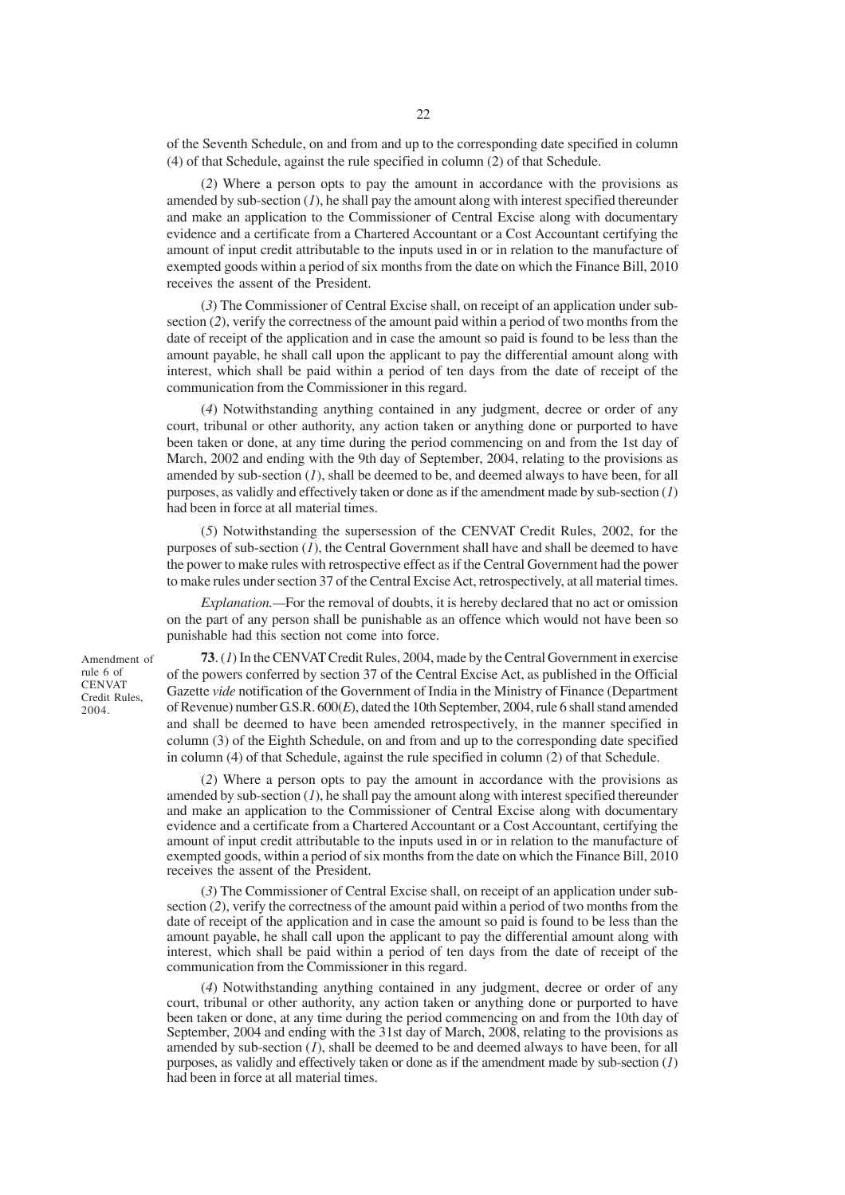of the Seventh Schedule, on and from and up to the corresponding date specified in column (4) of that Schedule, against the rule specified in column (2) of that Schedule.

(*2*) Where a person opts to pay the amount in accordance with the provisions as amended by sub-section (*1*), he shall pay the amount along with interest specified thereunder and make an application to the Commissioner of Central Excise along with documentary evidence and a certificate from a Chartered Accountant or a Cost Accountant certifying the amount of input credit attributable to the inputs used in or in relation to the manufacture of exempted goods within a period of six months from the date on which the Finance Bill, 2010 receives the assent of the President.

(*3*) The Commissioner of Central Excise shall, on receipt of an application under subsection (*2*), verify the correctness of the amount paid within a period of two months from the date of receipt of the application and in case the amount so paid is found to be less than the amount payable, he shall call upon the applicant to pay the differential amount along with interest, which shall be paid within a period of ten days from the date of receipt of the communication from the Commissioner in this regard.

(*4*) Notwithstanding anything contained in any judgment, decree or order of any court, tribunal or other authority, any action taken or anything done or purported to have been taken or done, at any time during the period commencing on and from the 1st day of March, 2002 and ending with the 9th day of September, 2004, relating to the provisions as amended by sub-section  $(I)$ , shall be deemed to be, and deemed always to have been, for all purposes, as validly and effectively taken or done as if the amendment made by sub-section (*1*) had been in force at all material times.

(*5*) Notwithstanding the supersession of the CENVAT Credit Rules, 2002, for the purposes of sub-section (*1*), the Central Government shall have and shall be deemed to have the power to make rules with retrospective effect as if the Central Government had the power to make rules under section 37 of the Central Excise Act, retrospectively, at all material times.

*Explanation.—*For the removal of doubts, it is hereby declared that no act or omission on the part of any person shall be punishable as an offence which would not have been so punishable had this section not come into force.

Amendment of rule 6 of **CENVAT** Credit Rules, 2004.

**73**. (*1*) In the CENVAT Credit Rules, 2004, made by the Central Government in exercise of the powers conferred by section 37 of the Central Excise Act, as published in the Official Gazette *vide* notification of the Government of India in the Ministry of Finance (Department of Revenue) number G.S.R. 600(*E*), dated the 10th September, 2004, rule 6 shall stand amended and shall be deemed to have been amended retrospectively, in the manner specified in column (3) of the Eighth Schedule, on and from and up to the corresponding date specified in column (4) of that Schedule, against the rule specified in column (2) of that Schedule.

(*2*) Where a person opts to pay the amount in accordance with the provisions as amended by sub-section (*1*), he shall pay the amount along with interest specified thereunder and make an application to the Commissioner of Central Excise along with documentary evidence and a certificate from a Chartered Accountant or a Cost Accountant, certifying the amount of input credit attributable to the inputs used in or in relation to the manufacture of exempted goods, within a period of six months from the date on which the Finance Bill, 2010 receives the assent of the President.

(*3*) The Commissioner of Central Excise shall, on receipt of an application under subsection (*2*), verify the correctness of the amount paid within a period of two months from the date of receipt of the application and in case the amount so paid is found to be less than the amount payable, he shall call upon the applicant to pay the differential amount along with interest, which shall be paid within a period of ten days from the date of receipt of the communication from the Commissioner in this regard.

(*4*) Notwithstanding anything contained in any judgment, decree or order of any court, tribunal or other authority, any action taken or anything done or purported to have been taken or done, at any time during the period commencing on and from the 10th day of September, 2004 and ending with the 31st day of March, 2008, relating to the provisions as amended by sub-section  $(I)$ , shall be deemed to be and deemed always to have been, for all purposes, as validly and effectively taken or done as if the amendment made by sub-section (*1*) had been in force at all material times.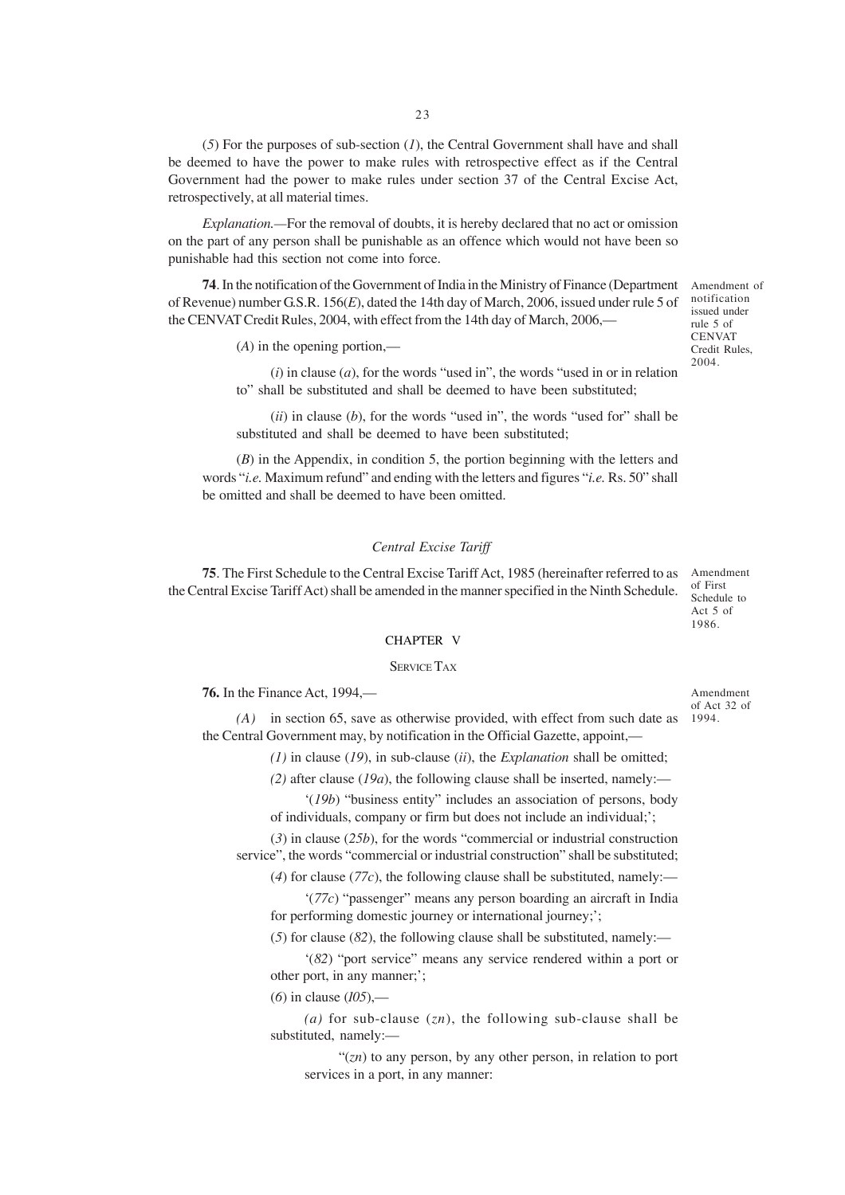(*5*) For the purposes of sub-section (*1*), the Central Government shall have and shall be deemed to have the power to make rules with retrospective effect as if the Central Government had the power to make rules under section 37 of the Central Excise Act, retrospectively, at all material times.

*Explanation.—*For the removal of doubts, it is hereby declared that no act or omission on the part of any person shall be punishable as an offence which would not have been so punishable had this section not come into force.

**74**. In the notification of the Government of India in the Ministry of Finance (Department Amendment of of Revenue) number G.S.R. 156(*E*), dated the 14th day of March, 2006, issued under rule 5 of the CENVAT Credit Rules, 2004, with effect from the 14th day of March, 2006,—

(*A*) in the opening portion,—

(*i*) in clause (*a*), for the words "used in", the words "used in or in relation to" shall be substituted and shall be deemed to have been substituted;

(*ii*) in clause (*b*), for the words "used in", the words "used for" shall be substituted and shall be deemed to have been substituted;

(*B*) in the Appendix, in condition 5, the portion beginning with the letters and words "*i.e.* Maximum refund" and ending with the letters and figures "*i.e.* Rs. 50" shall be omitted and shall be deemed to have been omitted.

#### *Central Excise Tariff*

**75**. The First Schedule to the Central Excise Tariff Act, 1985 (hereinafter referred to as Amendment the Central Excise Tariff Act) shall be amended in the manner specified in the Ninth Schedule.

of First Schedule to Act 5 of 1986.

Amendment of Act 32 of

#### CHAPTER V

#### SERVICE TAX

**76.** In the Finance Act, 1994,—

*(A)* in section 65, save as otherwise provided, with effect from such date as 1994.the Central Government may, by notification in the Official Gazette, appoint,—

*(1)* in clause (*19*), in sub-clause (*ii*), the *Explanation* shall be omitted;

*(2)* after clause (*19a*), the following clause shall be inserted, namely:—

'(*19b*) "business entity" includes an association of persons, body of individuals, company or firm but does not include an individual;';

(*3*) in clause (*25b*), for the words "commercial or industrial construction service", the words "commercial or industrial construction" shall be substituted;

(4) for clause ( $77c$ ), the following clause shall be substituted, namely:—

'(*77c*) "passenger" means any person boarding an aircraft in India for performing domestic journey or international journey;';

(*5*) for clause (*82*), the following clause shall be substituted, namely:—

'(*82*) "port service" means any service rendered within a port or other port, in any manner;';

(*6*) in clause (*105*),—

*(a)* for sub-clause (*zn*), the following sub-clause shall be substituted, namely:—

"(*zn*) to any person, by any other person, in relation to port services in a port, in any manner:

notification issued under rule 5 of **CENVAT** Credit Rules, 2004.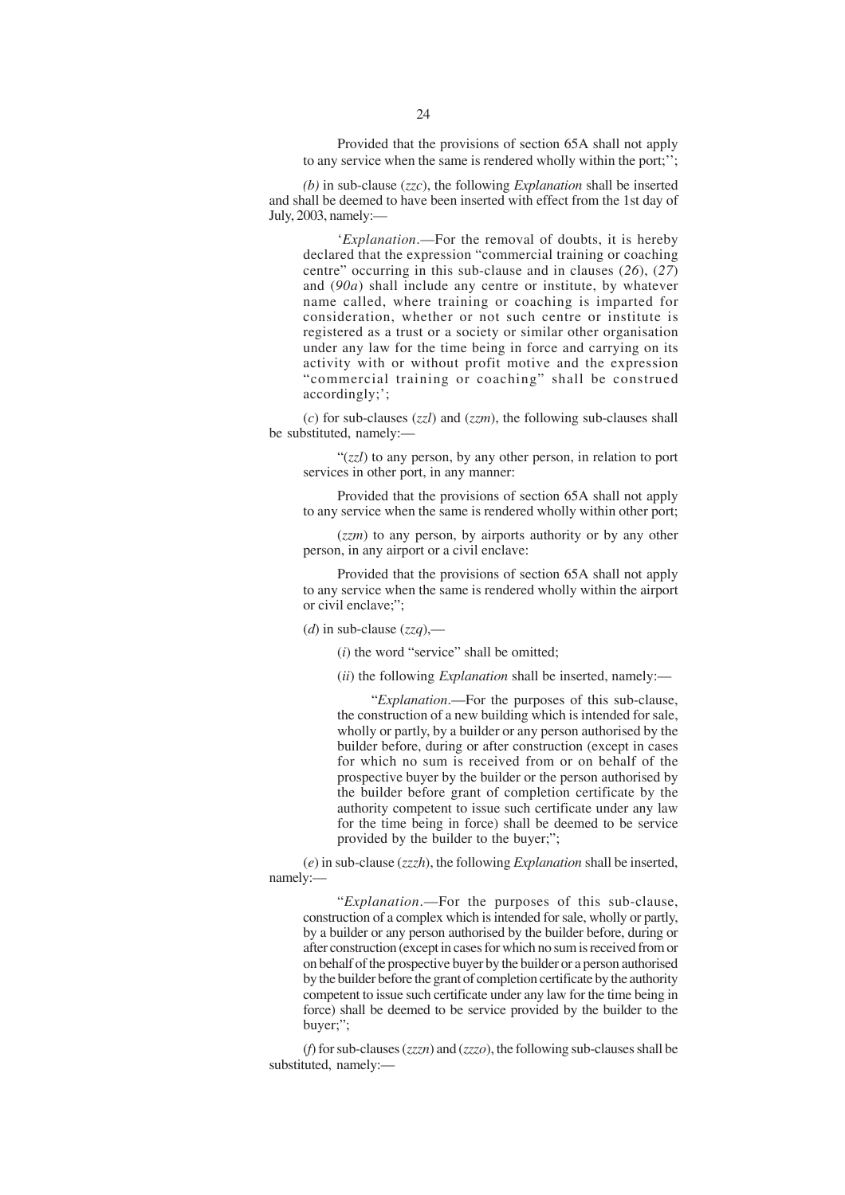Provided that the provisions of section 65A shall not apply to any service when the same is rendered wholly within the port;'';

*(b)* in sub-clause (*zzc*), the following *Explanation* shall be inserted and shall be deemed to have been inserted with effect from the 1st day of July, 2003, namely:—

'*Explanation*.—For the removal of doubts, it is hereby declared that the expression "commercial training or coaching centre" occurring in this sub-clause and in clauses (*26*), (*27*) and (*90a*) shall include any centre or institute, by whatever name called, where training or coaching is imparted for consideration, whether or not such centre or institute is registered as a trust or a society or similar other organisation under any law for the time being in force and carrying on its activity with or without profit motive and the expression "commercial training or coaching" shall be construed accordingly;';

(*c*) for sub-clauses (*zzl*) and (*zzm*), the following sub-clauses shall be substituted, namely:—

"(*zzl*) to any person, by any other person, in relation to port services in other port, in any manner:

Provided that the provisions of section 65A shall not apply to any service when the same is rendered wholly within other port;

(*zzm*) to any person, by airports authority or by any other person, in any airport or a civil enclave:

Provided that the provisions of section 65A shall not apply to any service when the same is rendered wholly within the airport or civil enclave;";

(*d*) in sub-clause (*zzq*),—

(*i*) the word "service" shall be omitted;

(*ii*) the following *Explanation* shall be inserted, namely:—

"*Explanation*.—For the purposes of this sub-clause, the construction of a new building which is intended for sale, wholly or partly, by a builder or any person authorised by the builder before, during or after construction (except in cases for which no sum is received from or on behalf of the prospective buyer by the builder or the person authorised by the builder before grant of completion certificate by the authority competent to issue such certificate under any law for the time being in force) shall be deemed to be service provided by the builder to the buyer;";

(*e*) in sub-clause (*zzzh*), the following *Explanation* shall be inserted, namely:—

"*Explanation*.—For the purposes of this sub-clause, construction of a complex which is intended for sale, wholly or partly, by a builder or any person authorised by the builder before, during or after construction (except in cases for which no sum is received from or on behalf of the prospective buyer by the builder or a person authorised by the builder before the grant of completion certificate by the authority competent to issue such certificate under any law for the time being in force) shall be deemed to be service provided by the builder to the buyer;";

(*f*) for sub-clauses (*zzzn*) and (*zzzo*), the following sub-clauses shall be substituted, namely:-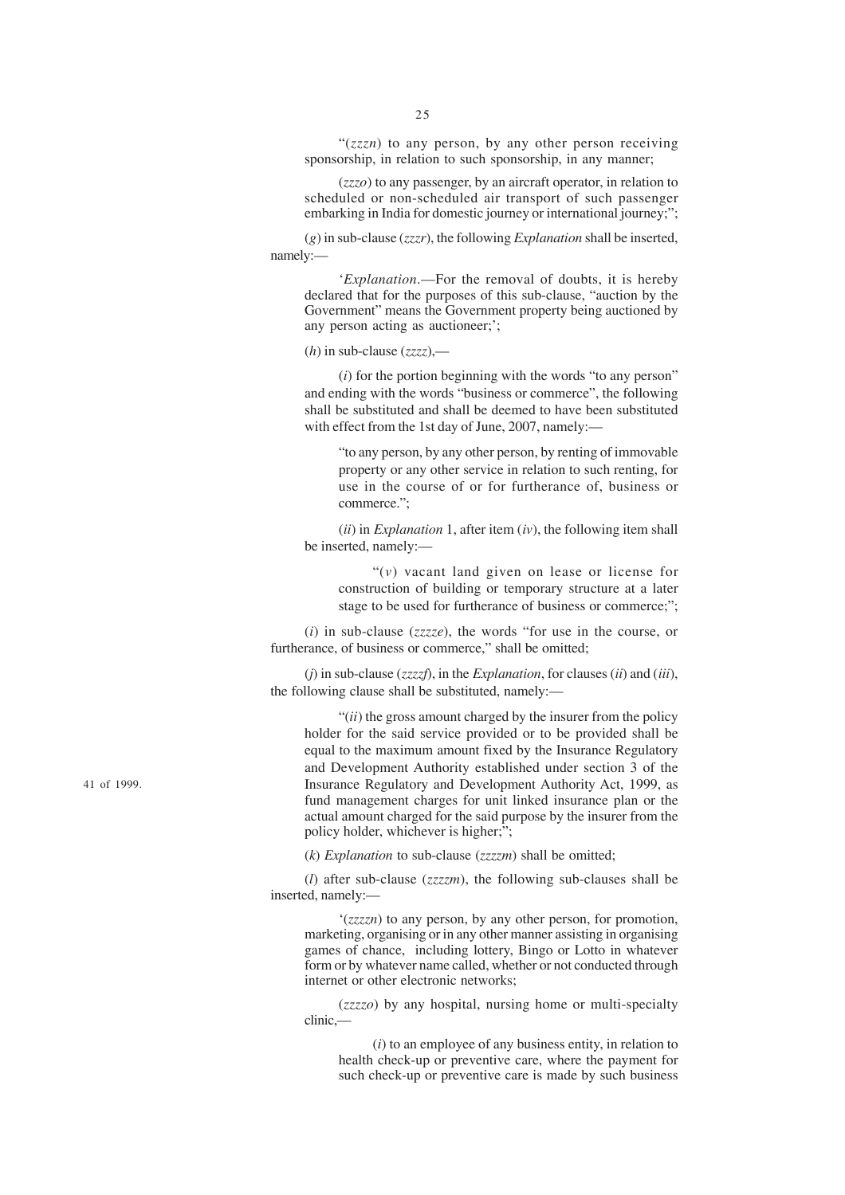"(*zzzn*) to any person, by any other person receiving sponsorship, in relation to such sponsorship, in any manner;

(*zzzo*) to any passenger, by an aircraft operator, in relation to scheduled or non-scheduled air transport of such passenger embarking in India for domestic journey or international journey;";

(*g*) in sub-clause (*zzzr*), the following *Explanation* shall be inserted, namely:—

'*Explanation*.—For the removal of doubts, it is hereby declared that for the purposes of this sub-clause, "auction by the Government" means the Government property being auctioned by any person acting as auctioneer;';

(*h*) in sub-clause (*zzzz*),—

(*i*) for the portion beginning with the words "to any person" and ending with the words "business or commerce", the following shall be substituted and shall be deemed to have been substituted with effect from the 1st day of June, 2007, namely:-

"to any person, by any other person, by renting of immovable property or any other service in relation to such renting, for use in the course of or for furtherance of, business or commerce.";

(*ii*) in *Explanation* 1, after item (*iv*), the following item shall be inserted, namely:—

"(*v*) vacant land given on lease or license for construction of building or temporary structure at a later stage to be used for furtherance of business or commerce;";

(*i*) in sub-clause (*zzzze*), the words "for use in the course, or furtherance, of business or commerce," shall be omitted;

(*j*) in sub-clause (*zzzzf*), in the *Explanation*, for clauses (*ii*) and (*iii*), the following clause shall be substituted, namely:—

"(*ii*) the gross amount charged by the insurer from the policy holder for the said service provided or to be provided shall be equal to the maximum amount fixed by the Insurance Regulatory and Development Authority established under section 3 of the Insurance Regulatory and Development Authority Act, 1999, as fund management charges for unit linked insurance plan or the actual amount charged for the said purpose by the insurer from the policy holder, whichever is higher;";

(*k*) *Explanation* to sub-clause (*zzzzm*) shall be omitted;

(*l*) after sub-clause (*zzzzm*), the following sub-clauses shall be inserted, namely:—

'(*zzzzn*) to any person, by any other person, for promotion, marketing, organising or in any other manner assisting in organising games of chance, including lottery, Bingo or Lotto in whatever form or by whatever name called, whether or not conducted through internet or other electronic networks;

(*zzzzo*) by any hospital, nursing home or multi-specialty clinic,—

(*i*) to an employee of any business entity, in relation to health check-up or preventive care, where the payment for such check-up or preventive care is made by such business

41 of 1999.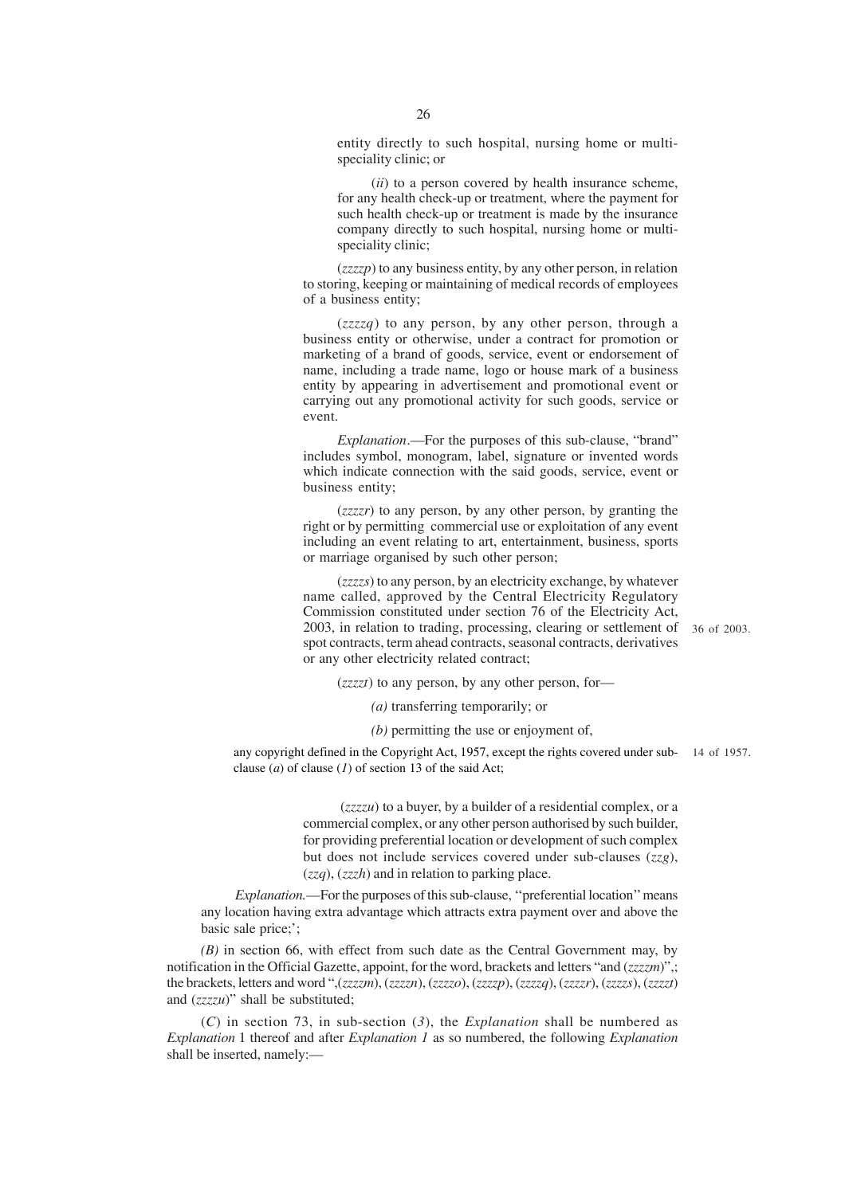entity directly to such hospital, nursing home or multispeciality clinic; or

(*ii*) to a person covered by health insurance scheme, for any health check-up or treatment, where the payment for such health check-up or treatment is made by the insurance company directly to such hospital, nursing home or multispeciality clinic;

(*zzzzp*) to any business entity, by any other person, in relation to storing, keeping or maintaining of medical records of employees of a business entity;

(*zzzzq*) to any person, by any other person, through a business entity or otherwise, under a contract for promotion or marketing of a brand of goods, service, event or endorsement of name, including a trade name, logo or house mark of a business entity by appearing in advertisement and promotional event or carrying out any promotional activity for such goods, service or event.

*Explanation*.—For the purposes of this sub-clause, "brand" includes symbol, monogram, label, signature or invented words which indicate connection with the said goods, service, event or business entity;

(*zzzzr*) to any person, by any other person, by granting the right or by permitting commercial use or exploitation of any event including an event relating to art, entertainment, business, sports or marriage organised by such other person;

(*zzzzs*) to any person, by an electricity exchange, by whatever name called, approved by the Central Electricity Regulatory Commission constituted under section 76 of the Electricity Act, 2003, in relation to trading, processing, clearing or settlement of 36 of 2003. spot contracts, term ahead contracts, seasonal contracts, derivatives or any other electricity related contract;

(*zzzzt*) to any person, by any other person, for—

*(a)* transferring temporarily; or

*(b)* permitting the use or enjoyment of,

any copyright defined in the Copyright Act, 1957, except the rights covered under sub-14 of 1957.clause (*a*) of clause (*1*) of section 13 of the said Act;

> (*zzzzu*) to a buyer, by a builder of a residential complex, or a commercial complex, or any other person authorised by such builder, for providing preferential location or development of such complex but does not include services covered under sub-clauses (*zzg*), (*zzq*), (*zzzh*) and in relation to parking place.

*Explanation.*—For the purposes of this sub-clause, ''preferential location'' means any location having extra advantage which attracts extra payment over and above the basic sale price;';

*(B)* in section 66, with effect from such date as the Central Government may, by notification in the Official Gazette, appoint, for the word, brackets and letters "and (*zzzzm*)",; the brackets, letters and word ",(*zzzzm*), (*zzzzn*), (*zzzzo*), (*zzzzp*), (*zzzzq*), (*zzzzr*), (*zzzzs*), (*zzzzt*) and (*zzzzu*)" shall be substituted;

(*C*) in section 73, in sub-section (*3*), the *Explanation* shall be numbered as *Explanation* 1 thereof and after *Explanation 1* as so numbered, the following *Explanation* shall be inserted, namely:—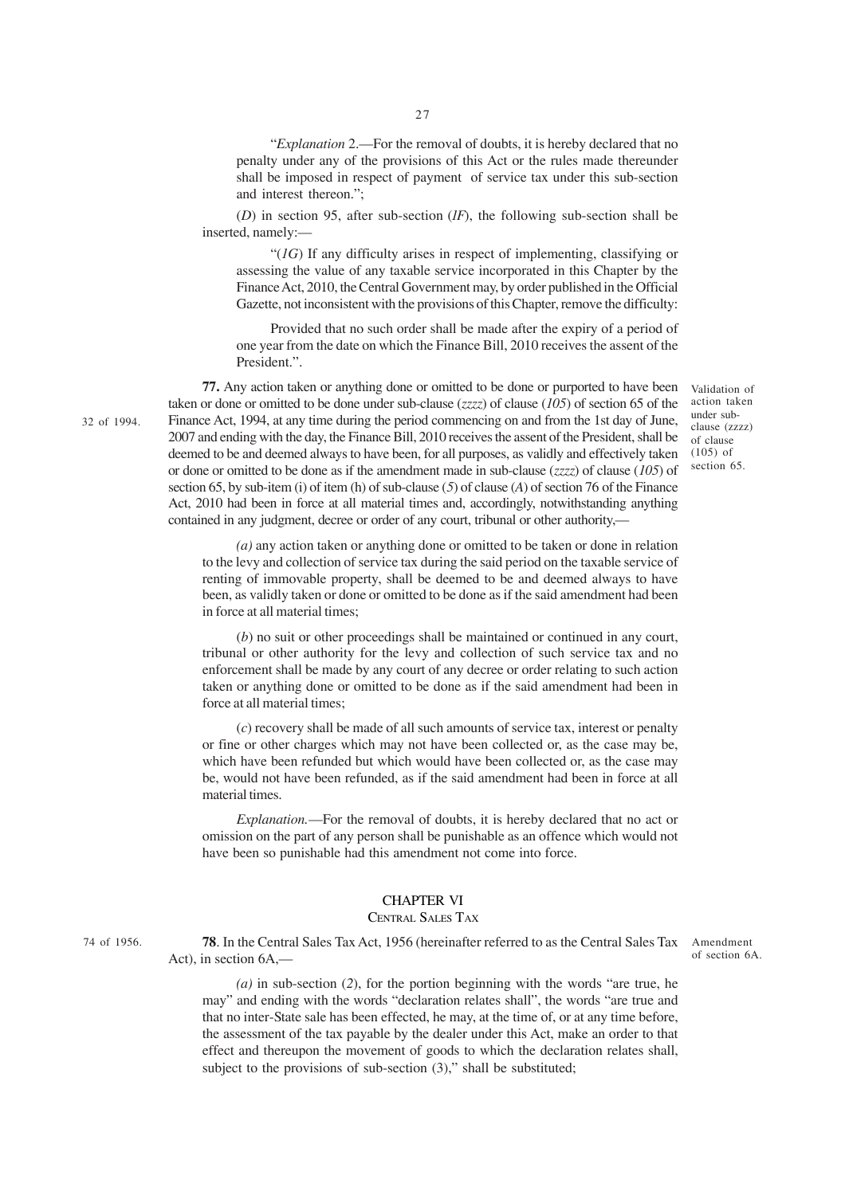"*Explanation* 2.—For the removal of doubts, it is hereby declared that no penalty under any of the provisions of this Act or the rules made thereunder shall be imposed in respect of payment of service tax under this sub-section and interest thereon.";

(*D*) in section 95, after sub-section (*1F*), the following sub-section shall be inserted, namely:—

"(*1G*) If any difficulty arises in respect of implementing, classifying or assessing the value of any taxable service incorporated in this Chapter by the Finance Act, 2010, the Central Government may, by order published in the Official Gazette, not inconsistent with the provisions of this Chapter, remove the difficulty:

Provided that no such order shall be made after the expiry of a period of one year from the date on which the Finance Bill, 2010 receives the assent of the President.".

**77.** Any action taken or anything done or omitted to be done or purported to have been taken or done or omitted to be done under sub-clause (*zzzz*) of clause (*105*) of section 65 of the Finance Act, 1994, at any time during the period commencing on and from the 1st day of June, 2007 and ending with the day, the Finance Bill, 2010 receives the assent of the President, shall be deemed to be and deemed always to have been, for all purposes, as validly and effectively taken or done or omitted to be done as if the amendment made in sub-clause (*zzzz*) of clause (*105*) of section 65, by sub-item (i) of item (h) of sub-clause (*5*) of clause (*A*) of section 76 of the Finance Act, 2010 had been in force at all material times and, accordingly, notwithstanding anything contained in any judgment, decree or order of any court, tribunal or other authority,—

Validation of action taken under subclause (zzzz) of clause  $(105)$  of section 65.

*(a)* any action taken or anything done or omitted to be taken or done in relation to the levy and collection of service tax during the said period on the taxable service of renting of immovable property, shall be deemed to be and deemed always to have been, as validly taken or done or omitted to be done as if the said amendment had been in force at all material times;

(*b*) no suit or other proceedings shall be maintained or continued in any court, tribunal or other authority for the levy and collection of such service tax and no enforcement shall be made by any court of any decree or order relating to such action taken or anything done or omitted to be done as if the said amendment had been in force at all material times;

(*c*) recovery shall be made of all such amounts of service tax, interest or penalty or fine or other charges which may not have been collected or, as the case may be, which have been refunded but which would have been collected or, as the case may be, would not have been refunded, as if the said amendment had been in force at all material times.

*Explanation.*—For the removal of doubts, it is hereby declared that no act or omission on the part of any person shall be punishable as an offence which would not have been so punishable had this amendment not come into force.

# CHAPTER VI

### CENTRAL SALES TAX

74 of 1956.

32 of 1994.

**78**. In the Central Sales Tax Act, 1956 (hereinafter referred to as the Central Sales Tax Amendment Act), in section 6A,—

of section 6A.

*(a)* in sub-section (*2*), for the portion beginning with the words "are true, he may" and ending with the words "declaration relates shall", the words "are true and that no inter-State sale has been effected, he may, at the time of, or at any time before, the assessment of the tax payable by the dealer under this Act, make an order to that effect and thereupon the movement of goods to which the declaration relates shall, subject to the provisions of sub-section (3)," shall be substituted;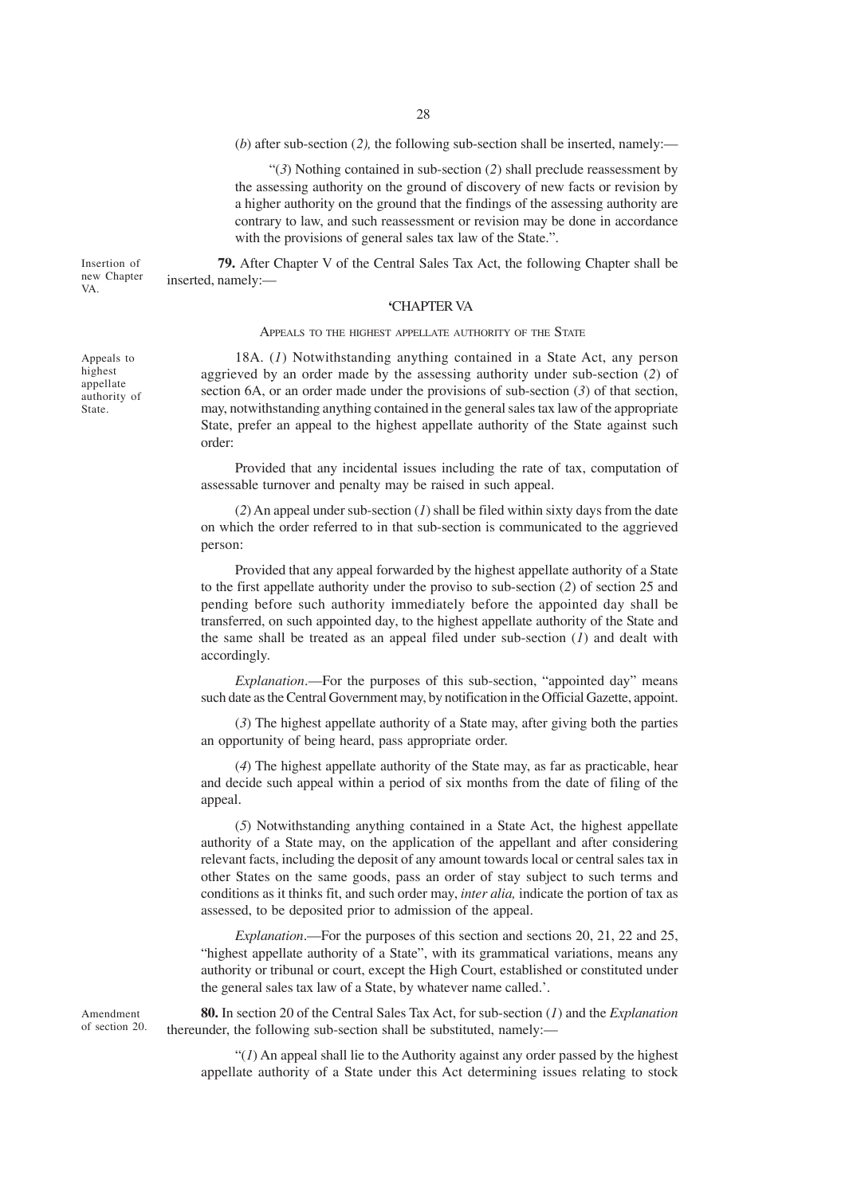(*b*) after sub-section (*2),* the following sub-section shall be inserted, namely:—

"(*3*) Nothing contained in sub-section (*2*) shall preclude reassessment by the assessing authority on the ground of discovery of new facts or revision by a higher authority on the ground that the findings of the assessing authority are contrary to law, and such reassessment or revision may be done in accordance with the provisions of general sales tax law of the State.".

Insertion of new Chapter **79.** After Chapter V of the Central Sales Tax Act, the following Chapter shall be inserted, namely:—

### **'**CHAPTER VA

APPEALS TO THE HIGHEST APPELLATE AUTHORITY OF THE STATE

18A. (*1*) Notwithstanding anything contained in a State Act, any person aggrieved by an order made by the assessing authority under sub-section (*2*) of section 6A, or an order made under the provisions of sub-section (*3*) of that section, may, notwithstanding anything contained in the general sales tax law of the appropriate State, prefer an appeal to the highest appellate authority of the State against such order:

Provided that any incidental issues including the rate of tax, computation of assessable turnover and penalty may be raised in such appeal.

(*2*) An appeal under sub-section (*1*) shall be filed within sixty days from the date on which the order referred to in that sub-section is communicated to the aggrieved person:

Provided that any appeal forwarded by the highest appellate authority of a State to the first appellate authority under the proviso to sub-section (*2*) of section 25 and pending before such authority immediately before the appointed day shall be transferred, on such appointed day, to the highest appellate authority of the State and the same shall be treated as an appeal filed under sub-section (*1*) and dealt with accordingly.

*Explanation*.—For the purposes of this sub-section, "appointed day" means such date as the Central Government may, by notification in the Official Gazette, appoint.

(*3*) The highest appellate authority of a State may, after giving both the parties an opportunity of being heard, pass appropriate order.

(*4*) The highest appellate authority of the State may, as far as practicable, hear and decide such appeal within a period of six months from the date of filing of the appeal.

(*5*) Notwithstanding anything contained in a State Act, the highest appellate authority of a State may, on the application of the appellant and after considering relevant facts, including the deposit of any amount towards local or central sales tax in other States on the same goods, pass an order of stay subject to such terms and conditions as it thinks fit, and such order may, *inter alia,* indicate the portion of tax as assessed, to be deposited prior to admission of the appeal.

*Explanation*.—For the purposes of this section and sections 20, 21, 22 and 25, "highest appellate authority of a State", with its grammatical variations, means any authority or tribunal or court, except the High Court, established or constituted under the general sales tax law of a State, by whatever name called.'.

**80.** In section 20 of the Central Sales Tax Act, for sub-section (*1*) and the *Explanation* thereunder, the following sub-section shall be substituted, namely:—

" $(1)$  An appeal shall lie to the Authority against any order passed by the highest appellate authority of a State under this Act determining issues relating to stock

Appeals to highest appellate authority of State.

VA.

Amendment of section 20.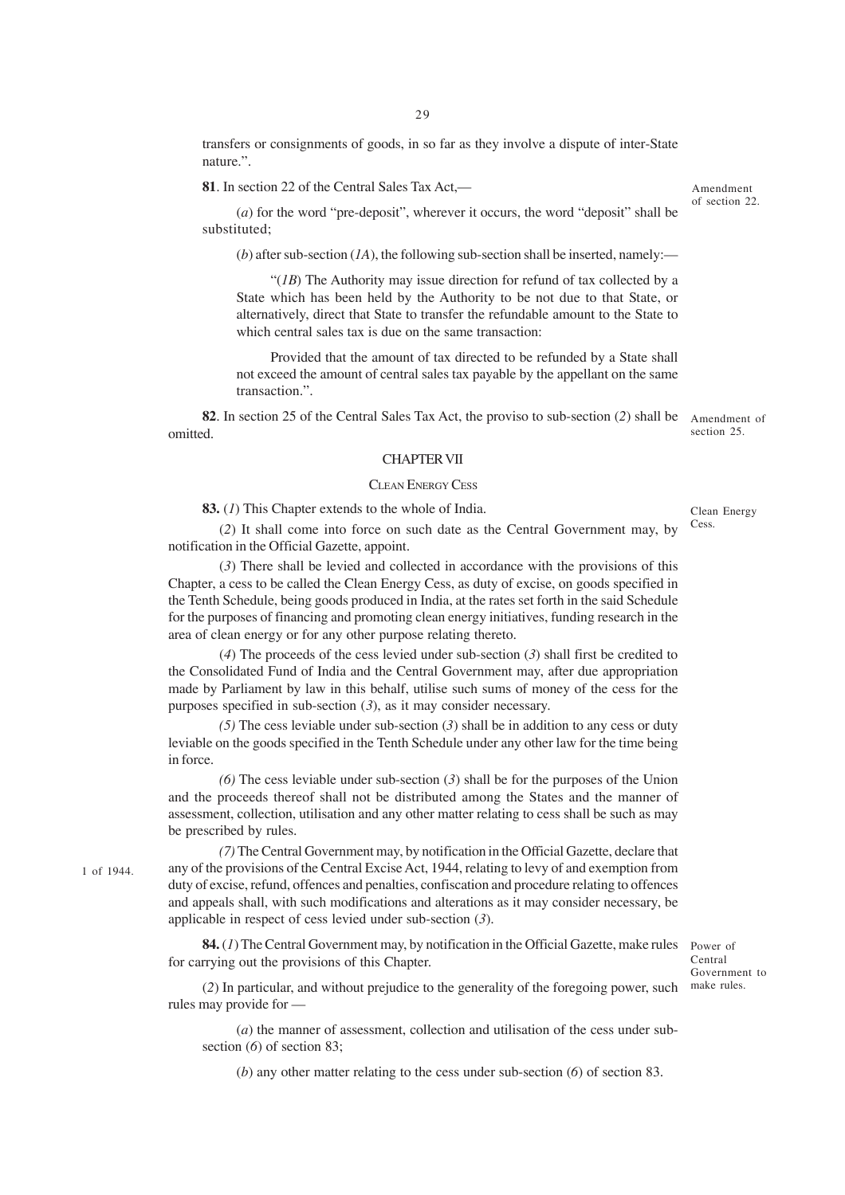transfers or consignments of goods, in so far as they involve a dispute of inter-State nature.".

**81**. In section 22 of the Central Sales Tax Act,—

Amendment of section 22.

(*a*) for the word "pre-deposit", wherever it occurs, the word "deposit" shall be substituted;

 $(b)$  after sub-section  $(IA)$ , the following sub-section shall be inserted, namely:—

"(*1B*) The Authority may issue direction for refund of tax collected by a State which has been held by the Authority to be not due to that State, or alternatively, direct that State to transfer the refundable amount to the State to which central sales tax is due on the same transaction:

Provided that the amount of tax directed to be refunded by a State shall not exceed the amount of central sales tax payable by the appellant on the same transaction.".

**82**. In section 25 of the Central Sales Tax Act, the proviso to sub-section (2) shall be Amendment of section 25. omitted.

### CHAPTER VII

### CLEAN ENERGY CESS

**83.** (*1*) This Chapter extends to the whole of India.

1 of 1944.

(*2*) It shall come into force on such date as the Central Government may, by notification in the Official Gazette, appoint.

(*3*) There shall be levied and collected in accordance with the provisions of this Chapter, a cess to be called the Clean Energy Cess, as duty of excise, on goods specified in the Tenth Schedule, being goods produced in India, at the rates set forth in the said Schedule for the purposes of financing and promoting clean energy initiatives, funding research in the area of clean energy or for any other purpose relating thereto.

(*4*) The proceeds of the cess levied under sub-section (*3*) shall first be credited to the Consolidated Fund of India and the Central Government may, after due appropriation made by Parliament by law in this behalf, utilise such sums of money of the cess for the purposes specified in sub-section (*3*), as it may consider necessary.

*(5)* The cess leviable under sub-section (*3*) shall be in addition to any cess or duty leviable on the goods specified in the Tenth Schedule under any other law for the time being in force.

*(6)* The cess leviable under sub-section (*3*) shall be for the purposes of the Union and the proceeds thereof shall not be distributed among the States and the manner of assessment, collection, utilisation and any other matter relating to cess shall be such as may be prescribed by rules.

*(7)* The Central Government may, by notification in the Official Gazette, declare that any of the provisions of the Central Excise Act, 1944, relating to levy of and exemption from duty of excise, refund, offences and penalties, confiscation and procedure relating to offences and appeals shall, with such modifications and alterations as it may consider necessary, be applicable in respect of cess levied under sub-section (*3*).

84. (1) The Central Government may, by notification in the Official Gazette, make rules Power of for carrying out the provisions of this Chapter.

Central Government to

(2) In particular, and without prejudice to the generality of the foregoing power, such make rules. rules may provide for —

(*a*) the manner of assessment, collection and utilisation of the cess under subsection (*6*) of section 83;

(*b*) any other matter relating to the cess under sub-section (*6*) of section 83.

Clean Energy

Cess.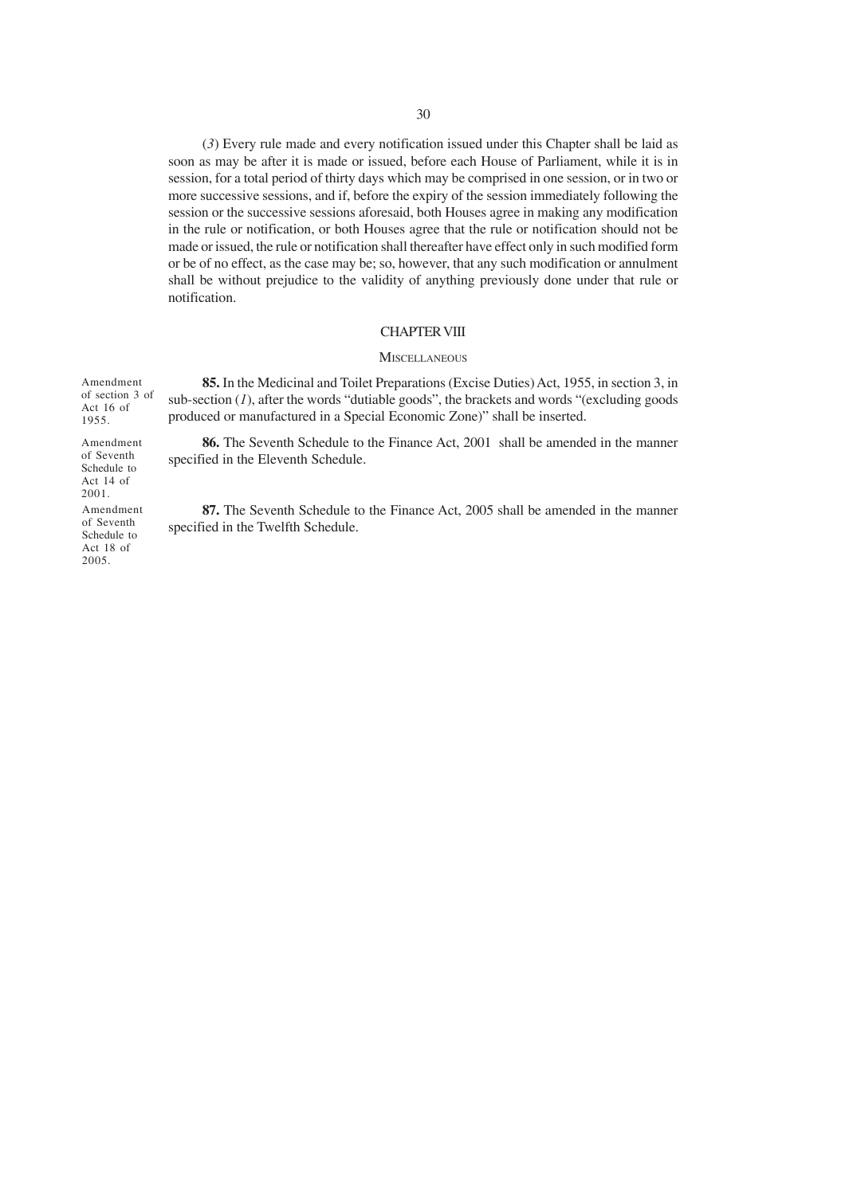(*3*) Every rule made and every notification issued under this Chapter shall be laid as soon as may be after it is made or issued, before each House of Parliament, while it is in session, for a total period of thirty days which may be comprised in one session, or in two or more successive sessions, and if, before the expiry of the session immediately following the session or the successive sessions aforesaid, both Houses agree in making any modification in the rule or notification, or both Houses agree that the rule or notification should not be made or issued, the rule or notification shall thereafter have effect only in such modified form or be of no effect, as the case may be; so, however, that any such modification or annulment shall be without prejudice to the validity of anything previously done under that rule or notification.

#### CHAPTER VIII

#### **MISCELLANEOUS**

**85.** In the Medicinal and Toilet Preparations (Excise Duties) Act, 1955, in section 3, in sub-section (*1*), after the words "dutiable goods", the brackets and words "(excluding goods produced or manufactured in a Special Economic Zone)" shall be inserted.

**86.** The Seventh Schedule to the Finance Act, 2001 shall be amended in the manner specified in the Eleventh Schedule.

**87.** The Seventh Schedule to the Finance Act, 2005 shall be amended in the manner specified in the Twelfth Schedule.

Amendment of section 3 of Act 16 of 1955.

Amendment of Seventh Schedule to Act 14 of 2001.

Amendment of Seventh Schedule to Act 18 of 2005.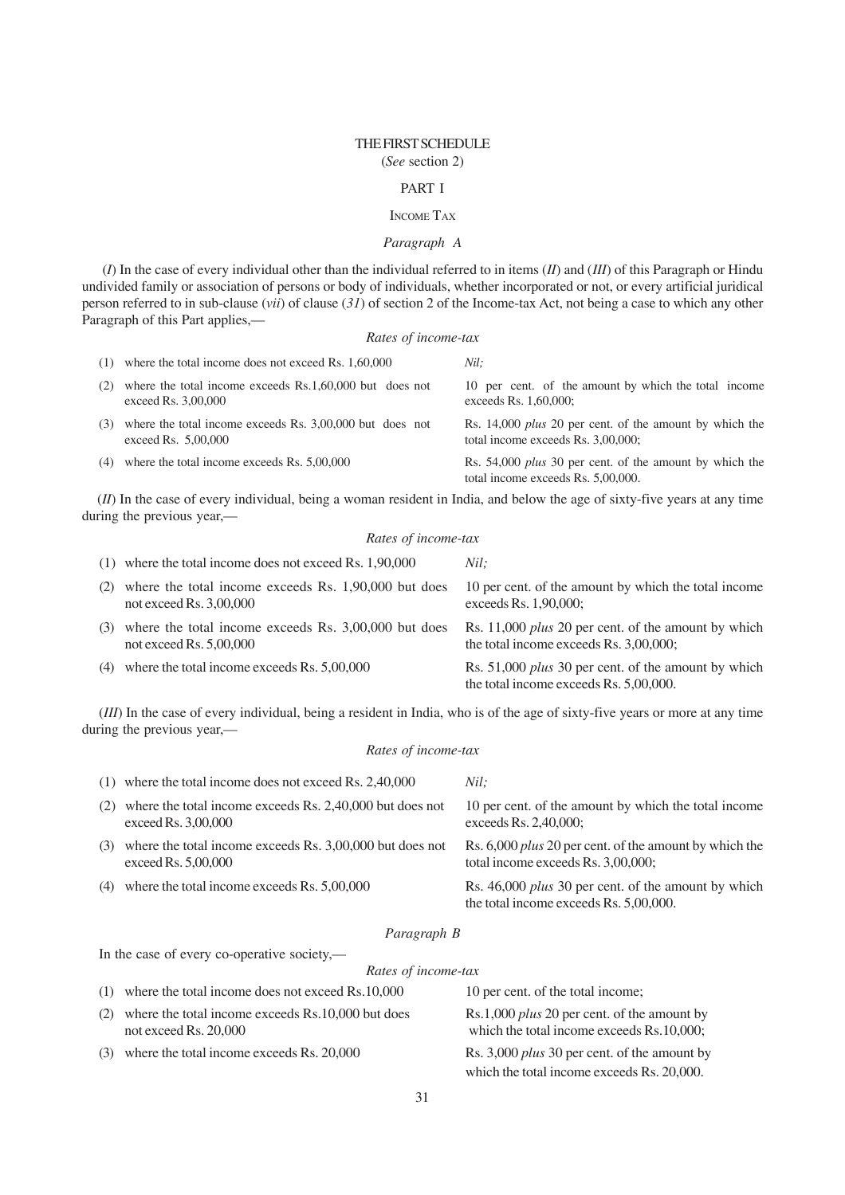### THE FIRST SCHEDULE (*See* section 2)

#### PART I

### INCOME TAX

# *Paragraph A*

 (*I*) In the case of every individual other than the individual referred to in items (*II*) and (*III*) of this Paragraph or Hindu undivided family or association of persons or body of individuals, whether incorporated or not, or every artificial juridical person referred to in sub-clause (*vii*) of clause (*31*) of section 2 of the Income-tax Act, not being a case to which any other Paragraph of this Part applies,—

### *Rates of income-tax*

| (1) | where the total income does not exceed Rs. 1,60,000                             | Nil:                                                                                          |
|-----|---------------------------------------------------------------------------------|-----------------------------------------------------------------------------------------------|
| (2) | where the total income exceeds Rs.1,60,000 but does not<br>exceed Rs. 3,00,000  | 10 per cent. of the amount by which the total income<br>exceeds Rs. 1,60,000;                 |
| (3) | where the total income exceeds Rs. 3,00,000 but does not<br>exceed Rs. 5,00,000 | Rs. 14,000 plus 20 per cent. of the amount by which the<br>total income exceeds Rs. 3,00,000; |
| (4) | where the total income exceeds Rs. 5,00,000                                     | Rs. 54,000 plus 30 per cent. of the amount by which the<br>total income exceeds Rs. 5,00,000. |

(*II*) In the case of every individual, being a woman resident in India, and below the age of sixty-five years at any time during the previous year,—

### *Rates of income-tax*

|     | $(1)$ where the total income does not exceed Rs. 1,90,000                         | Nil:                                                                                                 |
|-----|-----------------------------------------------------------------------------------|------------------------------------------------------------------------------------------------------|
| (2) | where the total income exceeds Rs. 1,90,000 but does<br>not exceed Rs. $3,00,000$ | 10 per cent. of the amount by which the total income<br>exceeds Rs. $1,90,000$ ;                     |
| (3) | where the total income exceeds Rs. 3,00,000 but does<br>not exceed Rs. $5,00,000$ | Rs. 11,000 plus 20 per cent. of the amount by which<br>the total income exceeds Rs. 3,00,000;        |
| (4) | where the total income exceeds Rs. 5,00,000                                       | Rs. 51,000 <i>plus</i> 30 per cent. of the amount by which<br>the total income exceeds Rs. 5,00,000. |

(*III*) In the case of every individual, being a resident in India, who is of the age of sixty-five years or more at any time during the previous year,—

#### *Rates of income-tax*

|     | $(1)$ where the total income does not exceed Rs. 2,40,000                         | Nil:                                                                                                 |
|-----|-----------------------------------------------------------------------------------|------------------------------------------------------------------------------------------------------|
| (2) | where the total income exceeds Rs. 2,40,000 but does not<br>exceed Rs. 3,00,000   | 10 per cent. of the amount by which the total income<br>exceeds $Rs. 2,40,000;$                      |
| (3) | where the total income exceeds Rs. 3,00,000 but does not<br>exceed Rs. $5,00,000$ | Rs. 6,000 <i>plus</i> 20 per cent. of the amount by which the<br>total income exceeds Rs. 3,00,000;  |
| (4) | where the total income exceeds Rs. 5,00,000                                       | Rs. 46,000 <i>plus</i> 30 per cent. of the amount by which<br>the total income exceeds Rs. 5,00,000. |

### *Paragraph B*

In the case of every co-operative society,—

#### *Rates of income-tax*

|     | (1) where the total income does not exceed $Rs.10,000$                     | 10 per cent. of the total income;                                                               |
|-----|----------------------------------------------------------------------------|-------------------------------------------------------------------------------------------------|
| (2) | where the total income exceeds Rs.10,000 but does<br>not exceed Rs. 20,000 | Rs.1,000 <i>plus</i> 20 per cent. of the amount by<br>which the total income exceeds Rs.10,000; |
|     | (3) where the total income exceeds Rs. 20,000                              | Rs. 3,000 <i>plus</i> 30 per cent. of the amount by                                             |
|     |                                                                            | which the total income exceeds Rs. 20,000.                                                      |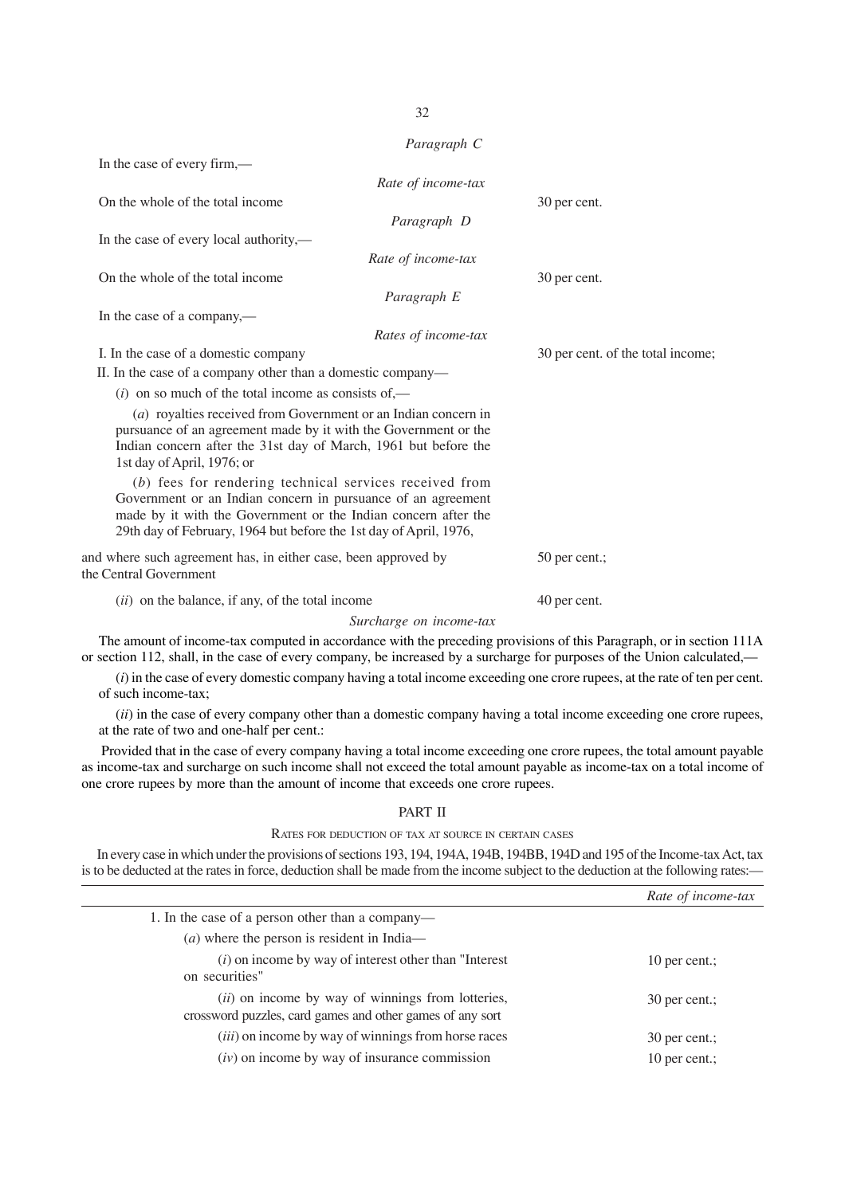*Paragraph C* In the case of every firm,— *Rate of income-tax* On the whole of the total income 30 per cent. *Paragraph D* In the case of every local authority,— *Rate of income-tax* On the whole of the total income 30 per cent. *Paragraph E* In the case of a company,— *Rates of income-tax* I. In the case of a domestic company 30 per cent. of the total income; II. In the case of a company other than a domestic company—  $(i)$  on so much of the total income as consists of,— (*a*) royalties received from Government or an Indian concern in pursuance of an agreement made by it with the Government or the Indian concern after the 31st day of March, 1961 but before the 1st day of April, 1976; or (*b*) fees for rendering technical services received from Government or an Indian concern in pursuance of an agreement made by it with the Government or the Indian concern after the 29th day of February, 1964 but before the 1st day of April, 1976, and where such agreement has, in either case, been approved by 50 per cent.; the Central Government (*ii*) on the balance, if any, of the total income 40 per cent. *Surcharge on income-tax*

The amount of income-tax computed in accordance with the preceding provisions of this Paragraph, or in section 111A or section 112, shall, in the case of every company, be increased by a surcharge for purposes of the Union calculated,—

(*i*) in the case of every domestic company having a total income exceeding one crore rupees, at the rate of ten per cent. of such income-tax;

(*ii*) in the case of every company other than a domestic company having a total income exceeding one crore rupees, at the rate of two and one-half per cent.:

Provided that in the case of every company having a total income exceeding one crore rupees, the total amount payable as income-tax and surcharge on such income shall not exceed the total amount payable as income-tax on a total income of one crore rupees by more than the amount of income that exceeds one crore rupees.

#### PART II

### RATES FOR DEDUCTION OF TAX AT SOURCE IN CERTAIN CASES

In every case in which under the provisions of sections 193, 194, 194A, 194B, 194BB, 194D and 195 of the Income-tax Act, tax is to be deducted at the rates in force, deduction shall be made from the income subject to the deduction at the following rates:—

|                                                                                                                | Rate of income-tax |
|----------------------------------------------------------------------------------------------------------------|--------------------|
| 1. In the case of a person other than a company—                                                               |                    |
| $(a)$ where the person is resident in India—                                                                   |                    |
| $(i)$ on income by way of interest other than "Interest"<br>on securities"                                     | 10 per cent.;      |
| (ii) on income by way of winnings from lotteries,<br>crossword puzzles, card games and other games of any sort | 30 per cent.;      |
| ( <i>iii</i> ) on income by way of winnings from horse races                                                   | 30 per cent.;      |
| $(iv)$ on income by way of insurance commission                                                                | 10 per cent.:      |

32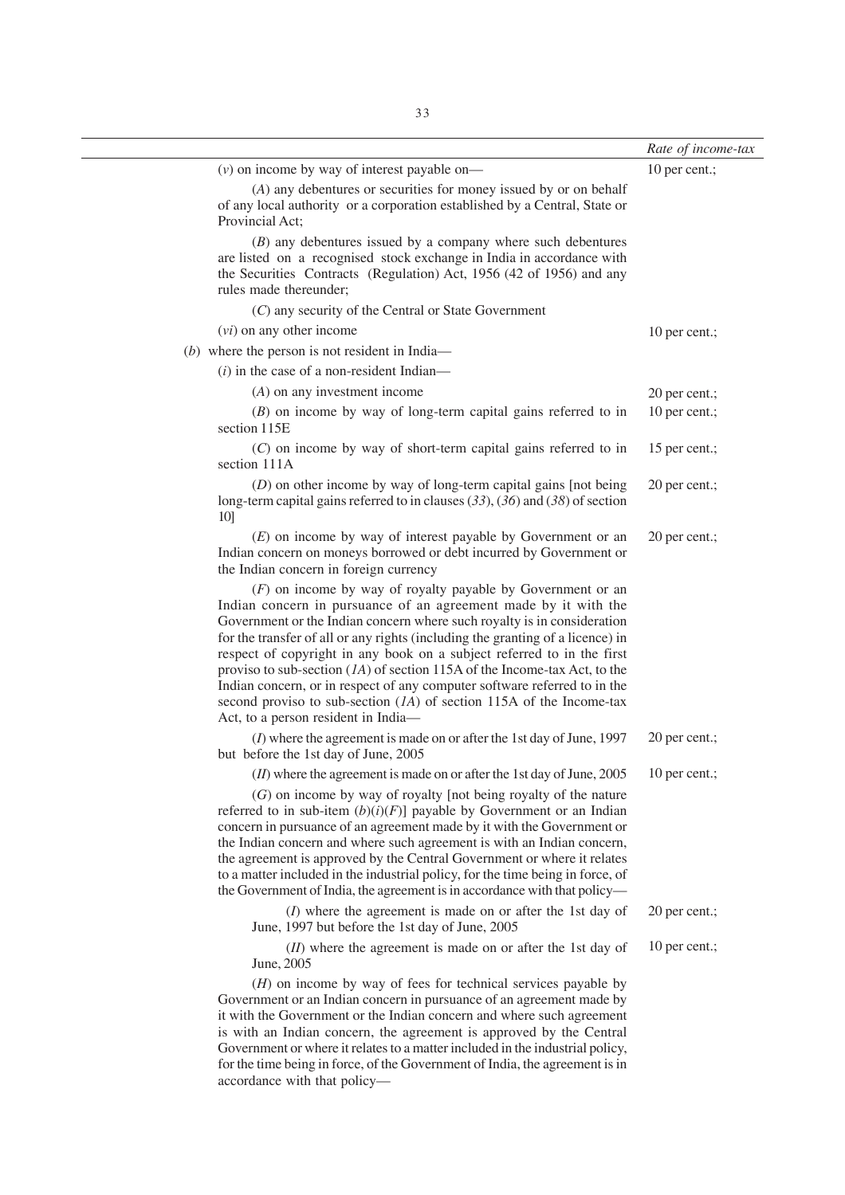|                                                                                                                                                                                                                                                                                                                                                                                                                                                                                                                                                                                                                                                      | Rate of income-tax |
|------------------------------------------------------------------------------------------------------------------------------------------------------------------------------------------------------------------------------------------------------------------------------------------------------------------------------------------------------------------------------------------------------------------------------------------------------------------------------------------------------------------------------------------------------------------------------------------------------------------------------------------------------|--------------------|
| $(v)$ on income by way of interest payable on—                                                                                                                                                                                                                                                                                                                                                                                                                                                                                                                                                                                                       | 10 per cent.;      |
| (A) any debentures or securities for money issued by or on behalf<br>of any local authority or a corporation established by a Central, State or<br>Provincial Act:                                                                                                                                                                                                                                                                                                                                                                                                                                                                                   |                    |
| $(B)$ any debentures issued by a company where such debentures<br>are listed on a recognised stock exchange in India in accordance with<br>the Securities Contracts (Regulation) Act, 1956 (42 of 1956) and any<br>rules made thereunder;                                                                                                                                                                                                                                                                                                                                                                                                            |                    |
| (C) any security of the Central or State Government                                                                                                                                                                                                                                                                                                                                                                                                                                                                                                                                                                                                  |                    |
| $(vi)$ on any other income                                                                                                                                                                                                                                                                                                                                                                                                                                                                                                                                                                                                                           | 10 per cent.;      |
| $(b)$ where the person is not resident in India—                                                                                                                                                                                                                                                                                                                                                                                                                                                                                                                                                                                                     |                    |
| $(i)$ in the case of a non-resident Indian—                                                                                                                                                                                                                                                                                                                                                                                                                                                                                                                                                                                                          |                    |
| $(A)$ on any investment income                                                                                                                                                                                                                                                                                                                                                                                                                                                                                                                                                                                                                       | 20 per cent.;      |
| $(B)$ on income by way of long-term capital gains referred to in<br>section 115E                                                                                                                                                                                                                                                                                                                                                                                                                                                                                                                                                                     | 10 per cent.;      |
| $(C)$ on income by way of short-term capital gains referred to in<br>section 111A                                                                                                                                                                                                                                                                                                                                                                                                                                                                                                                                                                    | 15 per cent.;      |
| $(D)$ on other income by way of long-term capital gains [not being]<br>long-term capital gains referred to in clauses $(33)$ , $(36)$ and $(38)$ of section<br>10]                                                                                                                                                                                                                                                                                                                                                                                                                                                                                   | 20 per cent.;      |
| $(E)$ on income by way of interest payable by Government or an<br>Indian concern on moneys borrowed or debt incurred by Government or<br>the Indian concern in foreign currency                                                                                                                                                                                                                                                                                                                                                                                                                                                                      | 20 per cent.;      |
| $(F)$ on income by way of royalty payable by Government or an<br>Indian concern in pursuance of an agreement made by it with the<br>Government or the Indian concern where such royalty is in consideration<br>for the transfer of all or any rights (including the granting of a licence) in<br>respect of copyright in any book on a subject referred to in the first<br>proviso to sub-section $(1A)$ of section 115A of the Income-tax Act, to the<br>Indian concern, or in respect of any computer software referred to in the<br>second proviso to sub-section $(IA)$ of section 115A of the Income-tax<br>Act, to a person resident in India- |                    |
| $(I)$ where the agreement is made on or after the 1st day of June, 1997<br>but before the 1st day of June, 2005                                                                                                                                                                                                                                                                                                                                                                                                                                                                                                                                      | 20 per cent.;      |
| $(II)$ where the agreement is made on or after the 1st day of June, 2005<br>$(G)$ on income by way of royalty [not being royalty of the nature<br>referred to in sub-item $(b)(i)(F)$ ] payable by Government or an Indian<br>concern in pursuance of an agreement made by it with the Government or<br>the Indian concern and where such agreement is with an Indian concern,<br>the agreement is approved by the Central Government or where it relates<br>to a matter included in the industrial policy, for the time being in force, of<br>the Government of India, the agreement is in accordance with that policy—                             | 10 per cent.;      |
| $(I)$ where the agreement is made on or after the 1st day of<br>June, 1997 but before the 1st day of June, 2005                                                                                                                                                                                                                                                                                                                                                                                                                                                                                                                                      | 20 per cent.;      |
| $(II)$ where the agreement is made on or after the 1st day of<br>June, 2005<br>$(H)$ on income by way of fees for technical services payable by<br>Government or an Indian concern in pursuance of an agreement made by<br>it with the Government or the Indian concern and where such agreement<br>is with an Indian concern, the agreement is approved by the Central<br>Government or where it relates to a matter included in the industrial policy,                                                                                                                                                                                             | 10 per cent.;      |
| for the time being in force, of the Government of India, the agreement is in                                                                                                                                                                                                                                                                                                                                                                                                                                                                                                                                                                         |                    |

accordance with that policy—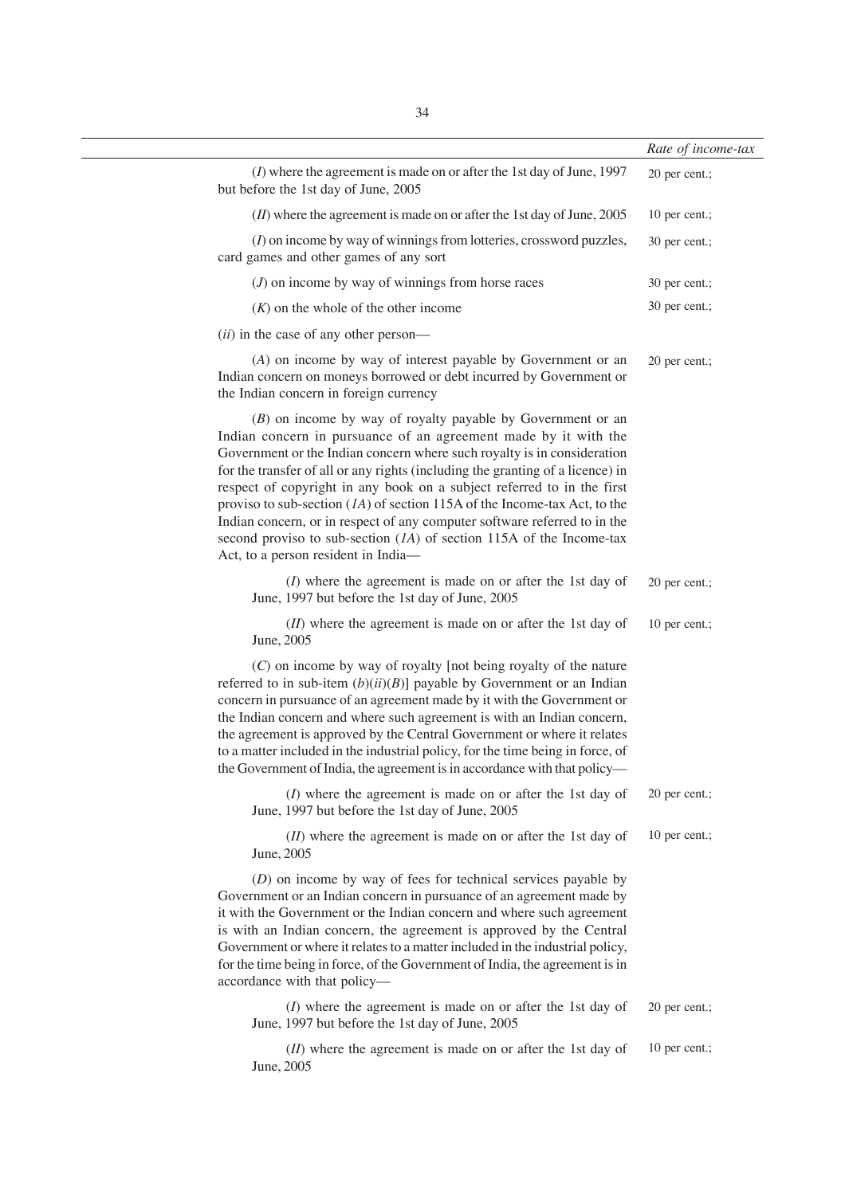|                                                                                                                                                                                                                                                                                                                                                                                                                                                                                                                                                                                                                                                      | Rate of income-tax |
|------------------------------------------------------------------------------------------------------------------------------------------------------------------------------------------------------------------------------------------------------------------------------------------------------------------------------------------------------------------------------------------------------------------------------------------------------------------------------------------------------------------------------------------------------------------------------------------------------------------------------------------------------|--------------------|
| $(I)$ where the agreement is made on or after the 1st day of June, 1997<br>but before the 1st day of June, 2005                                                                                                                                                                                                                                                                                                                                                                                                                                                                                                                                      | 20 per cent.;      |
| $(II)$ where the agreement is made on or after the 1st day of June, 2005                                                                                                                                                                                                                                                                                                                                                                                                                                                                                                                                                                             | 10 per cent.;      |
| $(I)$ on income by way of winnings from lotteries, crossword puzzles,<br>card games and other games of any sort                                                                                                                                                                                                                                                                                                                                                                                                                                                                                                                                      | 30 per cent.;      |
| $(J)$ on income by way of winnings from horse races                                                                                                                                                                                                                                                                                                                                                                                                                                                                                                                                                                                                  | 30 per cent.;      |
| $(K)$ on the whole of the other income                                                                                                                                                                                                                                                                                                                                                                                                                                                                                                                                                                                                               | 30 per cent.;      |
| ( <i>ii</i> ) in the case of any other person—                                                                                                                                                                                                                                                                                                                                                                                                                                                                                                                                                                                                       |                    |
| (A) on income by way of interest payable by Government or an<br>Indian concern on moneys borrowed or debt incurred by Government or<br>the Indian concern in foreign currency                                                                                                                                                                                                                                                                                                                                                                                                                                                                        | 20 per cent.;      |
| $(B)$ on income by way of royalty payable by Government or an<br>Indian concern in pursuance of an agreement made by it with the<br>Government or the Indian concern where such royalty is in consideration<br>for the transfer of all or any rights (including the granting of a licence) in<br>respect of copyright in any book on a subject referred to in the first<br>proviso to sub-section $(1A)$ of section 115A of the Income-tax Act, to the<br>Indian concern, or in respect of any computer software referred to in the<br>second proviso to sub-section $(IA)$ of section 115A of the Income-tax<br>Act, to a person resident in India- |                    |
| $(I)$ where the agreement is made on or after the 1st day of<br>June, 1997 but before the 1st day of June, 2005                                                                                                                                                                                                                                                                                                                                                                                                                                                                                                                                      | 20 per cent.;      |
| ( <i>II</i> ) where the agreement is made on or after the 1st day of<br>June, 2005                                                                                                                                                                                                                                                                                                                                                                                                                                                                                                                                                                   | 10 per cent.;      |
| $(C)$ on income by way of royalty [not being royalty of the nature<br>referred to in sub-item $(b)(ii)(B)$ ] payable by Government or an Indian<br>concern in pursuance of an agreement made by it with the Government or<br>the Indian concern and where such agreement is with an Indian concern,<br>the agreement is approved by the Central Government or where it relates<br>to a matter included in the industrial policy, for the time being in force, of<br>the Government of India, the agreement is in accordance with that policy-                                                                                                        |                    |
| $(I)$ where the agreement is made on or after the 1st day of<br>June, 1997 but before the 1st day of June, 2005                                                                                                                                                                                                                                                                                                                                                                                                                                                                                                                                      | 20 per cent.;      |
| $(II)$ where the agreement is made on or after the 1st day of<br>June, 2005                                                                                                                                                                                                                                                                                                                                                                                                                                                                                                                                                                          | 10 per cent.;      |
| $(D)$ on income by way of fees for technical services payable by<br>Government or an Indian concern in pursuance of an agreement made by<br>it with the Government or the Indian concern and where such agreement<br>is with an Indian concern, the agreement is approved by the Central<br>Government or where it relates to a matter included in the industrial policy,<br>for the time being in force, of the Government of India, the agreement is in<br>accordance with that policy-                                                                                                                                                            |                    |
| $(I)$ where the agreement is made on or after the 1st day of<br>June, 1997 but before the 1st day of June, 2005                                                                                                                                                                                                                                                                                                                                                                                                                                                                                                                                      | 20 per cent.;      |
| ( <i>II</i> ) where the agreement is made on or after the 1st day of                                                                                                                                                                                                                                                                                                                                                                                                                                                                                                                                                                                 | 10 per cent.;      |

(*II*) where the agreement is made on or after the 1st day of June, 2005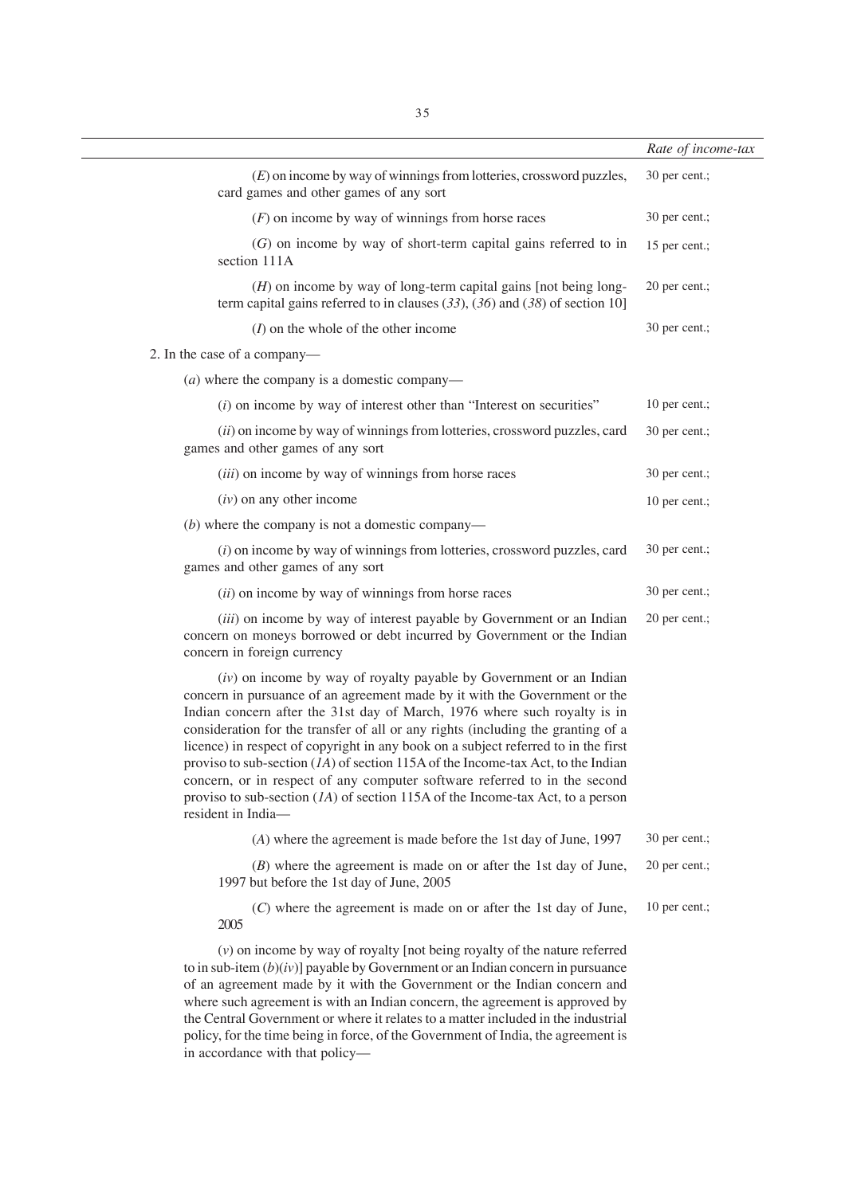|                                                                                                                                                                                                                                                                                                                                                                                                                                                                                                                                                                                                                                                                                         | Rate of income-tax |
|-----------------------------------------------------------------------------------------------------------------------------------------------------------------------------------------------------------------------------------------------------------------------------------------------------------------------------------------------------------------------------------------------------------------------------------------------------------------------------------------------------------------------------------------------------------------------------------------------------------------------------------------------------------------------------------------|--------------------|
| $(E)$ on income by way of winnings from lotteries, crossword puzzles,<br>card games and other games of any sort                                                                                                                                                                                                                                                                                                                                                                                                                                                                                                                                                                         | 30 per cent.;      |
| $(F)$ on income by way of winnings from horse races                                                                                                                                                                                                                                                                                                                                                                                                                                                                                                                                                                                                                                     | 30 per cent.;      |
| $(G)$ on income by way of short-term capital gains referred to in<br>section 111A                                                                                                                                                                                                                                                                                                                                                                                                                                                                                                                                                                                                       | 15 per cent.;      |
| $(H)$ on income by way of long-term capital gains [not being long-<br>term capital gains referred to in clauses $(33)$ , $(36)$ and $(38)$ of section 10]                                                                                                                                                                                                                                                                                                                                                                                                                                                                                                                               | 20 per cent.;      |
| $(I)$ on the whole of the other income                                                                                                                                                                                                                                                                                                                                                                                                                                                                                                                                                                                                                                                  | 30 per cent.;      |
| 2. In the case of a company—                                                                                                                                                                                                                                                                                                                                                                                                                                                                                                                                                                                                                                                            |                    |
| ( <i>a</i> ) where the company is a domestic company—                                                                                                                                                                                                                                                                                                                                                                                                                                                                                                                                                                                                                                   |                    |
| $(i)$ on income by way of interest other than "Interest on securities"                                                                                                                                                                                                                                                                                                                                                                                                                                                                                                                                                                                                                  | 10 per cent.;      |
| (ii) on income by way of winnings from lotteries, crossword puzzles, card<br>games and other games of any sort                                                                                                                                                                                                                                                                                                                                                                                                                                                                                                                                                                          | 30 per cent.;      |
| (iii) on income by way of winnings from horse races                                                                                                                                                                                                                                                                                                                                                                                                                                                                                                                                                                                                                                     | 30 per cent.;      |
| $(iv)$ on any other income                                                                                                                                                                                                                                                                                                                                                                                                                                                                                                                                                                                                                                                              | 10 per cent.;      |
| $(b)$ where the company is not a domestic company—                                                                                                                                                                                                                                                                                                                                                                                                                                                                                                                                                                                                                                      |                    |
| $(i)$ on income by way of winnings from lotteries, crossword puzzles, card<br>games and other games of any sort                                                                                                                                                                                                                                                                                                                                                                                                                                                                                                                                                                         | 30 per cent.;      |
| (ii) on income by way of winnings from horse races                                                                                                                                                                                                                                                                                                                                                                                                                                                                                                                                                                                                                                      | 30 per cent.;      |
| (iii) on income by way of interest payable by Government or an Indian<br>concern on moneys borrowed or debt incurred by Government or the Indian<br>concern in foreign currency                                                                                                                                                                                                                                                                                                                                                                                                                                                                                                         | 20 per cent.;      |
| $(iv)$ on income by way of royalty payable by Government or an Indian<br>concern in pursuance of an agreement made by it with the Government or the<br>Indian concern after the 31st day of March, 1976 where such royalty is in<br>consideration for the transfer of all or any rights (including the granting of a<br>licence) in respect of copyright in any book on a subject referred to in the first<br>proviso to sub-section $(1A)$ of section 115A of the Income-tax Act, to the Indian<br>concern, or in respect of any computer software referred to in the second<br>proviso to sub-section $(IA)$ of section 115A of the Income-tax Act, to a person<br>resident in India- |                    |
| (A) where the agreement is made before the 1st day of June, 1997                                                                                                                                                                                                                                                                                                                                                                                                                                                                                                                                                                                                                        | 30 per cent.;      |
| $(B)$ where the agreement is made on or after the 1st day of June,<br>1997 but before the 1st day of June, 2005                                                                                                                                                                                                                                                                                                                                                                                                                                                                                                                                                                         | 20 per cent.;      |
| (C) where the agreement is made on or after the 1st day of June,<br>2005                                                                                                                                                                                                                                                                                                                                                                                                                                                                                                                                                                                                                | 10 per cent.;      |
| $(v)$ on income by way of royalty [not being royalty of the nature referred<br>$m(h)(v)$ payable by Covernment even Indian concern                                                                                                                                                                                                                                                                                                                                                                                                                                                                                                                                                      |                    |

to in sub-item (*b*)(*iv*)] payable by Government or an Indian concern in pursuance of an agreement made by it with the Government or the Indian concern and where such agreement is with an Indian concern, the agreement is approved by the Central Government or where it relates to a matter included in the industrial policy, for the time being in force, of the Government of India, the agreement is in accordance with that policy—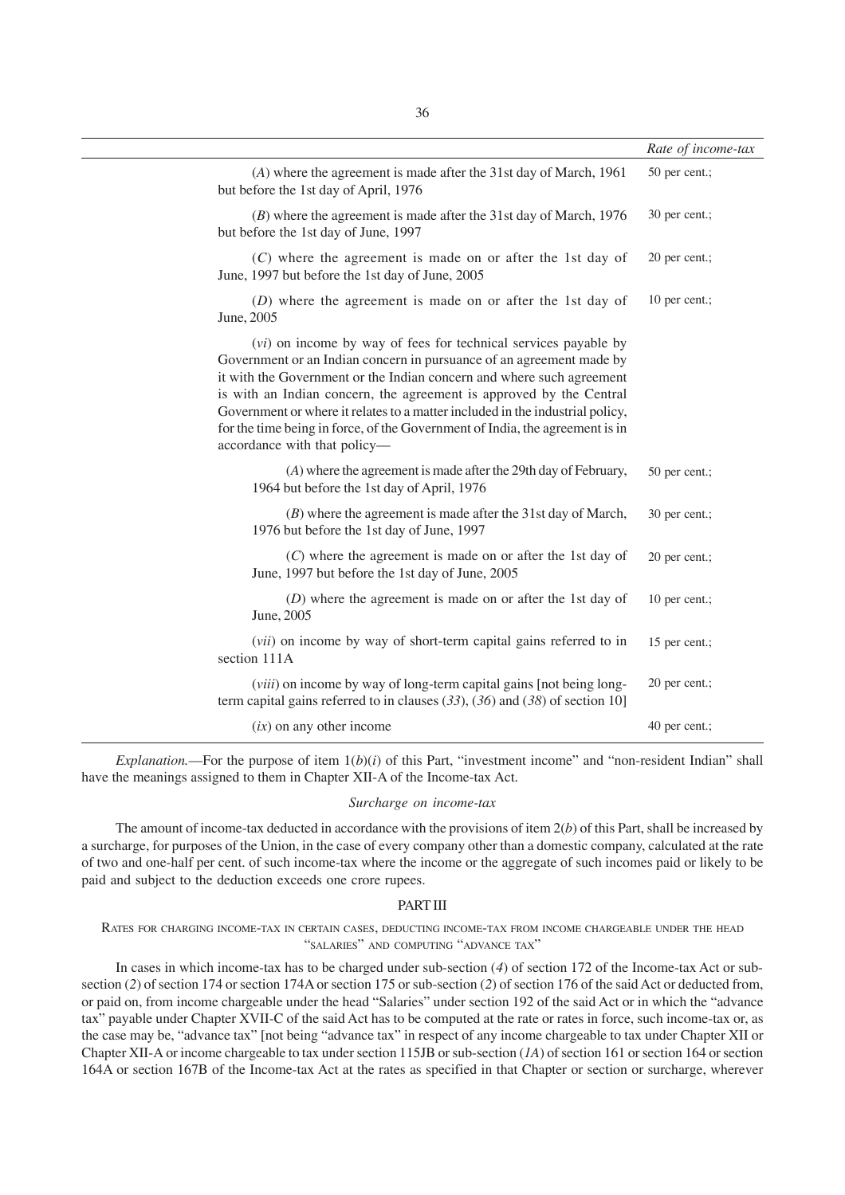|                                                                                                                                                                                                                                                                                                                                                                                                                                                                                          | Rate of income-tax |
|------------------------------------------------------------------------------------------------------------------------------------------------------------------------------------------------------------------------------------------------------------------------------------------------------------------------------------------------------------------------------------------------------------------------------------------------------------------------------------------|--------------------|
| (A) where the agreement is made after the 31st day of March, 1961<br>but before the 1st day of April, 1976                                                                                                                                                                                                                                                                                                                                                                               | 50 per cent.;      |
| $(B)$ where the agreement is made after the 31st day of March, 1976<br>but before the 1st day of June, 1997                                                                                                                                                                                                                                                                                                                                                                              | 30 per cent.;      |
| $(C)$ where the agreement is made on or after the 1st day of<br>June, 1997 but before the 1st day of June, 2005                                                                                                                                                                                                                                                                                                                                                                          | 20 per cent.;      |
| $(D)$ where the agreement is made on or after the 1st day of<br>June, 2005                                                                                                                                                                                                                                                                                                                                                                                                               | 10 per cent.;      |
| (vi) on income by way of fees for technical services payable by<br>Government or an Indian concern in pursuance of an agreement made by<br>it with the Government or the Indian concern and where such agreement<br>is with an Indian concern, the agreement is approved by the Central<br>Government or where it relates to a matter included in the industrial policy,<br>for the time being in force, of the Government of India, the agreement is in<br>accordance with that policy- |                    |
| (A) where the agreement is made after the 29th day of February,<br>1964 but before the 1st day of April, 1976                                                                                                                                                                                                                                                                                                                                                                            | 50 per cent.;      |
| $(B)$ where the agreement is made after the 31st day of March,<br>1976 but before the 1st day of June, 1997                                                                                                                                                                                                                                                                                                                                                                              | 30 per cent.;      |
| $(C)$ where the agreement is made on or after the 1st day of<br>June, 1997 but before the 1st day of June, 2005                                                                                                                                                                                                                                                                                                                                                                          | 20 per cent.;      |
| $(D)$ where the agreement is made on or after the 1st day of<br>June, 2005                                                                                                                                                                                                                                                                                                                                                                                                               | 10 per cent.;      |
| (vii) on income by way of short-term capital gains referred to in<br>section 111A                                                                                                                                                                                                                                                                                                                                                                                                        | 15 per cent.;      |
| ( <i>viii</i> ) on income by way of long-term capital gains [not being long-<br>term capital gains referred to in clauses $(33)$ , $(36)$ and $(38)$ of section 10]                                                                                                                                                                                                                                                                                                                      | 20 per cent.;      |
| $(ix)$ on any other income                                                                                                                                                                                                                                                                                                                                                                                                                                                               | 40 per cent.;      |

*Explanation.*—For the purpose of item  $1(b)(i)$  of this Part, "investment income" and "non-resident Indian" shall have the meanings assigned to them in Chapter XII-A of the Income-tax Act.

#### *Surcharge on income-tax*

The amount of income-tax deducted in accordance with the provisions of item  $2(b)$  of this Part, shall be increased by a surcharge, for purposes of the Union, in the case of every company other than a domestic company, calculated at the rate of two and one-half per cent. of such income-tax where the income or the aggregate of such incomes paid or likely to be paid and subject to the deduction exceeds one crore rupees.

#### PART III

RATES FOR CHARGING INCOME-TAX IN CERTAIN CASES, DEDUCTING INCOME-TAX FROM INCOME CHARGEABLE UNDER THE HEAD "SALARIES" AND COMPUTING "ADVANCE TAX"

In cases in which income-tax has to be charged under sub-section (*4*) of section 172 of the Income-tax Act or subsection (*2*) of section 174 or section 174A or section 175 or sub-section (*2*) of section 176 of the said Act or deducted from, or paid on, from income chargeable under the head "Salaries" under section 192 of the said Act or in which the "advance tax" payable under Chapter XVII-C of the said Act has to be computed at the rate or rates in force, such income-tax or, as the case may be, "advance tax" [not being "advance tax" in respect of any income chargeable to tax under Chapter XII or Chapter XII-A or income chargeable to tax under section 115JB or sub-section (*1A*) of section 161 or section 164 or section 164A or section 167B of the Income-tax Act at the rates as specified in that Chapter or section or surcharge, wherever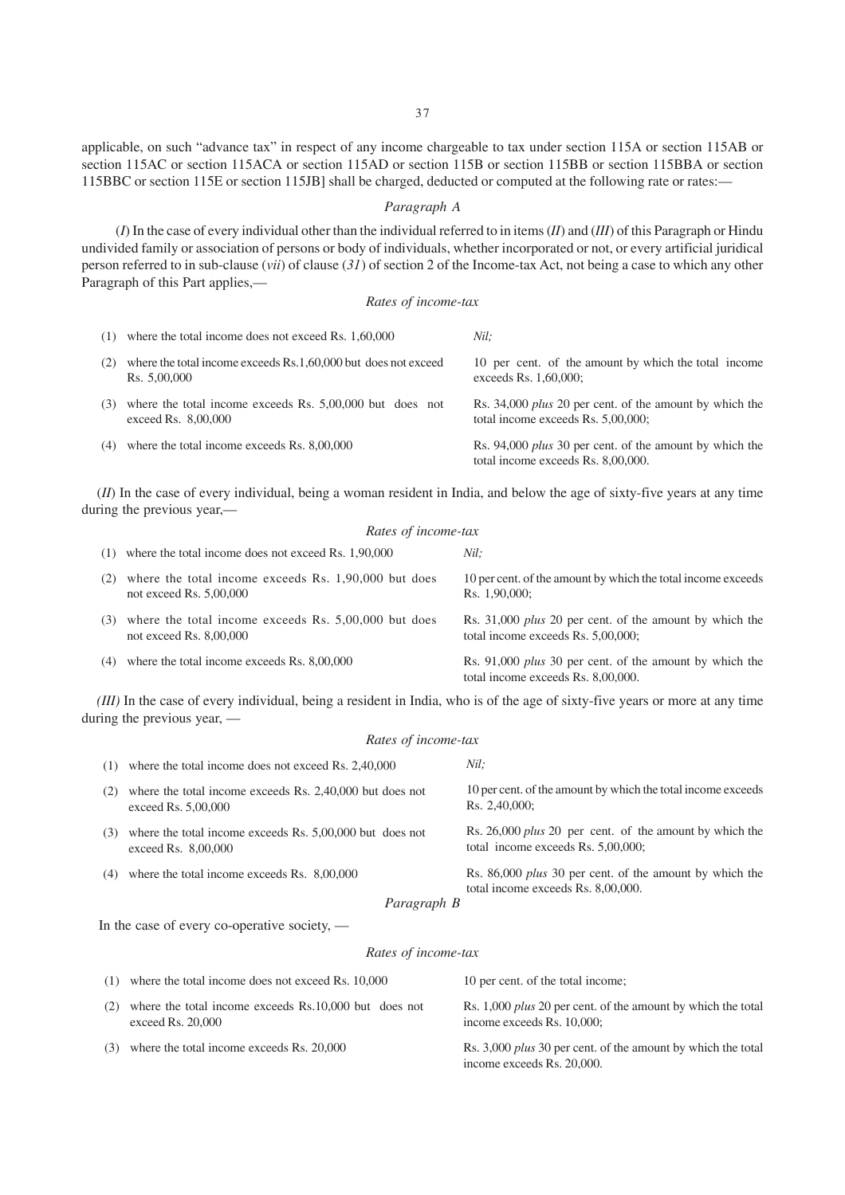applicable, on such "advance tax" in respect of any income chargeable to tax under section 115A or section 115AB or section 115AC or section 115ACA or section 115AD or section 115B or section 115BB or section 115BBA or section 115BBC or section 115E or section 115JB] shall be charged, deducted or computed at the following rate or rates:—

### *Paragraph A*

(*I*) In the case of every individual other than the individual referred to in items (*II*) and (*III*) of this Paragraph or Hindu undivided family or association of persons or body of individuals, whether incorporated or not, or every artificial juridical person referred to in sub-clause (*vii*) of clause (*31*) of section 2 of the Income-tax Act, not being a case to which any other Paragraph of this Part applies,—

### *Rates of income-tax*

| (1) | where the total income does not exceed Rs. 1,60,000                               | Nil:                                                                                                 |
|-----|-----------------------------------------------------------------------------------|------------------------------------------------------------------------------------------------------|
| (2) | where the total income exceeds Rs.1,60,000 but does not exceed<br>Rs. 5,00,000    | 10 per cent. of the amount by which the total income<br>exceeds Rs. 1,60,000;                        |
| (3) | where the total income exceeds Rs. $5,00,000$ but does not<br>exceed Rs. 8,00,000 | Rs. 34,000 <i>plus</i> 20 per cent. of the amount by which the<br>total income exceeds Rs. 5,00,000; |
| (4) | where the total income exceeds Rs. 8,00,000                                       | Rs. 94,000 plus 30 per cent. of the amount by which the<br>total income exceeds Rs. 8,00,000.        |

(*II*) In the case of every individual, being a woman resident in India, and below the age of sixty-five years at any time during the previous year,—

|     | Rates of income-tax                                                               |                                                                                                      |  |
|-----|-----------------------------------------------------------------------------------|------------------------------------------------------------------------------------------------------|--|
| (1) | where the total income does not exceed Rs. 1,90,000                               | Nil:                                                                                                 |  |
| (2) | where the total income exceeds Rs. 1,90,000 but does<br>not exceed Rs. $5,00,000$ | 10 per cent. of the amount by which the total income exceeds<br>Rs. 1.90,000:                        |  |
| (3) | where the total income exceeds Rs. 5,00,000 but does<br>not exceed Rs. $8,00,000$ | Rs. 31,000 <i>plus</i> 20 per cent. of the amount by which the<br>total income exceeds Rs. 5,00,000; |  |
| (4) | where the total income exceeds Rs. 8,00,000                                       | Rs. 91,000 <i>plus</i> 30 per cent. of the amount by which the<br>total income exceeds Rs. 8,00,000. |  |

*(III)* In the case of every individual, being a resident in India, who is of the age of sixty-five years or more at any time during the previous year, —

### *Rates of income-tax*

| (1) | where the total income does not exceed Rs. 2,40,000                             | Nil:                                                                                                 |
|-----|---------------------------------------------------------------------------------|------------------------------------------------------------------------------------------------------|
| (2) | where the total income exceeds Rs. 2,40,000 but does not<br>exceed Rs. 5,00,000 | 10 per cent. of the amount by which the total income exceeds<br>Rs. 2,40,000;                        |
| (3) | where the total income exceeds Rs. 5,00,000 but does not<br>exceed Rs. 8,00,000 | Rs. 26,000 plus 20 per cent. of the amount by which the<br>total income exceeds Rs. 5,00,000;        |
| (4) | where the total income exceeds Rs. 8,00,000                                     | Rs. 86,000 <i>plus</i> 30 per cent. of the amount by which the<br>total income exceeds Rs. 8,00,000. |
|     | Paragraph R                                                                     |                                                                                                      |

*Paragraph B*

In the case of every co-operative society, —

### *Rates of income-tax*

|     | $(1)$ where the total income does not exceed Rs. 10,000                      | 10 per cent. of the total income:                                                                 |
|-----|------------------------------------------------------------------------------|---------------------------------------------------------------------------------------------------|
| (2) | where the total income exceeds Rs.10,000 but does not<br>exceed Rs. $20,000$ | Rs. 1,000 <i>plus</i> 20 per cent. of the amount by which the total<br>income exceeds Rs. 10,000; |
|     | $(3)$ where the total income exceeds Rs. 20,000                              | Rs. 3,000 <i>plus</i> 30 per cent. of the amount by which the total<br>income exceeds Rs. 20,000. |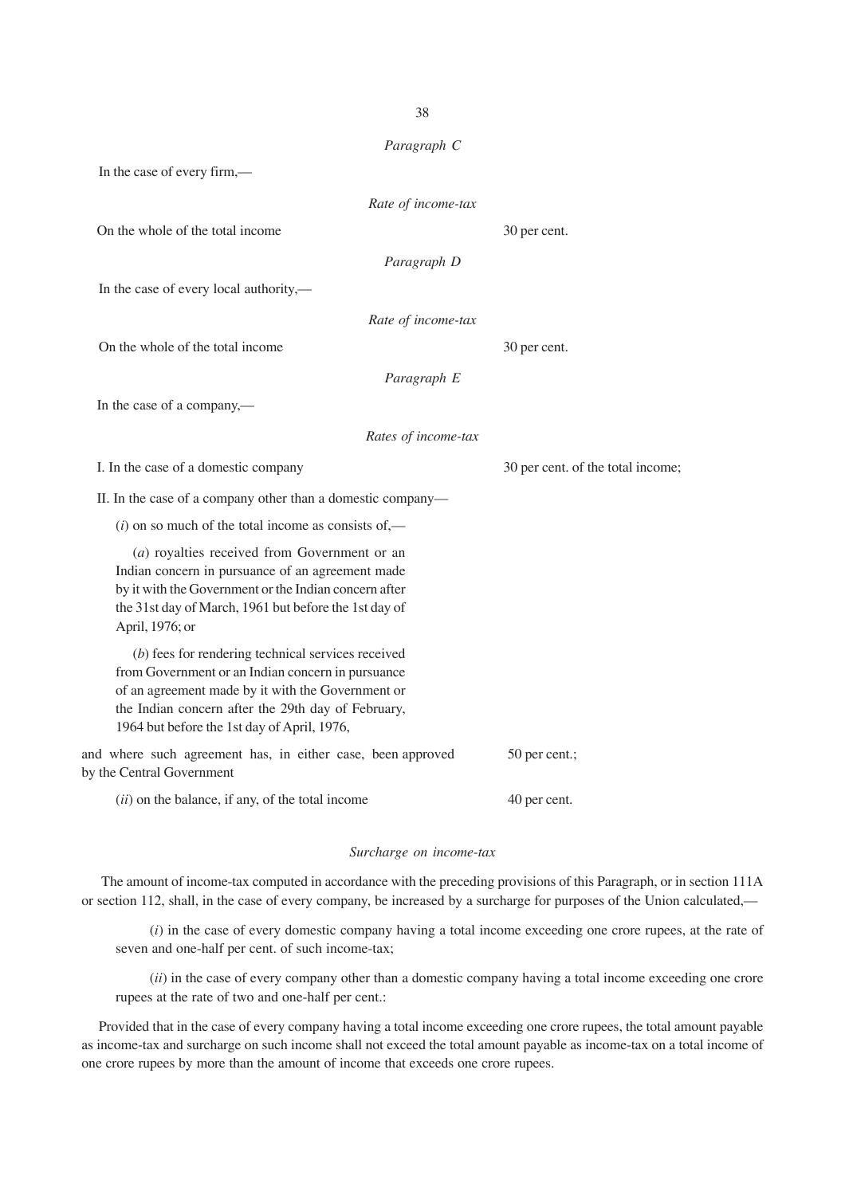*Paragraph C* In the case of every firm,— *Rate of income-tax* On the whole of the total income 30 per cent. *Paragraph D* In the case of every local authority,— *Rate of income-tax* On the whole of the total income 30 per cent. *Paragraph E* In the case of a company,— *Rates of income-tax* I. In the case of a domestic company 30 per cent. of the total income; II. In the case of a company other than a domestic company—  $(i)$  on so much of the total income as consists of  $-$ (*a*) royalties received from Government or an Indian concern in pursuance of an agreement made by it with the Government or the Indian concern after the 31st day of March, 1961 but before the 1st day of April, 1976; or (*b*) fees for rendering technical services received from Government or an Indian concern in pursuance of an agreement made by it with the Government or the Indian concern after the 29th day of February, 1964 but before the 1st day of April, 1976, and where such agreement has, in either case, been approved 50 per cent.; by the Central Government (*ii*) on the balance, if any, of the total income 40 per cent.

### *Surcharge on income-tax*

The amount of income-tax computed in accordance with the preceding provisions of this Paragraph, or in section 111A or section 112, shall, in the case of every company, be increased by a surcharge for purposes of the Union calculated,—

(*i*) in the case of every domestic company having a total income exceeding one crore rupees, at the rate of seven and one-half per cent. of such income-tax;

(*ii*) in the case of every company other than a domestic company having a total income exceeding one crore rupees at the rate of two and one-half per cent.:

Provided that in the case of every company having a total income exceeding one crore rupees, the total amount payable as income-tax and surcharge on such income shall not exceed the total amount payable as income-tax on a total income of one crore rupees by more than the amount of income that exceeds one crore rupees.

38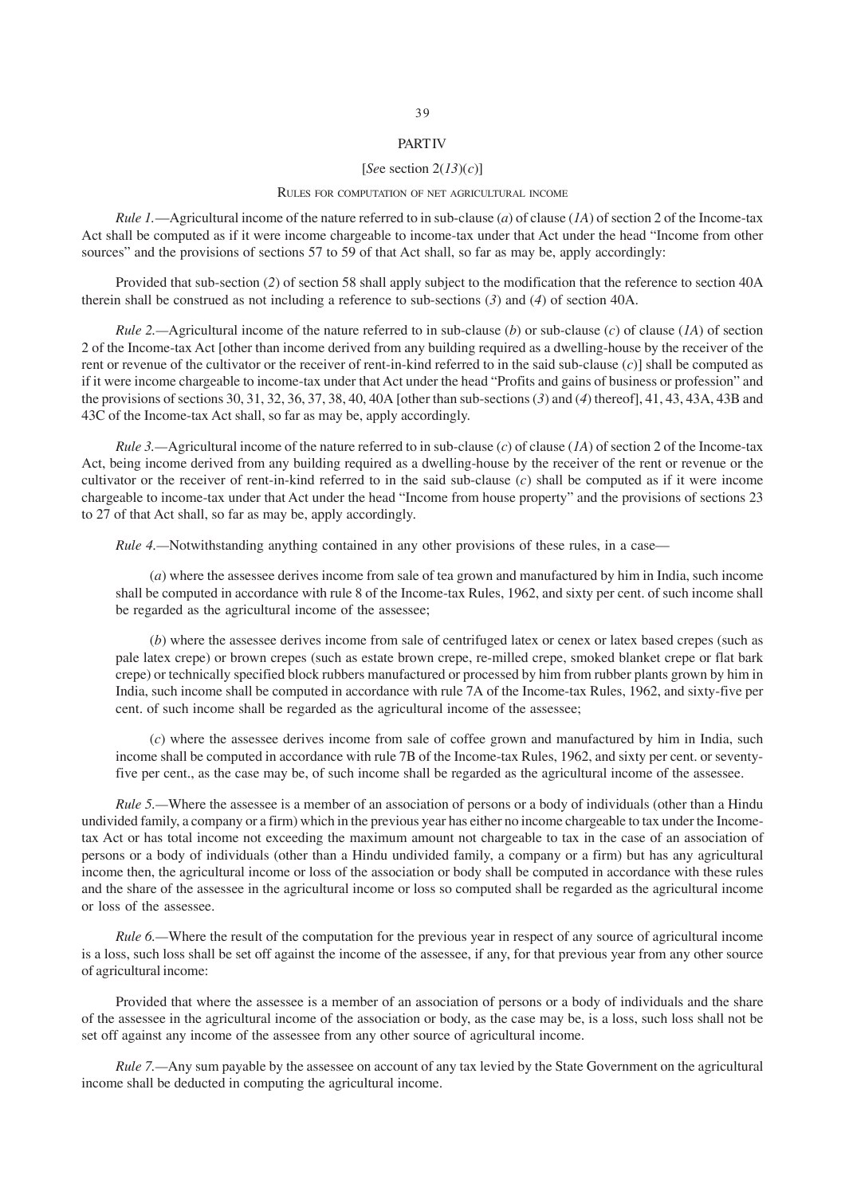# **PART IV**

### [*Se*e section 2(*13*)(*c*)]

#### RULES FOR COMPUTATION OF NET AGRICULTURAL INCOME

*Rule 1.*—Agricultural income of the nature referred to in sub-clause (*a*) of clause (*1A*) of section 2 of the Income-tax Act shall be computed as if it were income chargeable to income-tax under that Act under the head "Income from other sources" and the provisions of sections 57 to 59 of that Act shall, so far as may be, apply accordingly:

Provided that sub-section (*2*) of section 58 shall apply subject to the modification that the reference to section 40A therein shall be construed as not including a reference to sub-sections (*3*) and (*4*) of section 40A.

*Rule 2.—*Agricultural income of the nature referred to in sub-clause (*b*) or sub-clause (*c*) of clause (*1A*) of section 2 of the Income-tax Act [other than income derived from any building required as a dwelling-house by the receiver of the rent or revenue of the cultivator or the receiver of rent-in-kind referred to in the said sub-clause (*c*)] shall be computed as if it were income chargeable to income-tax under that Act under the head "Profits and gains of business or profession" and the provisions of sections 30, 31, 32, 36, 37, 38, 40, 40A [other than sub-sections (*3*) and (*4*) thereof], 41, 43, 43A, 43B and 43C of the Income-tax Act shall, so far as may be, apply accordingly.

*Rule 3.—*Agricultural income of the nature referred to in sub-clause (*c*) of clause (*1A*) of section 2 of the Income-tax Act, being income derived from any building required as a dwelling-house by the receiver of the rent or revenue or the cultivator or the receiver of rent-in-kind referred to in the said sub-clause (*c*) shall be computed as if it were income chargeable to income-tax under that Act under the head "Income from house property" and the provisions of sections 23 to 27 of that Act shall, so far as may be, apply accordingly.

*Rule 4.*—Notwithstanding anything contained in any other provisions of these rules, in a case—

(*a*) where the assessee derives income from sale of tea grown and manufactured by him in India, such income shall be computed in accordance with rule 8 of the Income-tax Rules, 1962, and sixty per cent. of such income shall be regarded as the agricultural income of the assessee;

(*b*) where the assessee derives income from sale of centrifuged latex or cenex or latex based crepes (such as pale latex crepe) or brown crepes (such as estate brown crepe, re-milled crepe, smoked blanket crepe or flat bark crepe) or technically specified block rubbers manufactured or processed by him from rubber plants grown by him in India, such income shall be computed in accordance with rule 7A of the Income-tax Rules, 1962, and sixty-five per cent. of such income shall be regarded as the agricultural income of the assessee;

(*c*) where the assessee derives income from sale of coffee grown and manufactured by him in India, such income shall be computed in accordance with rule 7B of the Income-tax Rules, 1962, and sixty per cent. or seventyfive per cent., as the case may be, of such income shall be regarded as the agricultural income of the assessee.

*Rule 5.—*Where the assessee is a member of an association of persons or a body of individuals (other than a Hindu undivided family, a company or a firm) which in the previous year has either no income chargeable to tax under the Incometax Act or has total income not exceeding the maximum amount not chargeable to tax in the case of an association of persons or a body of individuals (other than a Hindu undivided family, a company or a firm) but has any agricultural income then, the agricultural income or loss of the association or body shall be computed in accordance with these rules and the share of the assessee in the agricultural income or loss so computed shall be regarded as the agricultural income or loss of the assessee.

*Rule 6.—*Where the result of the computation for the previous year in respect of any source of agricultural income is a loss, such loss shall be set off against the income of the assessee, if any, for that previous year from any other source of agricultural income:

Provided that where the assessee is a member of an association of persons or a body of individuals and the share of the assessee in the agricultural income of the association or body, as the case may be, is a loss, such loss shall not be set off against any income of the assessee from any other source of agricultural income.

*Rule 7.*—Any sum payable by the assessee on account of any tax levied by the State Government on the agricultural income shall be deducted in computing the agricultural income.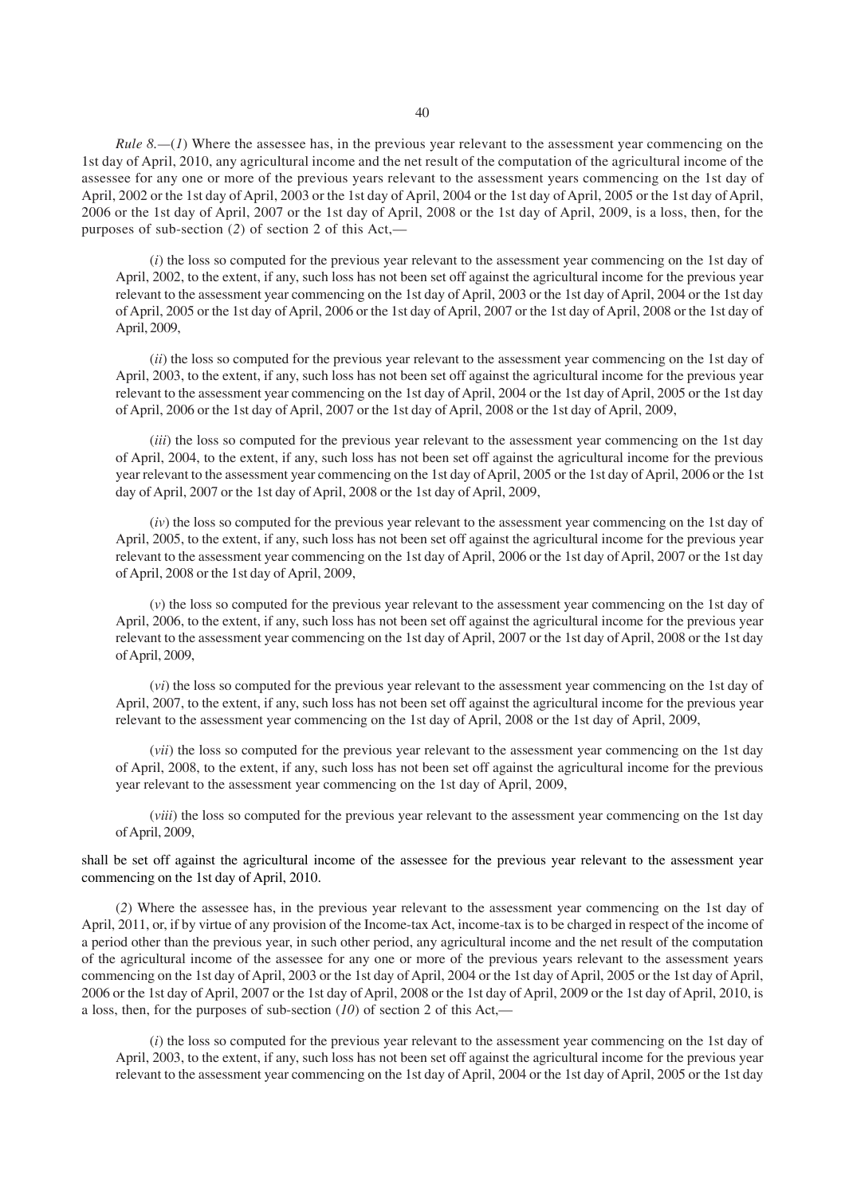*Rule 8.—*(*1*) Where the assessee has, in the previous year relevant to the assessment year commencing on the 1st day of April, 2010, any agricultural income and the net result of the computation of the agricultural income of the assessee for any one or more of the previous years relevant to the assessment years commencing on the 1st day of April, 2002 or the 1st day of April, 2003 or the 1st day of April, 2004 or the 1st day of April, 2005 or the 1st day of April, 2006 or the 1st day of April, 2007 or the 1st day of April, 2008 or the 1st day of April, 2009, is a loss, then, for the purposes of sub-section (*2*) of section 2 of this Act,—

(*i*) the loss so computed for the previous year relevant to the assessment year commencing on the 1st day of April, 2002, to the extent, if any, such loss has not been set off against the agricultural income for the previous year relevant to the assessment year commencing on the 1st day of April, 2003 or the 1st day of April, 2004 or the 1st day of April, 2005 or the 1st day of April, 2006 or the 1st day of April, 2007 or the 1st day of April, 2008 or the 1st day of April, 2009,

(*ii*) the loss so computed for the previous year relevant to the assessment year commencing on the 1st day of April, 2003, to the extent, if any, such loss has not been set off against the agricultural income for the previous year relevant to the assessment year commencing on the 1st day of April, 2004 or the 1st day of April, 2005 or the 1st day of April, 2006 or the 1st day of April, 2007 or the 1st day of April, 2008 or the 1st day of April, 2009,

(*iii*) the loss so computed for the previous year relevant to the assessment year commencing on the 1st day of April, 2004, to the extent, if any, such loss has not been set off against the agricultural income for the previous year relevant to the assessment year commencing on the 1st day of April, 2005 or the 1st day of April, 2006 or the 1st day of April, 2007 or the 1st day of April, 2008 or the 1st day of April, 2009,

(*iv*) the loss so computed for the previous year relevant to the assessment year commencing on the 1st day of April, 2005, to the extent, if any, such loss has not been set off against the agricultural income for the previous year relevant to the assessment year commencing on the 1st day of April, 2006 or the 1st day of April, 2007 or the 1st day of April, 2008 or the 1st day of April, 2009,

(*v*) the loss so computed for the previous year relevant to the assessment year commencing on the 1st day of April, 2006, to the extent, if any, such loss has not been set off against the agricultural income for the previous year relevant to the assessment year commencing on the 1st day of April, 2007 or the 1st day of April, 2008 or the 1st day of April, 2009,

(*vi*) the loss so computed for the previous year relevant to the assessment year commencing on the 1st day of April, 2007, to the extent, if any, such loss has not been set off against the agricultural income for the previous year relevant to the assessment year commencing on the 1st day of April, 2008 or the 1st day of April, 2009,

(*vii*) the loss so computed for the previous year relevant to the assessment year commencing on the 1st day of April, 2008, to the extent, if any, such loss has not been set off against the agricultural income for the previous year relevant to the assessment year commencing on the 1st day of April, 2009,

(*viii*) the loss so computed for the previous year relevant to the assessment year commencing on the 1st day of April, 2009,

shall be set off against the agricultural income of the assessee for the previous year relevant to the assessment year commencing on the 1st day of April, 2010.

(*2*) Where the assessee has, in the previous year relevant to the assessment year commencing on the 1st day of April, 2011, or, if by virtue of any provision of the Income-tax Act, income-tax is to be charged in respect of the income of a period other than the previous year, in such other period, any agricultural income and the net result of the computation of the agricultural income of the assessee for any one or more of the previous years relevant to the assessment years commencing on the 1st day of April, 2003 or the 1st day of April, 2004 or the 1st day of April, 2005 or the 1st day of April, 2006 or the 1st day of April, 2007 or the 1st day of April, 2008 or the 1st day of April, 2009 or the 1st day of April, 2010, is a loss, then, for the purposes of sub-section (*10*) of section 2 of this Act,—

(*i*) the loss so computed for the previous year relevant to the assessment year commencing on the 1st day of April, 2003, to the extent, if any, such loss has not been set off against the agricultural income for the previous year relevant to the assessment year commencing on the 1st day of April, 2004 or the 1st day of April, 2005 or the 1st day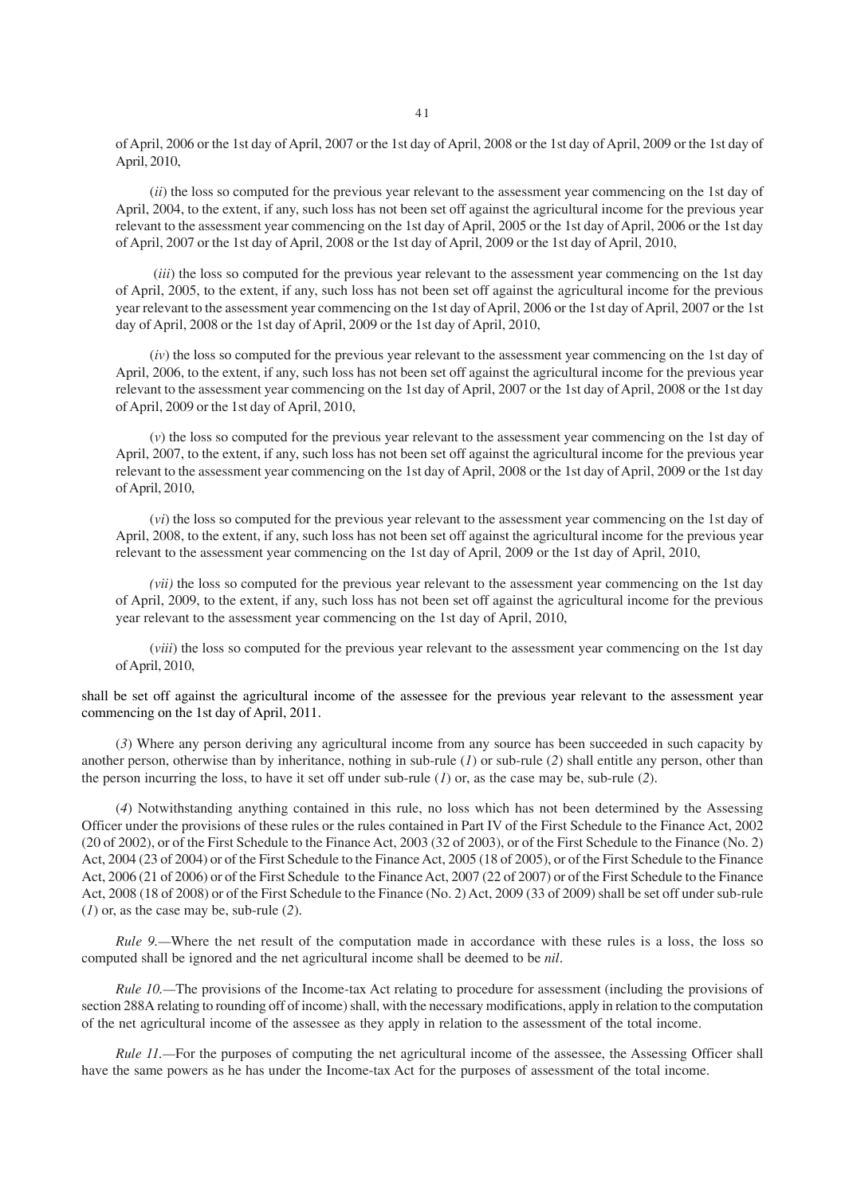of April, 2006 or the 1st day of April, 2007 or the 1st day of April, 2008 or the 1st day of April, 2009 or the 1st day of April, 2010,

(*ii*) the loss so computed for the previous year relevant to the assessment year commencing on the 1st day of April, 2004, to the extent, if any, such loss has not been set off against the agricultural income for the previous year relevant to the assessment year commencing on the 1st day of April, 2005 or the 1st day of April, 2006 or the 1st day of April, 2007 or the 1st day of April, 2008 or the 1st day of April, 2009 or the 1st day of April, 2010,

(*iii*) the loss so computed for the previous year relevant to the assessment year commencing on the 1st day of April, 2005, to the extent, if any, such loss has not been set off against the agricultural income for the previous year relevant to the assessment year commencing on the 1st day of April, 2006 or the 1st day of April, 2007 or the 1st day of April, 2008 or the 1st day of April, 2009 or the 1st day of April, 2010,

(*iv*) the loss so computed for the previous year relevant to the assessment year commencing on the 1st day of April, 2006, to the extent, if any, such loss has not been set off against the agricultural income for the previous year relevant to the assessment year commencing on the 1st day of April, 2007 or the 1st day of April, 2008 or the 1st day of April, 2009 or the 1st day of April, 2010,

(*v*) the loss so computed for the previous year relevant to the assessment year commencing on the 1st day of April, 2007, to the extent, if any, such loss has not been set off against the agricultural income for the previous year relevant to the assessment year commencing on the 1st day of April, 2008 or the 1st day of April, 2009 or the 1st day of April, 2010,

(*vi*) the loss so computed for the previous year relevant to the assessment year commencing on the 1st day of April, 2008, to the extent, if any, such loss has not been set off against the agricultural income for the previous year relevant to the assessment year commencing on the 1st day of April, 2009 or the 1st day of April, 2010,

*(vii)* the loss so computed for the previous year relevant to the assessment year commencing on the 1st day of April, 2009, to the extent, if any, such loss has not been set off against the agricultural income for the previous year relevant to the assessment year commencing on the 1st day of April, 2010,

(*viii*) the loss so computed for the previous year relevant to the assessment year commencing on the 1st day of April, 2010,

shall be set off against the agricultural income of the assessee for the previous year relevant to the assessment year commencing on the 1st day of April, 2011.

(*3*) Where any person deriving any agricultural income from any source has been succeeded in such capacity by another person, otherwise than by inheritance, nothing in sub-rule (*1*) or sub-rule (*2*) shall entitle any person, other than the person incurring the loss, to have it set off under sub-rule (*1*) or, as the case may be, sub-rule (*2*).

(*4*) Notwithstanding anything contained in this rule, no loss which has not been determined by the Assessing Officer under the provisions of these rules or the rules contained in Part IV of the First Schedule to the Finance Act, 2002 (20 of 2002), or of the First Schedule to the Finance Act, 2003 (32 of 2003), or of the First Schedule to the Finance (No. 2) Act, 2004 (23 of 2004) or of the First Schedule to the Finance Act, 2005 (18 of 2005), or of the First Schedule to the Finance Act, 2006 (21 of 2006) or of the First Schedule to the Finance Act, 2007 (22 of 2007) or of the First Schedule to the Finance Act, 2008 (18 of 2008) or of the First Schedule to the Finance (No. 2) Act, 2009 (33 of 2009) shall be set off under sub-rule (*1*) or, as the case may be, sub-rule (*2*).

*Rule 9.*—Where the net result of the computation made in accordance with these rules is a loss, the loss so computed shall be ignored and the net agricultural income shall be deemed to be *nil*.

*Rule 10.*—The provisions of the Income-tax Act relating to procedure for assessment (including the provisions of section 288A relating to rounding off of income) shall, with the necessary modifications, apply in relation to the computation of the net agricultural income of the assessee as they apply in relation to the assessment of the total income.

*Rule 11.*—For the purposes of computing the net agricultural income of the assessee, the Assessing Officer shall have the same powers as he has under the Income-tax Act for the purposes of assessment of the total income.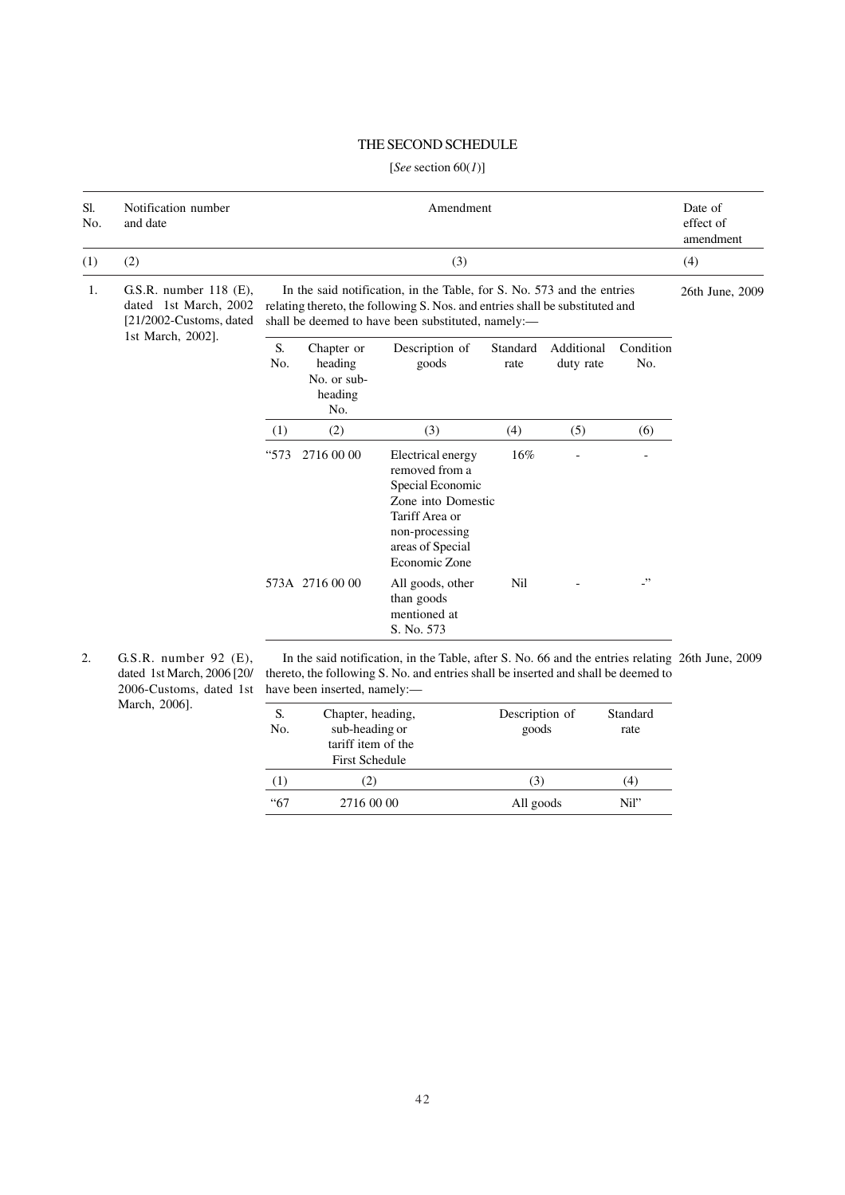# THE SECOND SCHEDULE

# [*See* section 60(*1*)]

| Sl.<br>No. | Notification number<br>and date                                                                   |                                                                                                                                                                                                              |                                                        | Amendment                                                                                                                                                                              |                      |                         |                               | Date of<br>effect of<br>amendment |
|------------|---------------------------------------------------------------------------------------------------|--------------------------------------------------------------------------------------------------------------------------------------------------------------------------------------------------------------|--------------------------------------------------------|----------------------------------------------------------------------------------------------------------------------------------------------------------------------------------------|----------------------|-------------------------|-------------------------------|-----------------------------------|
| (1)        | (2)                                                                                               |                                                                                                                                                                                                              |                                                        | (3)                                                                                                                                                                                    |                      |                         |                               | (4)                               |
| 1.         | G.S.R. number $118$ (E),<br>dated 1st March, 2002<br>[21/2002-Customs, dated                      | In the said notification, in the Table, for S. No. 573 and the entries<br>relating thereto, the following S. Nos. and entries shall be substituted and<br>shall be deemed to have been substituted, namely:- |                                                        |                                                                                                                                                                                        |                      |                         | 26th June, 2009               |                                   |
|            | 1st March, 2002].                                                                                 | S.<br>No.                                                                                                                                                                                                    | Chapter or<br>heading<br>No. or sub-<br>heading<br>No. | Description of<br>goods                                                                                                                                                                | Standard<br>rate     | Additional<br>duty rate | Condition<br>No.              |                                   |
|            |                                                                                                   | (1)                                                                                                                                                                                                          | (2)                                                    | (3)                                                                                                                                                                                    | (4)                  | (5)                     | (6)                           |                                   |
|            |                                                                                                   | "573                                                                                                                                                                                                         | 2716 00 00                                             | Electrical energy<br>removed from a<br>Special Economic<br>Zone into Domestic<br>Tariff Area or<br>non-processing<br>areas of Special<br>Economic Zone                                 | 16%                  |                         |                               |                                   |
|            |                                                                                                   |                                                                                                                                                                                                              | 573A 2716 00 00                                        | All goods, other<br>than goods<br>mentioned at<br>S. No. 573                                                                                                                           | <b>Nil</b>           |                         | $\cdot$                       |                                   |
| 2.         | G.S.R. number $92$ (E),<br>dated 1st March, 2006 [20/<br>2006-Customs, dated 1st<br>March, 2006]. | $\sim$                                                                                                                                                                                                       | have been inserted, namely:-                           | In the said notification, in the Table, after S. No. 66 and the entries relating 26th June, 2009<br>thereto, the following S. No. and entries shall be inserted and shall be deemed to | na an that a control |                         | $C_{1}$ $\sim$ $1$ $\sim$ $1$ |                                   |

| S.<br>No.   | Chapter, heading,<br>sub-heading or<br>tariff item of the<br><b>First Schedule</b> | Description of<br>goods | Standard<br>rate |
|-------------|------------------------------------------------------------------------------------|-------------------------|------------------|
| (1)         | (2)                                                                                | (3)                     | (4)              |
| <i>"</i> 67 | 2716 00 00                                                                         | All goods               | Nil"             |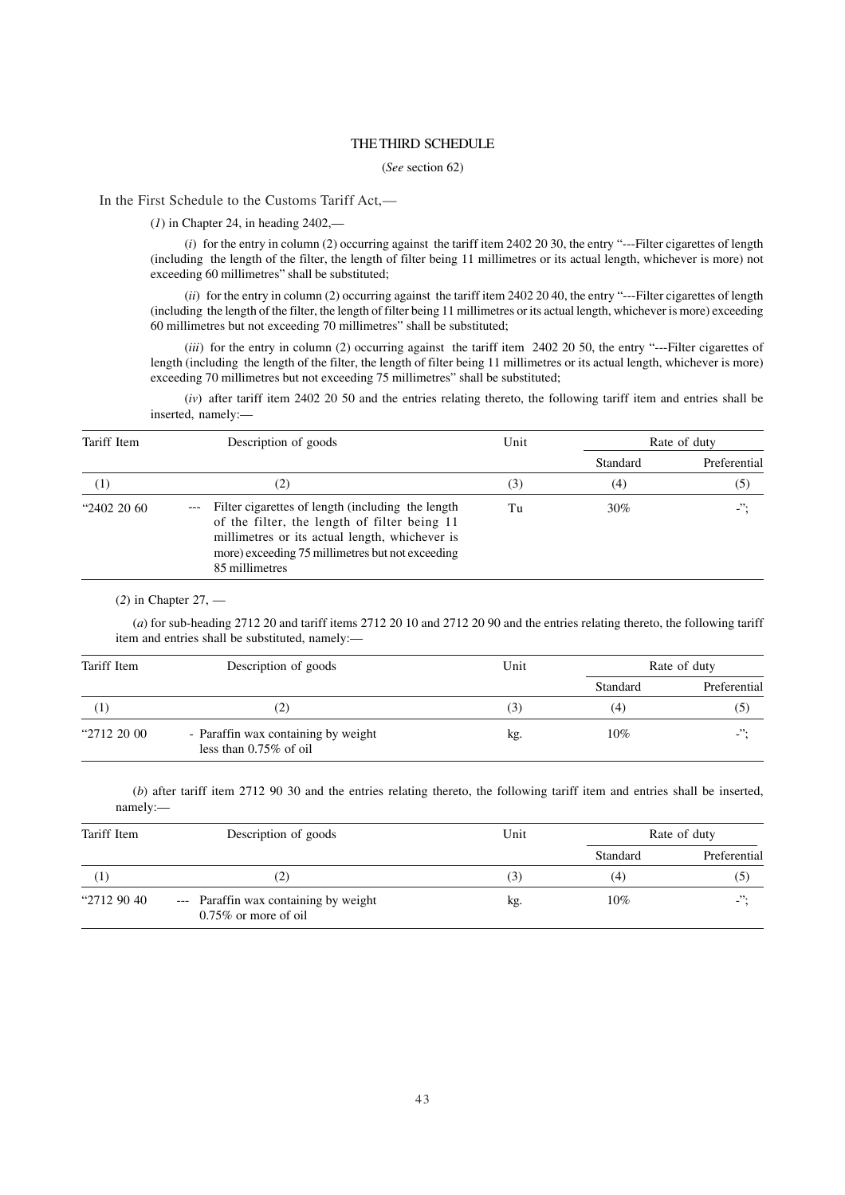### THE THIRD SCHEDULE

#### (*See* section 62)

In the First Schedule to the Customs Tariff Act,—

(*1*) in Chapter 24, in heading 2402,—

(*i*) for the entry in column (2) occurring against the tariff item 2402 20 30, the entry "---Filter cigarettes of length (including the length of the filter, the length of filter being 11 millimetres or its actual length, whichever is more) not exceeding 60 millimetres" shall be substituted;

(*ii*) for the entry in column (2) occurring against the tariff item 2402 20 40, the entry "---Filter cigarettes of length (including the length of the filter, the length of filter being 11 millimetres or its actual length, whichever is more) exceeding 60 millimetres but not exceeding 70 millimetres" shall be substituted;

(*iii*) for the entry in column (2) occurring against the tariff item 2402 20 50, the entry "---Filter cigarettes of length (including the length of the filter, the length of filter being 11 millimetres or its actual length, whichever is more) exceeding 70 millimetres but not exceeding 75 millimetres" shall be substituted;

(*iv*) after tariff item 2402 20 50 and the entries relating thereto, the following tariff item and entries shall be inserted, namely:—

| Tariff Item         | Description of goods                                                                                                                                                                                                                | Unit | Rate of duty |              |
|---------------------|-------------------------------------------------------------------------------------------------------------------------------------------------------------------------------------------------------------------------------------|------|--------------|--------------|
|                     |                                                                                                                                                                                                                                     |      | Standard     | Preferential |
| $\scriptstyle{(1)}$ | (2)                                                                                                                                                                                                                                 | (3)  | (4)          | (5)          |
| "2402 20 60         | Filter cigarettes of length (including the length)<br>$---$<br>of the filter, the length of filter being 11<br>millimetres or its actual length, whichever is<br>more) exceeding 75 millimetres but not exceeding<br>85 millimetres | Tu   | 30%          | $\cdot$      |

(*2*) in Chapter 27, —

(*a*) for sub-heading 2712 20 and tariff items 2712 20 10 and 2712 20 90 and the entries relating thereto, the following tariff item and entries shall be substituted, namely:—

| Tariff Item | Description of goods                                             | Unit               | Rate of duty |                          |  |
|-------------|------------------------------------------------------------------|--------------------|--------------|--------------------------|--|
|             |                                                                  |                    | Standard     | Preferential             |  |
| $\Gamma$    | .2)                                                              | $\left( 5 \right)$ | (4)          | (5)                      |  |
| "2712 20 00 | - Paraffin wax containing by weight<br>less than $0.75\%$ of oil | kg.                | $10\%$       | $\overline{\phantom{a}}$ |  |

(*b*) after tariff item 2712 90 30 and the entries relating thereto, the following tariff item and entries shall be inserted, namely:—

| Tariff Item      | Description of goods                                             | Unit | Rate of duty |              |
|------------------|------------------------------------------------------------------|------|--------------|--------------|
|                  |                                                                  |      | Standard     | Preferential |
| $\left(1\right)$ | (2)                                                              | (3)  | (4)          | (5)          |
| "2712 90 40"     | --- Paraffin wax containing by weight<br>$0.75\%$ or more of oil | kg.  | $10\%$       | $\cdot$      |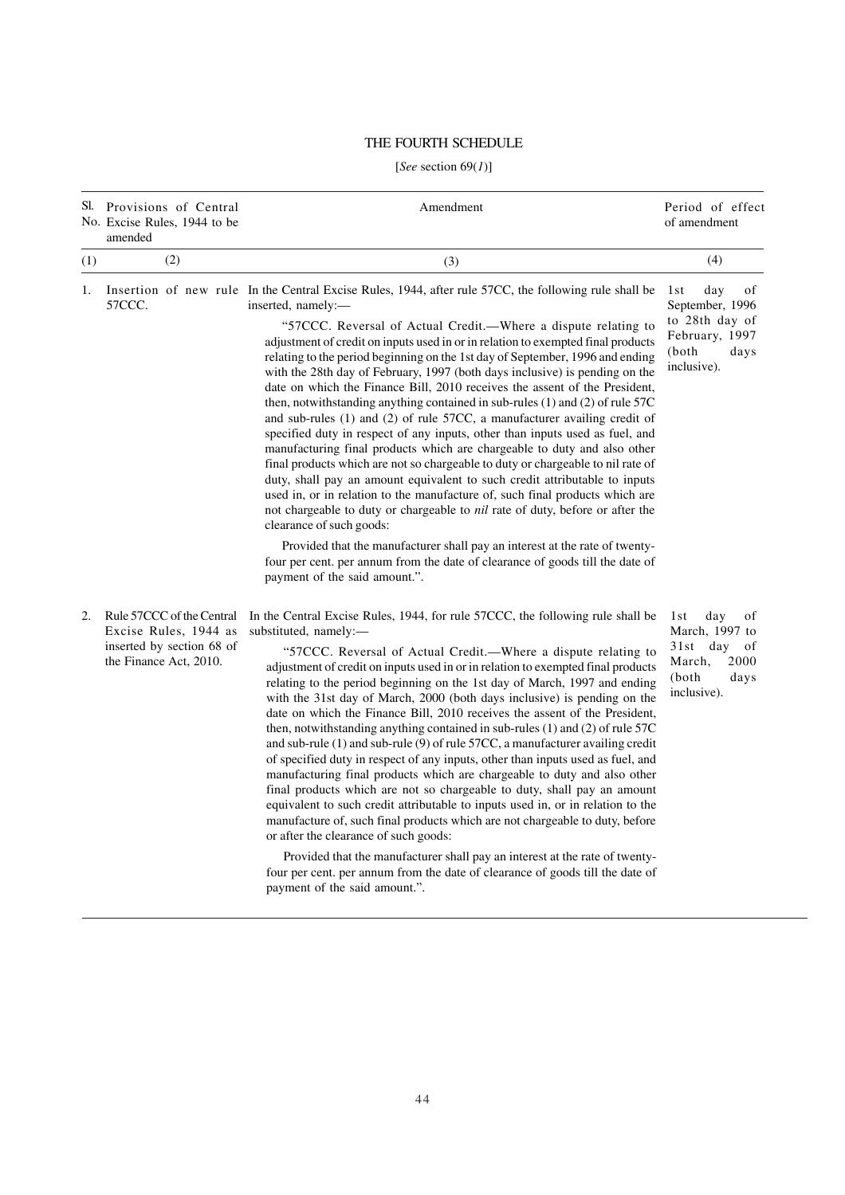# THE FOURTH SCHEDULE

# [*See* section 69(*1*)]

|     | Sl. Provisions of Central<br>No. Excise Rules, 1944 to be<br>amended                                      | Amendment                                                                                                                                                                                                                                                                                                                                                                                                                                                                                                                                                                                                                                                                                                                                                                                                                                                                                                                                                                                                                                                                                                                                                                                                                                                                                                                                                                                                                | Period of effect<br>of amendment                                                                           |
|-----|-----------------------------------------------------------------------------------------------------------|--------------------------------------------------------------------------------------------------------------------------------------------------------------------------------------------------------------------------------------------------------------------------------------------------------------------------------------------------------------------------------------------------------------------------------------------------------------------------------------------------------------------------------------------------------------------------------------------------------------------------------------------------------------------------------------------------------------------------------------------------------------------------------------------------------------------------------------------------------------------------------------------------------------------------------------------------------------------------------------------------------------------------------------------------------------------------------------------------------------------------------------------------------------------------------------------------------------------------------------------------------------------------------------------------------------------------------------------------------------------------------------------------------------------------|------------------------------------------------------------------------------------------------------------|
| (1) | (2)                                                                                                       | (3)                                                                                                                                                                                                                                                                                                                                                                                                                                                                                                                                                                                                                                                                                                                                                                                                                                                                                                                                                                                                                                                                                                                                                                                                                                                                                                                                                                                                                      | (4)                                                                                                        |
| 1.  | 57CCC.                                                                                                    | Insertion of new rule In the Central Excise Rules, 1944, after rule 57CC, the following rule shall be<br>inserted, namely:-<br>"57CCC. Reversal of Actual Credit.—Where a dispute relating to<br>adjustment of credit on inputs used in or in relation to exempted final products<br>relating to the period beginning on the 1st day of September, 1996 and ending<br>with the 28th day of February, 1997 (both days inclusive) is pending on the<br>date on which the Finance Bill, 2010 receives the assent of the President,<br>then, notwithstanding anything contained in sub-rules (1) and (2) of rule 57C<br>and sub-rules (1) and (2) of rule 57CC, a manufacturer availing credit of<br>specified duty in respect of any inputs, other than inputs used as fuel, and<br>manufacturing final products which are chargeable to duty and also other<br>final products which are not so chargeable to duty or chargeable to nil rate of<br>duty, shall pay an amount equivalent to such credit attributable to inputs<br>used in, or in relation to the manufacture of, such final products which are<br>not chargeable to duty or chargeable to nil rate of duty, before or after the<br>clearance of such goods:<br>Provided that the manufacturer shall pay an interest at the rate of twenty-<br>four per cent. per annum from the date of clearance of goods till the date of<br>payment of the said amount.". | day<br>of<br>1st<br>September, 1996<br>to 28th day of<br>February, 1997<br>(both<br>days<br>inclusive).    |
| 2.  | Rule 57CCC of the Central<br>Excise Rules, 1944 as<br>inserted by section 68 of<br>the Finance Act, 2010. | In the Central Excise Rules, 1944, for rule 57CCC, the following rule shall be<br>substituted, namely:-<br>"57CCC. Reversal of Actual Credit.—Where a dispute relating to<br>adjustment of credit on inputs used in or in relation to exempted final products<br>relating to the period beginning on the 1st day of March, 1997 and ending<br>with the 31st day of March, 2000 (both days inclusive) is pending on the<br>date on which the Finance Bill, 2010 receives the assent of the President,<br>then, notwithstanding anything contained in sub-rules (1) and (2) of rule 57C<br>and sub-rule $(1)$ and sub-rule $(9)$ of rule 57CC, a manufacturer availing credit<br>of specified duty in respect of any inputs, other than inputs used as fuel, and<br>manufacturing final products which are chargeable to duty and also other<br>final products which are not so chargeable to duty, shall pay an amount<br>equivalent to such credit attributable to inputs used in, or in relation to the<br>manufacture of, such final products which are not chargeable to duty, before<br>or after the clearance of such goods:<br>Provided that the manufacturer shall pay an interest at the rate of twenty-<br>four per cent. per annum from the date of clearance of goods till the date of<br>payment of the said amount.".                                                                                       | of<br>1st<br>day<br>March, 1997 to<br>day<br>31 st<br>of<br>March,<br>2000<br>(both<br>days<br>inclusive). |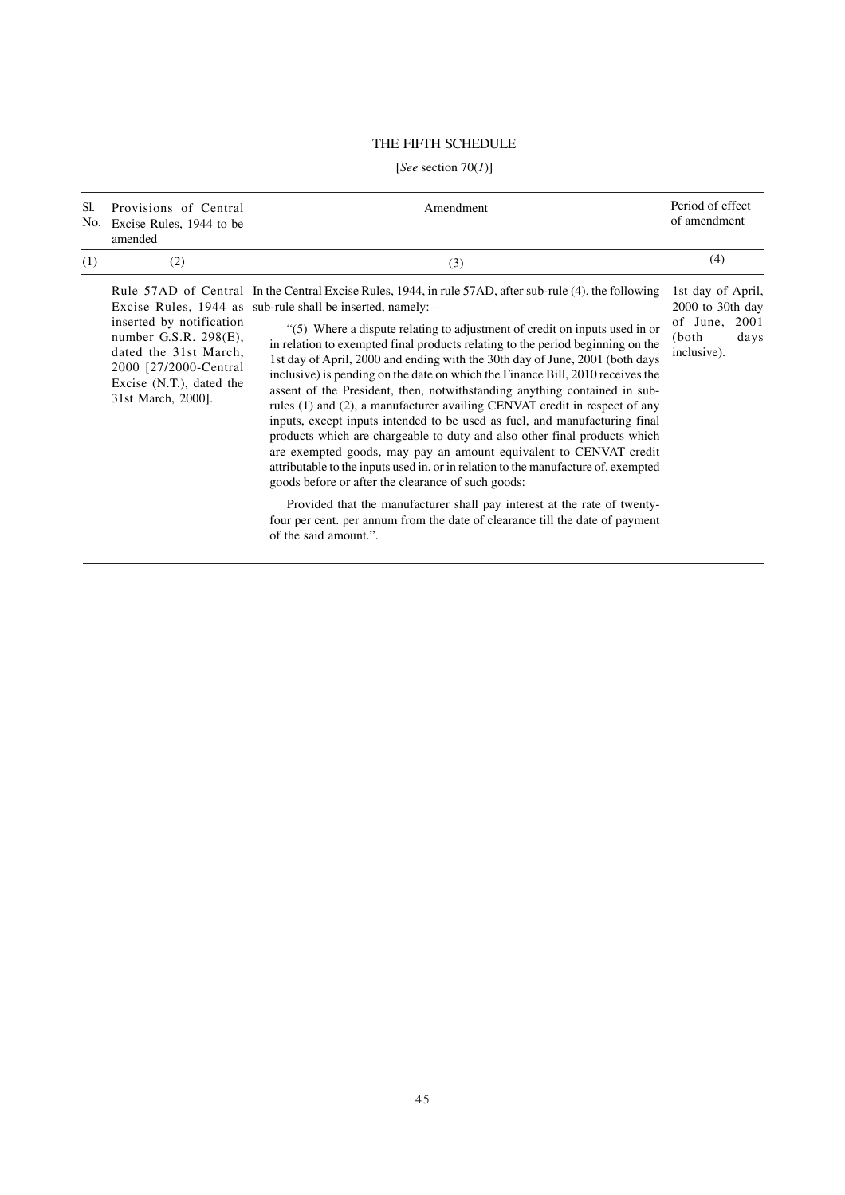# THE FIFTH SCHEDULE

# [*See* section 70(*1*)]

| Sl.<br>No. | Provisions of Central<br>Excise Rules, 1944 to be<br>amended                                                                                              | Amendment                                                                                                                                                                                                                                                                                                                                                                                                                                                                                                                                                                                                                                                                                                                                                                                                                                                                                                                                                                                                                                                                                                                                                                                                                           | Period of effect<br>of amendment                                                           |
|------------|-----------------------------------------------------------------------------------------------------------------------------------------------------------|-------------------------------------------------------------------------------------------------------------------------------------------------------------------------------------------------------------------------------------------------------------------------------------------------------------------------------------------------------------------------------------------------------------------------------------------------------------------------------------------------------------------------------------------------------------------------------------------------------------------------------------------------------------------------------------------------------------------------------------------------------------------------------------------------------------------------------------------------------------------------------------------------------------------------------------------------------------------------------------------------------------------------------------------------------------------------------------------------------------------------------------------------------------------------------------------------------------------------------------|--------------------------------------------------------------------------------------------|
| (1)        | (2)                                                                                                                                                       | (3)                                                                                                                                                                                                                                                                                                                                                                                                                                                                                                                                                                                                                                                                                                                                                                                                                                                                                                                                                                                                                                                                                                                                                                                                                                 | (4)                                                                                        |
|            | inserted by notification<br>number G.S.R. 298(E),<br>dated the 31st March,<br>2000 [27/2000-Central]<br>Excise $(N.T.)$ , dated the<br>31st March, 2000]. | Rule 57AD of Central In the Central Excise Rules, 1944, in rule 57AD, after sub-rule (4), the following<br>Excise Rules, 1944 as sub-rule shall be inserted, namely:—<br>"(5) Where a dispute relating to adjustment of credit on inputs used in or<br>in relation to exempted final products relating to the period beginning on the<br>1st day of April, 2000 and ending with the 30th day of June, 2001 (both days<br>inclusive) is pending on the date on which the Finance Bill, 2010 receives the<br>assent of the President, then, notwithstanding anything contained in sub-<br>rules (1) and (2), a manufacturer availing CENVAT credit in respect of any<br>inputs, except inputs intended to be used as fuel, and manufacturing final<br>products which are chargeable to duty and also other final products which<br>are exempted goods, may pay an amount equivalent to CENVAT credit<br>attributable to the inputs used in, or in relation to the manufacture of, exempted<br>goods before or after the clearance of such goods:<br>Provided that the manufacturer shall pay interest at the rate of twenty-<br>four per cent. per annum from the date of clearance till the date of payment<br>of the said amount.". | 1st day of April,<br>$2000$ to 30th day<br>of June, $2001$<br>(both<br>days<br>inclusive). |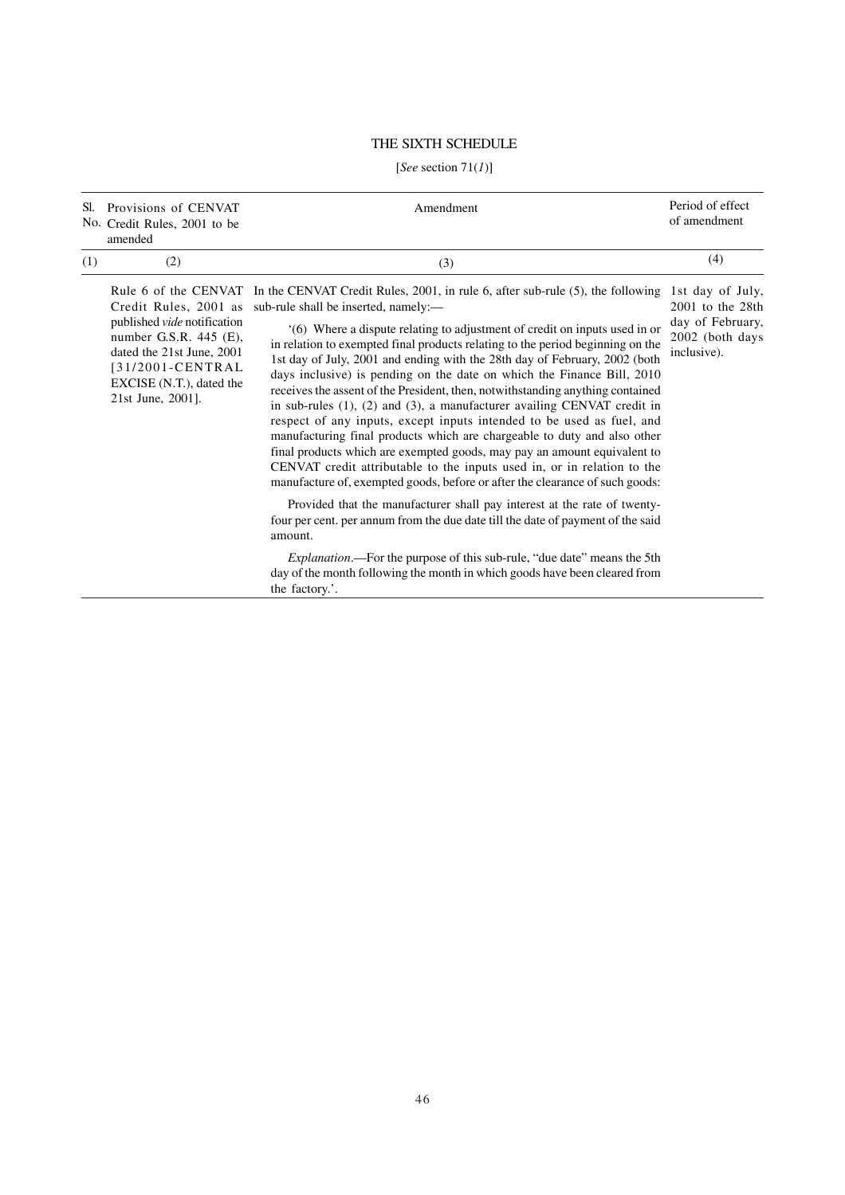# THE SIXTH SCHEDULE

# [*See* section 71(*1*)]

| Sl. | Provisions of CENVAT<br>No. Credit Rules, 2001 to be<br>amended                                                                                                                           | Amendment                                                                                                                                                                                                                                                                                                                                                                                                                                                                                                                                                                                                                                                                                                                                                                                                                                                                                                                                                                                                                                                                                                                                                                                          | Period of effect<br>of amendment                                                               |
|-----|-------------------------------------------------------------------------------------------------------------------------------------------------------------------------------------------|----------------------------------------------------------------------------------------------------------------------------------------------------------------------------------------------------------------------------------------------------------------------------------------------------------------------------------------------------------------------------------------------------------------------------------------------------------------------------------------------------------------------------------------------------------------------------------------------------------------------------------------------------------------------------------------------------------------------------------------------------------------------------------------------------------------------------------------------------------------------------------------------------------------------------------------------------------------------------------------------------------------------------------------------------------------------------------------------------------------------------------------------------------------------------------------------------|------------------------------------------------------------------------------------------------|
| (1) | (2)                                                                                                                                                                                       | (3)                                                                                                                                                                                                                                                                                                                                                                                                                                                                                                                                                                                                                                                                                                                                                                                                                                                                                                                                                                                                                                                                                                                                                                                                | (4)                                                                                            |
|     | Credit Rules, 2001 as<br>published <i>vide</i> notification<br>number G.S.R. $445$ (E),<br>dated the 21st June, 2001<br>[31/2001-CENTRAL<br>EXCISE (N.T.), dated the<br>21st June, 2001]. | Rule 6 of the CENVAT In the CENVAT Credit Rules, 2001, in rule 6, after sub-rule (5), the following<br>sub-rule shall be inserted, namely:—<br>(6) Where a dispute relating to adjustment of credit on inputs used in or<br>in relation to exempted final products relating to the period beginning on the<br>1st day of July, 2001 and ending with the 28th day of February, 2002 (both<br>days inclusive) is pending on the date on which the Finance Bill, 2010<br>receives the assent of the President, then, notwithstanding anything contained<br>in sub-rules $(1)$ , $(2)$ and $(3)$ , a manufacturer availing CENVAT credit in<br>respect of any inputs, except inputs intended to be used as fuel, and<br>manufacturing final products which are chargeable to duty and also other<br>final products which are exempted goods, may pay an amount equivalent to<br>CENVAT credit attributable to the inputs used in, or in relation to the<br>manufacture of, exempted goods, before or after the clearance of such goods:<br>Provided that the manufacturer shall pay interest at the rate of twenty-<br>four per cent. per annum from the due date till the date of payment of the said | 1st day of July,<br>$2001$ to the $28th$<br>day of February,<br>2002 (both days<br>inclusive). |
|     |                                                                                                                                                                                           | amount.<br><i>Explanation</i> .—For the purpose of this sub-rule, "due date" means the 5th<br>day of the month following the month in which goods have been cleared from<br>the factory.'.                                                                                                                                                                                                                                                                                                                                                                                                                                                                                                                                                                                                                                                                                                                                                                                                                                                                                                                                                                                                         |                                                                                                |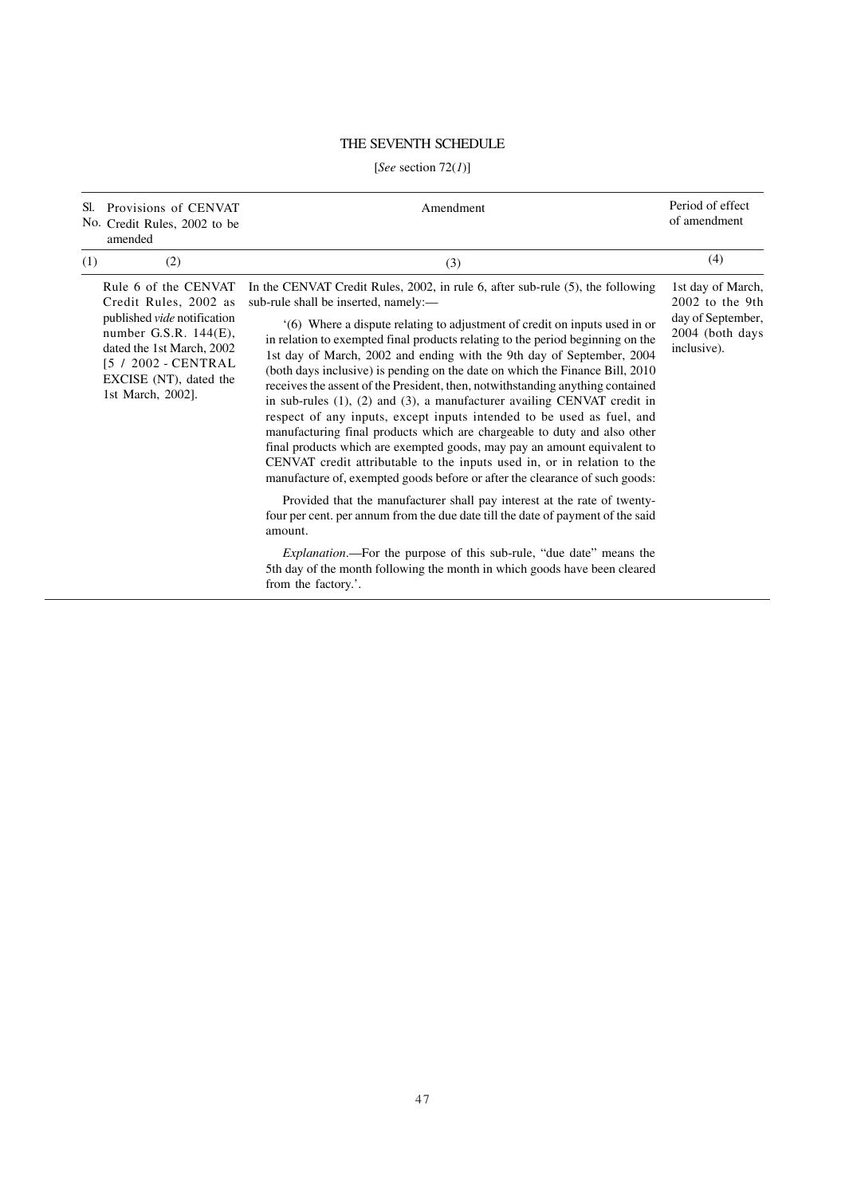# THE SEVENTH SCHEDULE

# [*See* section 72(*1*)]

| Sl. | Provisions of CENVAT<br>No. Credit Rules, 2002 to be<br>amended                                                                                                                                                    | Amendment                                                                                                                                                                                                                                                                                                                                                                                                                                                                                                                                                                                                                                                                                                                                                                                                                                                                                                                                                                                                       | Period of effect<br>of amendment                                                              |
|-----|--------------------------------------------------------------------------------------------------------------------------------------------------------------------------------------------------------------------|-----------------------------------------------------------------------------------------------------------------------------------------------------------------------------------------------------------------------------------------------------------------------------------------------------------------------------------------------------------------------------------------------------------------------------------------------------------------------------------------------------------------------------------------------------------------------------------------------------------------------------------------------------------------------------------------------------------------------------------------------------------------------------------------------------------------------------------------------------------------------------------------------------------------------------------------------------------------------------------------------------------------|-----------------------------------------------------------------------------------------------|
| (1) | (2)                                                                                                                                                                                                                | (3)                                                                                                                                                                                                                                                                                                                                                                                                                                                                                                                                                                                                                                                                                                                                                                                                                                                                                                                                                                                                             | (4)                                                                                           |
|     | Rule 6 of the CENVAT<br>Credit Rules, 2002 as<br>published <i>vide</i> notification<br>number G.S.R. $144(E)$ ,<br>dated the 1st March, 2002<br>[5 / 2002 - CENTRAL<br>EXCISE (NT), dated the<br>1st March, 2002]. | In the CENVAT Credit Rules, 2002, in rule 6, after sub-rule (5), the following<br>sub-rule shall be inserted, namely:—<br>'(6) Where a dispute relating to adjustment of credit on inputs used in or<br>in relation to exempted final products relating to the period beginning on the<br>1st day of March, 2002 and ending with the 9th day of September, 2004<br>(both days inclusive) is pending on the date on which the Finance Bill, 2010<br>receives the assent of the President, then, notwithstanding anything contained<br>in sub-rules $(1)$ , $(2)$ and $(3)$ , a manufacturer availing CENVAT credit in<br>respect of any inputs, except inputs intended to be used as fuel, and<br>manufacturing final products which are chargeable to duty and also other<br>final products which are exempted goods, may pay an amount equivalent to<br>CENVAT credit attributable to the inputs used in, or in relation to the<br>manufacture of, exempted goods before or after the clearance of such goods: | 1st day of March,<br>$2002$ to the 9th<br>day of September,<br>2004 (both days<br>inclusive). |
|     |                                                                                                                                                                                                                    | Provided that the manufacturer shall pay interest at the rate of twenty-<br>four per cent. per annum from the due date till the date of payment of the said<br>amount.                                                                                                                                                                                                                                                                                                                                                                                                                                                                                                                                                                                                                                                                                                                                                                                                                                          |                                                                                               |
|     |                                                                                                                                                                                                                    | <i>Explanation</i> .—For the purpose of this sub-rule, "due date" means the<br>5th day of the month following the month in which goods have been cleared<br>from the factory.'.                                                                                                                                                                                                                                                                                                                                                                                                                                                                                                                                                                                                                                                                                                                                                                                                                                 |                                                                                               |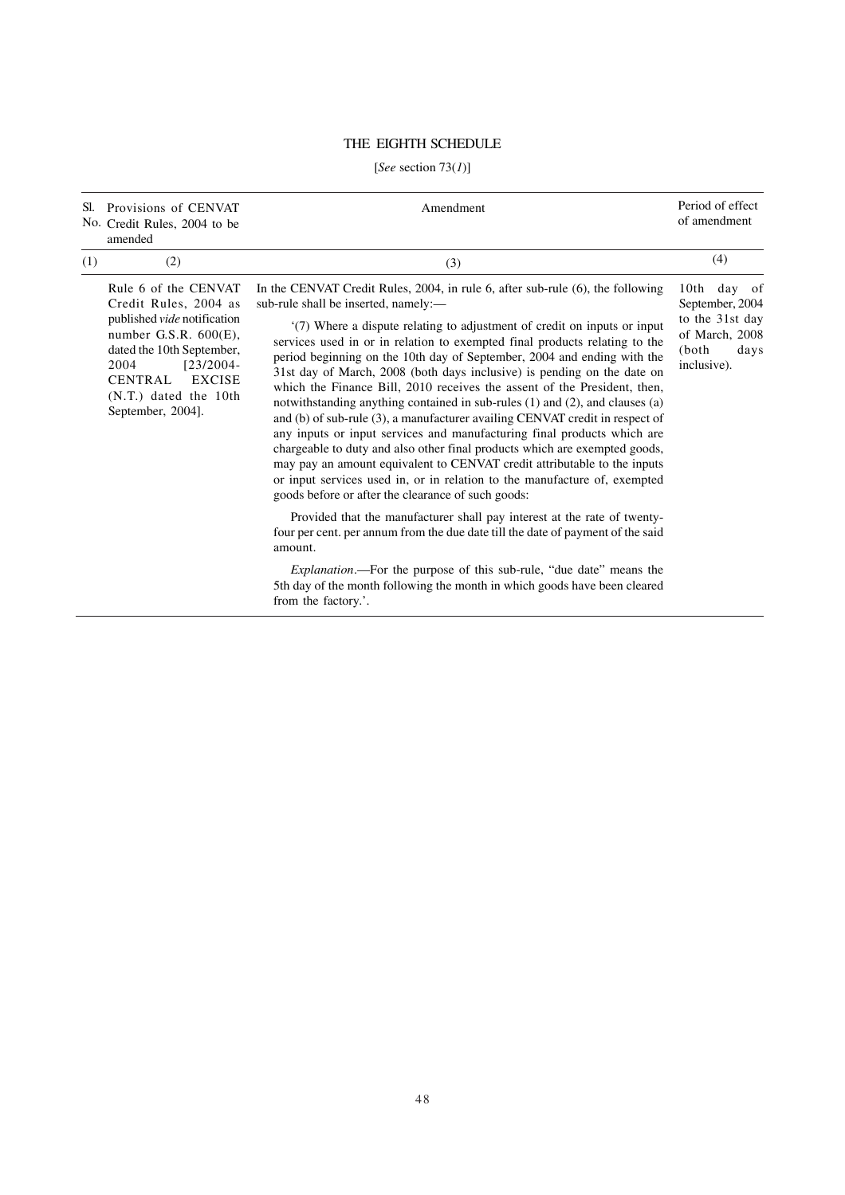# THE EIGHTH SCHEDULE

# [*See* section 73(*1*)]

| Sl. | Provisions of CENVAT<br>No. Credit Rules, 2004 to be<br>amended                                                                                                                                                                                  | Amendment                                                                                                                                                                                                                                                                                                                                                                                                                                                                                                                                                                                                                                                                                                                                                                                                                                                                                                                                                                                                                                                 | Period of effect<br>of amendment                                                                          |
|-----|--------------------------------------------------------------------------------------------------------------------------------------------------------------------------------------------------------------------------------------------------|-----------------------------------------------------------------------------------------------------------------------------------------------------------------------------------------------------------------------------------------------------------------------------------------------------------------------------------------------------------------------------------------------------------------------------------------------------------------------------------------------------------------------------------------------------------------------------------------------------------------------------------------------------------------------------------------------------------------------------------------------------------------------------------------------------------------------------------------------------------------------------------------------------------------------------------------------------------------------------------------------------------------------------------------------------------|-----------------------------------------------------------------------------------------------------------|
| (1) | (2)                                                                                                                                                                                                                                              | (3)                                                                                                                                                                                                                                                                                                                                                                                                                                                                                                                                                                                                                                                                                                                                                                                                                                                                                                                                                                                                                                                       | (4)                                                                                                       |
|     | Rule 6 of the CENVAT<br>Credit Rules, 2004 as<br>published <i>vide</i> notification<br>number G.S.R. $600(E)$ ,<br>dated the 10th September,<br>2004<br>$[23/2004 -$<br><b>EXCISE</b><br>CENTRAL<br>$(N.T.)$ dated the 10th<br>September, 2004]. | In the CENVAT Credit Rules, 2004, in rule 6, after sub-rule (6), the following<br>sub-rule shall be inserted, namely:—<br>(7) Where a dispute relating to adjustment of credit on inputs or input<br>services used in or in relation to exempted final products relating to the<br>period beginning on the 10th day of September, 2004 and ending with the<br>31st day of March, 2008 (both days inclusive) is pending on the date on<br>which the Finance Bill, 2010 receives the assent of the President, then,<br>notwithstanding anything contained in sub-rules (1) and (2), and clauses (a)<br>and (b) of sub-rule (3), a manufacturer availing CENVAT credit in respect of<br>any inputs or input services and manufacturing final products which are<br>chargeable to duty and also other final products which are exempted goods,<br>may pay an amount equivalent to CENVAT credit attributable to the inputs<br>or input services used in, or in relation to the manufacture of, exempted<br>goods before or after the clearance of such goods: | 10th day<br>- of<br>September, 2004<br>to the 31st day<br>of March, 2008<br>(both)<br>days<br>inclusive). |
|     |                                                                                                                                                                                                                                                  | Provided that the manufacturer shall pay interest at the rate of twenty-<br>four per cent. per annum from the due date till the date of payment of the said<br>amount.                                                                                                                                                                                                                                                                                                                                                                                                                                                                                                                                                                                                                                                                                                                                                                                                                                                                                    |                                                                                                           |
|     |                                                                                                                                                                                                                                                  | <i>Explanation</i> .—For the purpose of this sub-rule, "due date" means the<br>5th day of the month following the month in which goods have been cleared<br>from the factory.'.                                                                                                                                                                                                                                                                                                                                                                                                                                                                                                                                                                                                                                                                                                                                                                                                                                                                           |                                                                                                           |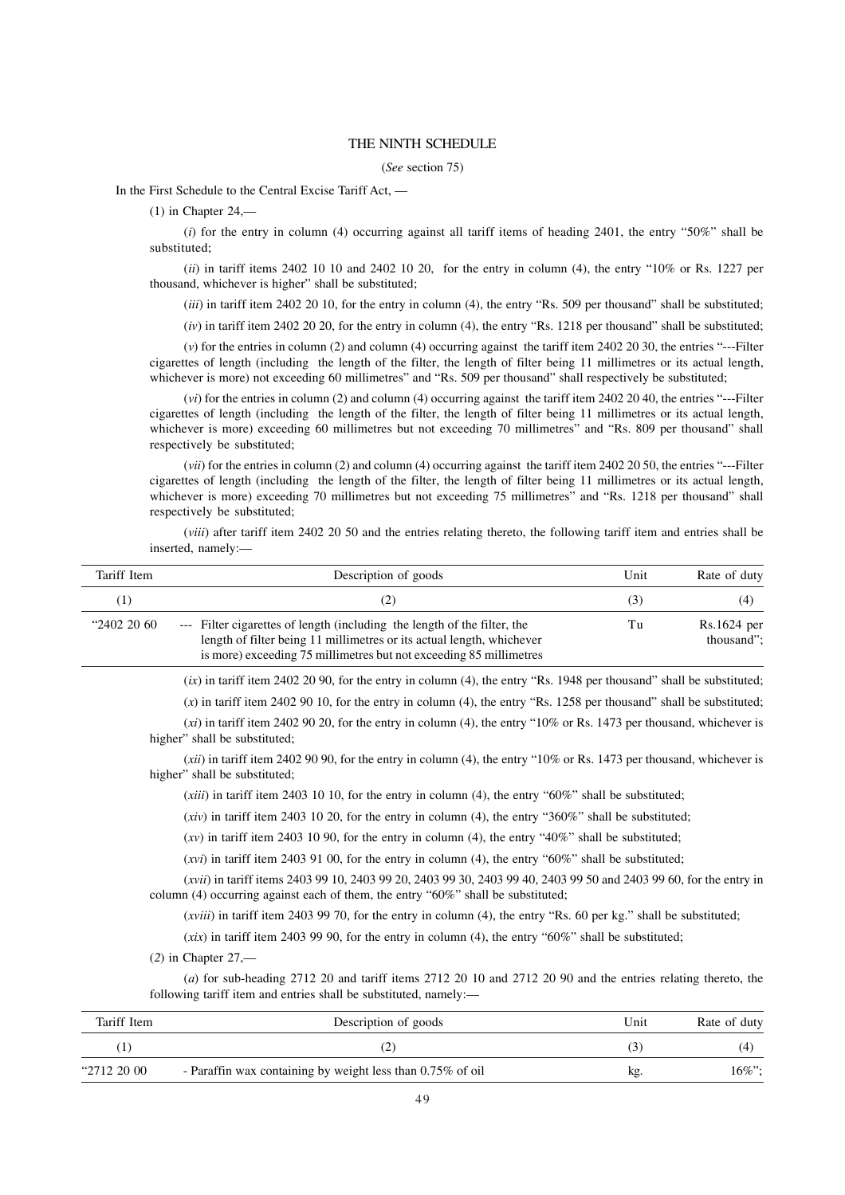#### THE NINTH SCHEDULE

#### (*See* section 75)

In the First Schedule to the Central Excise Tariff Act, —

 $(1)$  in Chapter 24,—

(*i*) for the entry in column (4) occurring against all tariff items of heading 2401, the entry "50%" shall be substituted;

(*ii*) in tariff items 2402 10 10 and 2402 10 20, for the entry in column (4), the entry "10% or Rs. 1227 per thousand, whichever is higher" shall be substituted;

(*iii*) in tariff item 2402 20 10, for the entry in column (4), the entry "Rs. 509 per thousand" shall be substituted;

(*iv*) in tariff item 2402 20 20, for the entry in column (4), the entry "Rs. 1218 per thousand" shall be substituted;

(*v*) for the entries in column (2) and column (4) occurring against the tariff item 2402 20 30, the entries "---Filter cigarettes of length (including the length of the filter, the length of filter being 11 millimetres or its actual length, whichever is more) not exceeding 60 millimetres" and "Rs. 509 per thousand" shall respectively be substituted;

(*vi*) for the entries in column (2) and column (4) occurring against the tariff item 2402 20 40, the entries "---Filter cigarettes of length (including the length of the filter, the length of filter being 11 millimetres or its actual length, whichever is more) exceeding 60 millimetres but not exceeding 70 millimetres" and "Rs. 809 per thousand" shall respectively be substituted;

(*vii*) for the entries in column (2) and column (4) occurring against the tariff item 2402 20 50, the entries "---Filter cigarettes of length (including the length of the filter, the length of filter being 11 millimetres or its actual length, whichever is more) exceeding 70 millimetres but not exceeding 75 millimetres" and "Rs. 1218 per thousand" shall respectively be substituted;

(*viii*) after tariff item 2402 20 50 and the entries relating thereto, the following tariff item and entries shall be inserted, namely:—

| Tariff Item                                                                                                                                                                                                                                                                                                                                                                                                                     | Description of goods                                                                                                                                                                                                   | Unit | Rate of duty              |
|---------------------------------------------------------------------------------------------------------------------------------------------------------------------------------------------------------------------------------------------------------------------------------------------------------------------------------------------------------------------------------------------------------------------------------|------------------------------------------------------------------------------------------------------------------------------------------------------------------------------------------------------------------------|------|---------------------------|
| (1)                                                                                                                                                                                                                                                                                                                                                                                                                             | (2)                                                                                                                                                                                                                    | (3)  | (4)                       |
| "2402 20 60                                                                                                                                                                                                                                                                                                                                                                                                                     | Filter cigarettes of length (including the length of the filter, the<br>length of filter being 11 millimetres or its actual length, whichever<br>is more) exceeding 75 millimetres but not exceeding 85 millimetres    | Tu   | Rs.1624 per<br>thousand"; |
|                                                                                                                                                                                                                                                                                                                                                                                                                                 | $(ix)$ in tariff item 2402 20 90, for the entry in column (4), the entry "Rs. 1948 per thousand" shall be substituted;                                                                                                 |      |                           |
|                                                                                                                                                                                                                                                                                                                                                                                                                                 | $(x)$ in tariff item 2402 90 10, for the entry in column (4), the entry "Rs. 1258 per thousand" shall be substituted;                                                                                                  |      |                           |
|                                                                                                                                                                                                                                                                                                                                                                                                                                 | $(xi)$ in tariff item 2402 90 20, for the entry in column (4), the entry "10% or Rs. 1473 per thousand, whichever is<br>higher" shall be substituted;                                                                  |      |                           |
|                                                                                                                                                                                                                                                                                                                                                                                                                                 | ( <i>xii</i> ) in tariff item 2402 90 90, for the entry in column (4), the entry "10% or Rs. 1473 per thousand, whichever is<br>higher" shall be substituted;                                                          |      |                           |
| $(xiii)$ in tariff item 2403 10 10, for the entry in column (4), the entry "60%" shall be substituted;<br>$(xiv)$ in tariff item 2403 10 20, for the entry in column (4), the entry "360%" shall be substituted;<br>(xv) in tariff item 2403 10 90, for the entry in column (4), the entry "40%" shall be substituted;<br>$(xvi)$ in tariff item 2403 91 00, for the entry in column (4), the entry "60%" shall be substituted; |                                                                                                                                                                                                                        |      |                           |
|                                                                                                                                                                                                                                                                                                                                                                                                                                 |                                                                                                                                                                                                                        |      |                           |
|                                                                                                                                                                                                                                                                                                                                                                                                                                 |                                                                                                                                                                                                                        |      |                           |
|                                                                                                                                                                                                                                                                                                                                                                                                                                 |                                                                                                                                                                                                                        |      |                           |
|                                                                                                                                                                                                                                                                                                                                                                                                                                 | ( <i>xvii</i> ) in tariff items 2403 99 10, 2403 99 20, 2403 99 30, 2403 99 40, 2403 99 50 and 2403 99 60, for the entry in<br>column $(4)$ occurring against each of them, the entry " $60\%$ " shall be substituted; |      |                           |
| $(xviii)$ in tariff item 2403 99 70, for the entry in column (4), the entry "Rs. 60 per kg." shall be substituted;<br>(xix) in tariff item 2403 99 90, for the entry in column (4), the entry " $60\%$ " shall be substituted;<br>$(2)$ in Chapter 27,—                                                                                                                                                                         |                                                                                                                                                                                                                        |      |                           |
|                                                                                                                                                                                                                                                                                                                                                                                                                                 |                                                                                                                                                                                                                        |      |                           |
|                                                                                                                                                                                                                                                                                                                                                                                                                                 |                                                                                                                                                                                                                        |      |                           |
|                                                                                                                                                                                                                                                                                                                                                                                                                                 | (a) for sub-heading $2712$ 20 and tariff items $2712$ 20 10 and $2712$ 20 90 and the entries relating thereto, the<br>following tariff item and entries shall be substituted, namely:-                                 |      |                           |
| Tariff Item                                                                                                                                                                                                                                                                                                                                                                                                                     | Description of goods                                                                                                                                                                                                   | Unit | Rate of duty              |
| (1)                                                                                                                                                                                                                                                                                                                                                                                                                             | (2)                                                                                                                                                                                                                    | (3)  | (4)                       |

| <sup>"2712</sup> 20 00 | - Paraffin wax containing by weight less than 0.75% of oil | kg | 16%'; |
|------------------------|------------------------------------------------------------|----|-------|
|                        |                                                            |    |       |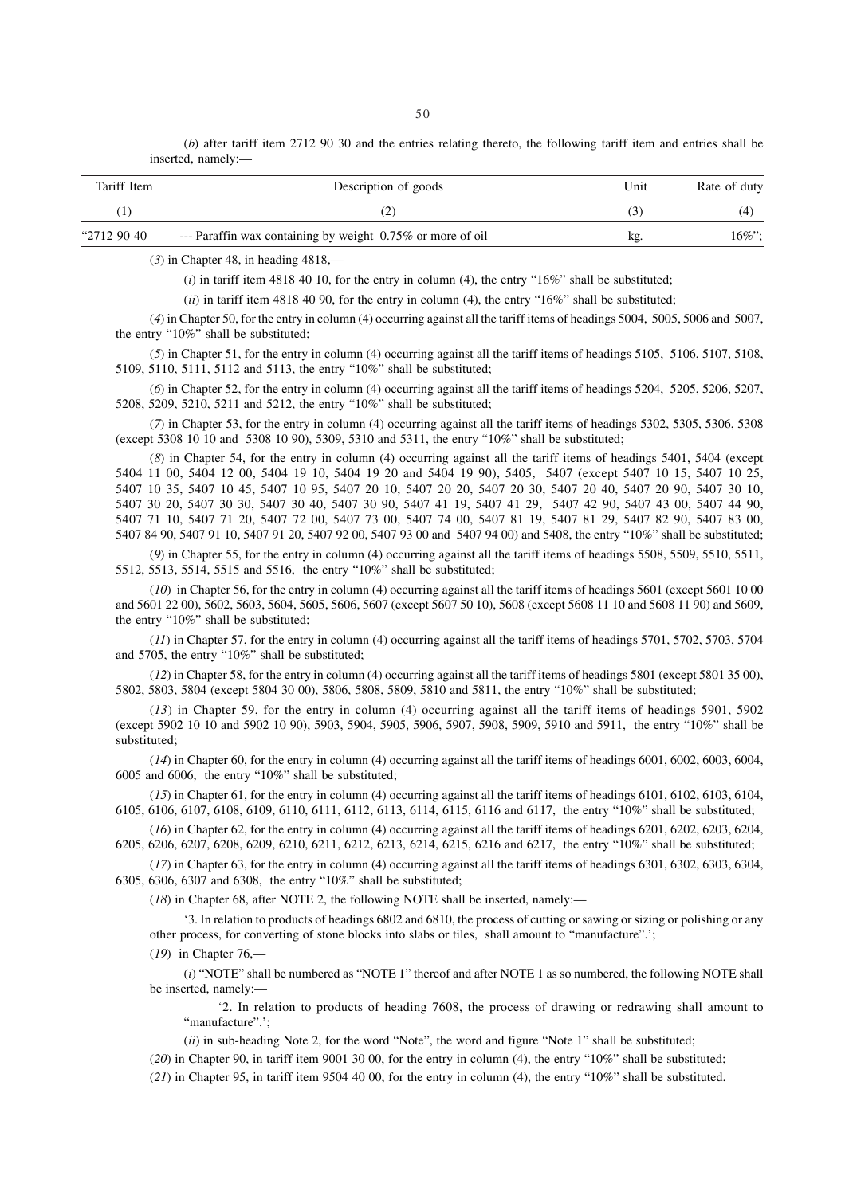(*b*) after tariff item 2712 90 30 and the entries relating thereto, the following tariff item and entries shall be inserted, namely:—

| Tariff Item  | Description of goods                                       | Unit | Rate of duty |
|--------------|------------------------------------------------------------|------|--------------|
|              |                                                            |      | (4)          |
| "2712 90 40" | --- Paraffin wax containing by weight 0.75% or more of oil | kg.  | $16\%$ ";    |

(*3*) in Chapter 48, in heading 4818,—

 $(i)$  in tariff item 4818 40 10, for the entry in column (4), the entry "16%" shall be substituted;

(*ii*) in tariff item 4818 40 90, for the entry in column (4), the entry "16%" shall be substituted;

(*4*) in Chapter 50, for the entry in column (4) occurring against all the tariff items of headings 5004, 5005, 5006 and 5007, the entry "10%" shall be substituted;

(*5*) in Chapter 51, for the entry in column (4) occurring against all the tariff items of headings 5105, 5106, 5107, 5108, 5109, 5110, 5111, 5112 and 5113, the entry "10%" shall be substituted;

(*6*) in Chapter 52, for the entry in column (4) occurring against all the tariff items of headings 5204, 5205, 5206, 5207, 5208, 5209, 5210, 5211 and 5212, the entry "10%" shall be substituted;

(*7*) in Chapter 53, for the entry in column (4) occurring against all the tariff items of headings 5302, 5305, 5306, 5308 (except 5308 10 10 and 5308 10 90), 5309, 5310 and 5311, the entry "10%" shall be substituted;

(*8*) in Chapter 54, for the entry in column (4) occurring against all the tariff items of headings 5401, 5404 (except 5404 11 00, 5404 12 00, 5404 19 10, 5404 19 20 and 5404 19 90), 5405, 5407 (except 5407 10 15, 5407 10 25, 5407 10 35, 5407 10 45, 5407 10 95, 5407 20 10, 5407 20 20, 5407 20 30, 5407 20 40, 5407 20 90, 5407 30 10, 5407 30 20, 5407 30 30, 5407 30 40, 5407 30 90, 5407 41 19, 5407 41 29, 5407 42 90, 5407 43 00, 5407 44 90, 5407 71 10, 5407 71 20, 5407 72 00, 5407 73 00, 5407 74 00, 5407 81 19, 5407 81 29, 5407 82 90, 5407 83 00, 5407 84 90, 5407 91 10, 5407 91 20, 5407 92 00, 5407 93 00 and 5407 94 00) and 5408, the entry "10%" shall be substituted;

(*9*) in Chapter 55, for the entry in column (4) occurring against all the tariff items of headings 5508, 5509, 5510, 5511, 5512, 5513, 5514, 5515 and 5516, the entry "10%" shall be substituted;

(*10*) in Chapter 56, for the entry in column (4) occurring against all the tariff items of headings 5601 (except 5601 10 00 and 5601 22 00), 5602, 5603, 5604, 5605, 5606, 5607 (except 5607 50 10), 5608 (except 5608 11 10 and 5608 11 90) and 5609, the entry "10%" shall be substituted;

(*11*) in Chapter 57, for the entry in column (4) occurring against all the tariff items of headings 5701, 5702, 5703, 5704 and 5705, the entry "10%" shall be substituted;

(*12*) in Chapter 58, for the entry in column (4) occurring against all the tariff items of headings 5801 (except 5801 35 00), 5802, 5803, 5804 (except 5804 30 00), 5806, 5808, 5809, 5810 and 5811, the entry "10%" shall be substituted;

(*13*) in Chapter 59, for the entry in column (4) occurring against all the tariff items of headings 5901, 5902 (except 5902 10 10 and 5902 10 90), 5903, 5904, 5905, 5906, 5907, 5908, 5909, 5910 and 5911, the entry "10%" shall be substituted;

(*14*) in Chapter 60, for the entry in column (4) occurring against all the tariff items of headings 6001, 6002, 6003, 6004, 6005 and 6006, the entry "10%" shall be substituted;

(*15*) in Chapter 61, for the entry in column (4) occurring against all the tariff items of headings 6101, 6102, 6103, 6104, 6105, 6106, 6107, 6108, 6109, 6110, 6111, 6112, 6113, 6114, 6115, 6116 and 6117, the entry "10%" shall be substituted;

(*16*) in Chapter 62, for the entry in column (4) occurring against all the tariff items of headings 6201, 6202, 6203, 6204, 6205, 6206, 6207, 6208, 6209, 6210, 6211, 6212, 6213, 6214, 6215, 6216 and 6217, the entry "10%" shall be substituted;

 $(17)$  in Chapter 63, for the entry in column (4) occurring against all the tariff items of headings 6301, 6302, 6303, 6304, 6305, 6306, 6307 and 6308, the entry "10%" shall be substituted;

(*18*) in Chapter 68, after NOTE 2, the following NOTE shall be inserted, namely:—

'3. In relation to products of headings 6802 and 6810, the process of cutting or sawing or sizing or polishing or any other process, for converting of stone blocks into slabs or tiles, shall amount to "manufacture".';

(*19*) in Chapter 76,—

(*i*) "NOTE" shall be numbered as "NOTE 1" thereof and after NOTE 1 as so numbered, the following NOTE shall be inserted, namely:-

'2. In relation to products of heading 7608, the process of drawing or redrawing shall amount to "manufacture".':

(*ii*) in sub-heading Note 2, for the word "Note", the word and figure "Note 1" shall be substituted;

(*20*) in Chapter 90, in tariff item 9001 30 00, for the entry in column (4), the entry "10%" shall be substituted;

 $(21)$  in Chapter 95, in tariff item 9504 40 00, for the entry in column (4), the entry " $10\%$ " shall be substituted.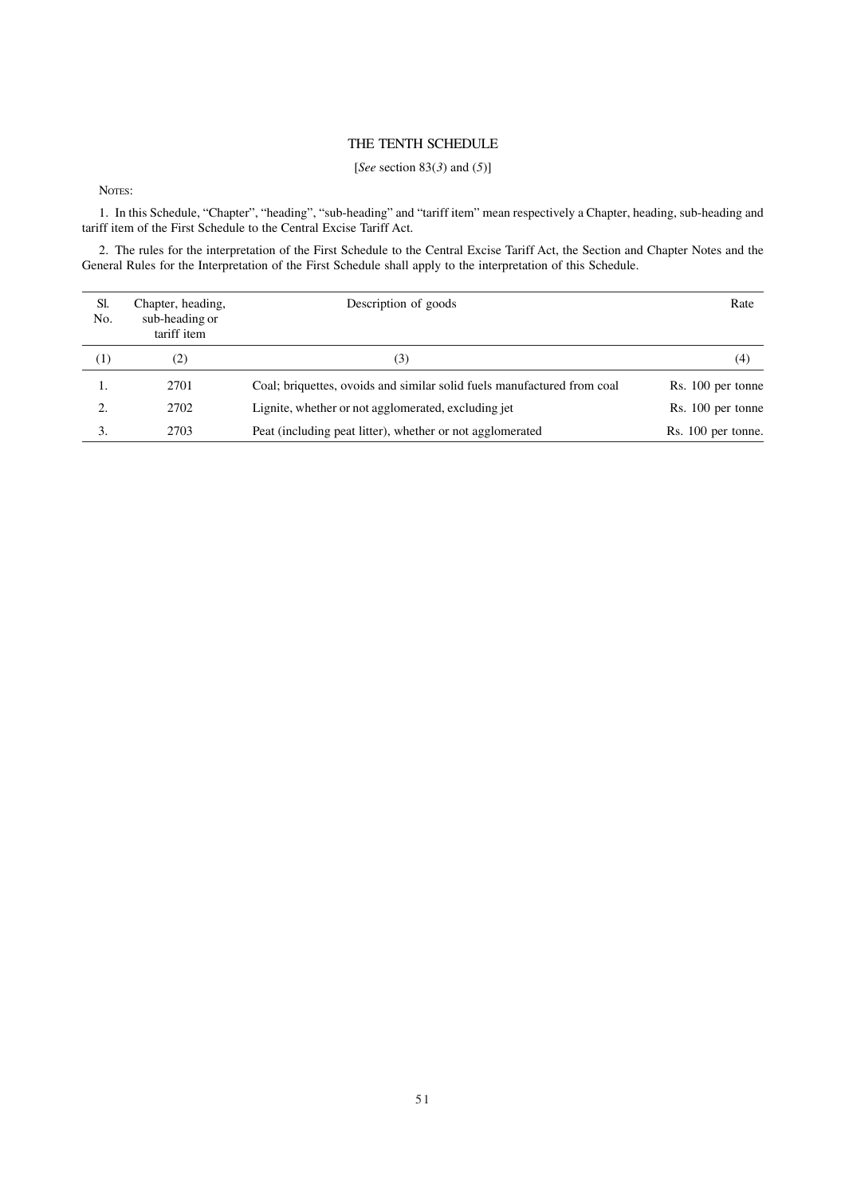### THE TENTH SCHEDULE

## [*See* section 83(*3*) and (*5*)]

NOTES:

1. In this Schedule, "Chapter", "heading", "sub-heading" and "tariff item" mean respectively a Chapter, heading, sub-heading and tariff item of the First Schedule to the Central Excise Tariff Act.

2. The rules for the interpretation of the First Schedule to the Central Excise Tariff Act, the Section and Chapter Notes and the General Rules for the Interpretation of the First Schedule shall apply to the interpretation of this Schedule.

| Sl.<br>No.          | Chapter, heading,<br>sub-heading or<br>tariff item | Description of goods                                                    | Rate               |
|---------------------|----------------------------------------------------|-------------------------------------------------------------------------|--------------------|
| $\scriptstyle{(1)}$ | (2)                                                | (3)                                                                     | (4)                |
| 1.                  | 2701                                               | Coal; briquettes, ovoids and similar solid fuels manufactured from coal | Rs. 100 per tonne  |
| 2.                  | 2702                                               | Lignite, whether or not agglomerated, excluding jet                     | Rs. 100 per tonne  |
| 3.                  | 2703                                               | Peat (including peat litter), whether or not agglomerated               | Rs. 100 per tonne. |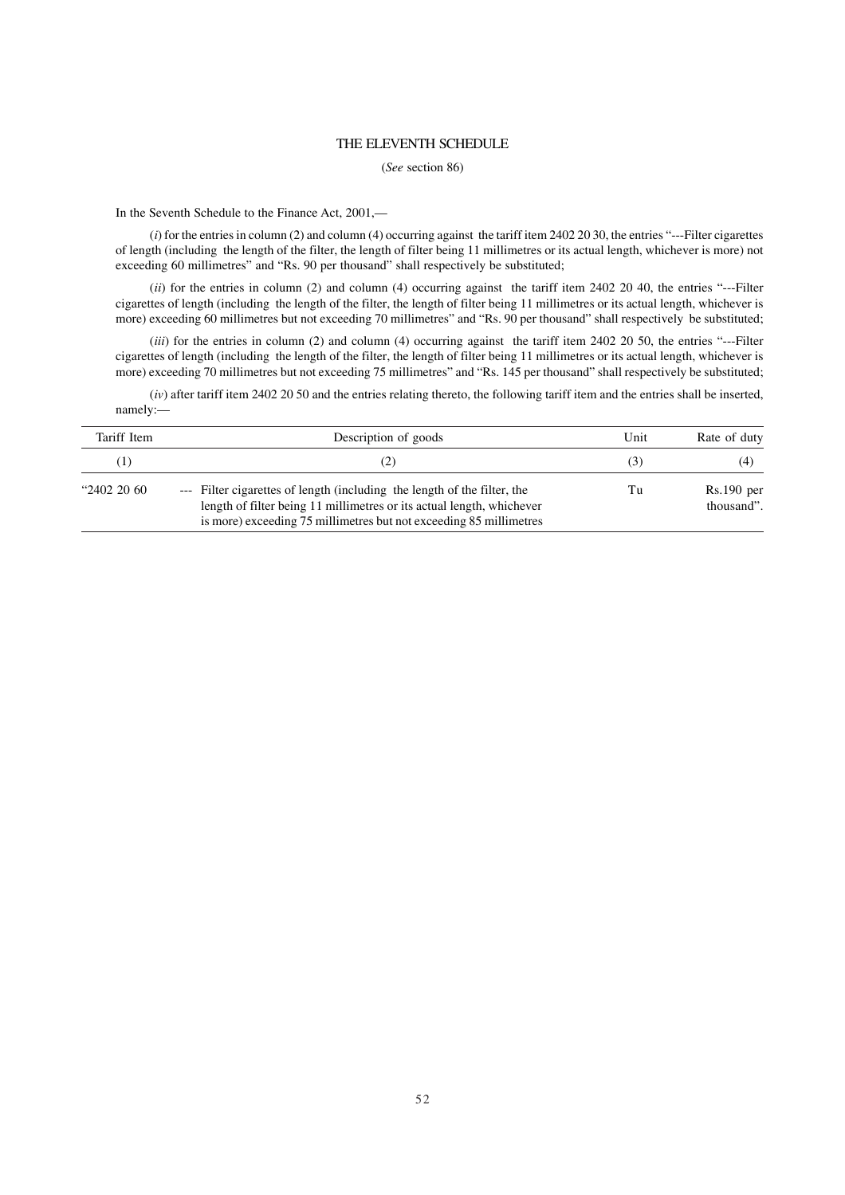### THE ELEVENTH SCHEDULE

(*See* section 86)

In the Seventh Schedule to the Finance Act, 2001,—

(*i*) for the entries in column (2) and column (4) occurring against the tariff item 2402 20 30, the entries "---Filter cigarettes of length (including the length of the filter, the length of filter being 11 millimetres or its actual length, whichever is more) not exceeding 60 millimetres" and "Rs. 90 per thousand" shall respectively be substituted;

(*ii*) for the entries in column (2) and column (4) occurring against the tariff item 2402 20 40, the entries "---Filter cigarettes of length (including the length of the filter, the length of filter being 11 millimetres or its actual length, whichever is more) exceeding 60 millimetres but not exceeding 70 millimetres" and "Rs. 90 per thousand" shall respectively be substituted;

(*iii*) for the entries in column (2) and column (4) occurring against the tariff item 2402 20 50, the entries "---Filter cigarettes of length (including the length of the filter, the length of filter being 11 millimetres or its actual length, whichever is more) exceeding 70 millimetres but not exceeding 75 millimetres" and "Rs. 145 per thousand" shall respectively be substituted;

(*iv*) after tariff item 2402 20 50 and the entries relating thereto, the following tariff item and the entries shall be inserted, namely:—

| Tariff Item      | Description of goods                                                                                                                                                                                                    | Unit | Rate of duty               |
|------------------|-------------------------------------------------------------------------------------------------------------------------------------------------------------------------------------------------------------------------|------|----------------------------|
|                  |                                                                                                                                                                                                                         | 13.  | (4)                        |
| $"2402\;20\;60"$ | --- Filter cigarettes of length (including the length of the filter, the<br>length of filter being 11 millimetres or its actual length, whichever<br>is more) exceeding 75 millimetres but not exceeding 85 millimetres | Tu   | $Rs.190$ per<br>thousand". |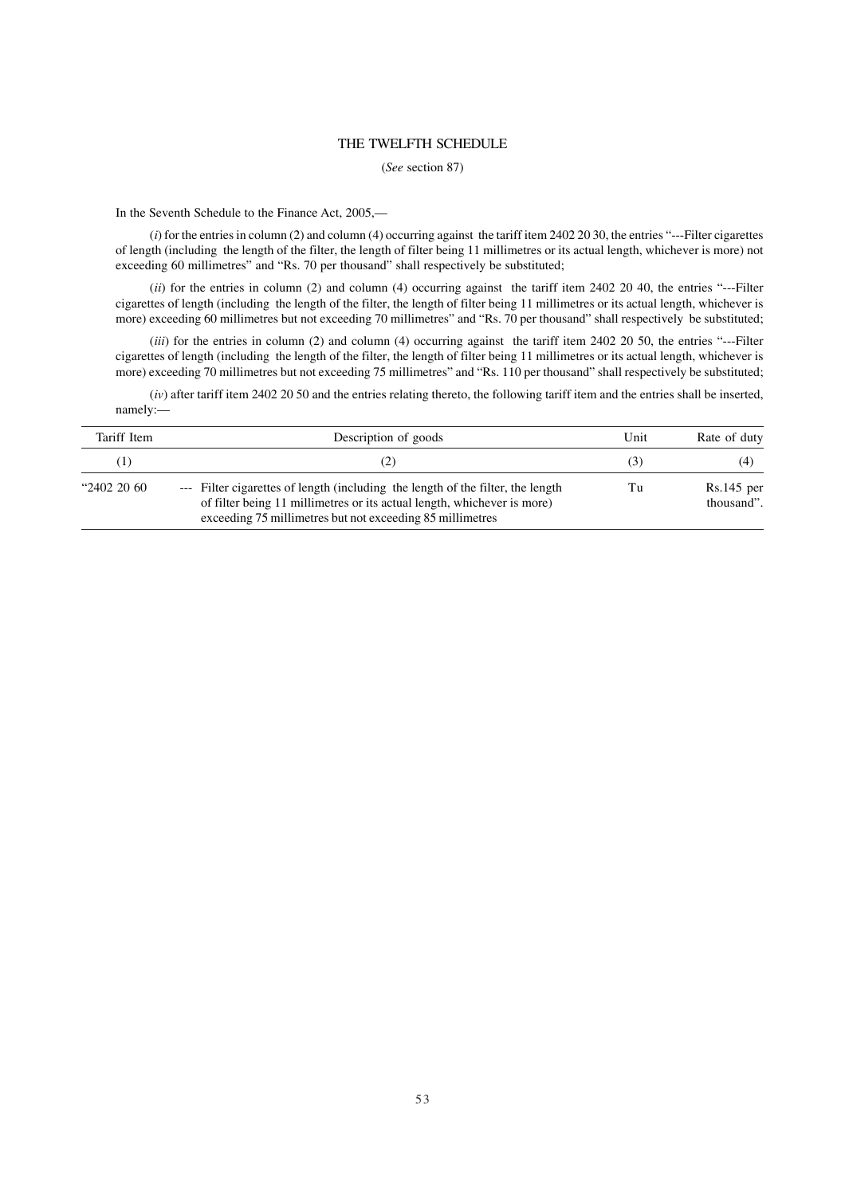### THE TWELFTH SCHEDULE

(*See* section 87)

In the Seventh Schedule to the Finance Act, 2005,—

(*i*) for the entries in column (2) and column (4) occurring against the tariff item 2402 20 30, the entries "---Filter cigarettes of length (including the length of the filter, the length of filter being 11 millimetres or its actual length, whichever is more) not exceeding 60 millimetres" and "Rs. 70 per thousand" shall respectively be substituted;

(*ii*) for the entries in column (2) and column (4) occurring against the tariff item 2402 20 40, the entries "---Filter cigarettes of length (including the length of the filter, the length of filter being 11 millimetres or its actual length, whichever is more) exceeding 60 millimetres but not exceeding 70 millimetres" and "Rs. 70 per thousand" shall respectively be substituted;

(*iii*) for the entries in column (2) and column (4) occurring against the tariff item 2402 20 50, the entries "---Filter cigarettes of length (including the length of the filter, the length of filter being 11 millimetres or its actual length, whichever is more) exceeding 70 millimetres but not exceeding 75 millimetres" and "Rs. 110 per thousand" shall respectively be substituted;

(*iv*) after tariff item 2402 20 50 and the entries relating thereto, the following tariff item and the entries shall be inserted, namely:—

| Tariff Item      | Description of goods                                                                                                                                                                                                    | Unit | Rate of duty               |
|------------------|-------------------------------------------------------------------------------------------------------------------------------------------------------------------------------------------------------------------------|------|----------------------------|
| (1)              |                                                                                                                                                                                                                         | (3)  | (4)                        |
| $"2402\;20\;60"$ | --- Filter cigarettes of length (including the length of the filter, the length<br>of filter being 11 millimetres or its actual length, whichever is more)<br>exceeding 75 millimetres but not exceeding 85 millimetres | Tu   | $Rs.145$ per<br>thousand". |